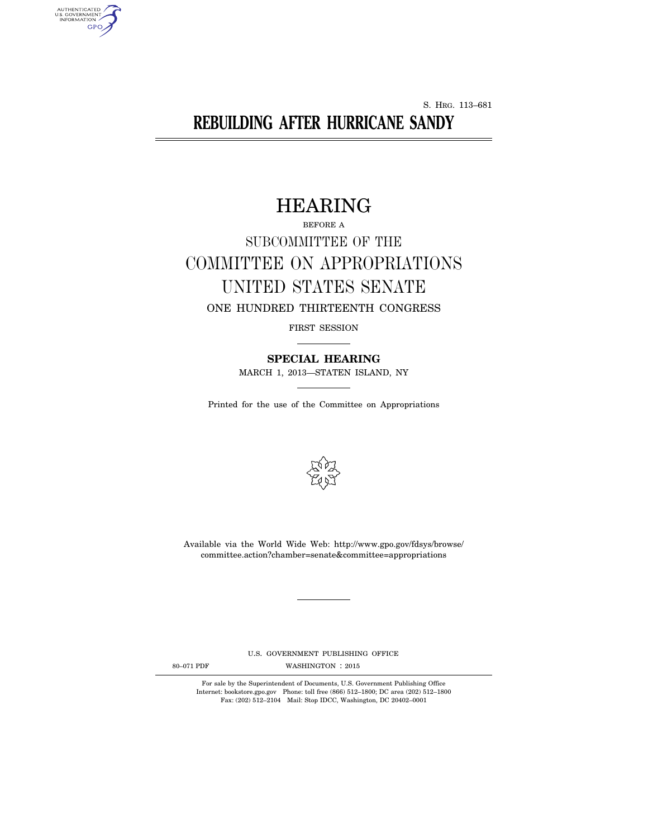S. HRG. 113–681

# **REBUILDING AFTER HURRICANE SANDY**

# HEARING

# BEFORE A SUBCOMMITTEE OF THE COMMITTEE ON APPROPRIATIONS UNITED STATES SENATE ONE HUNDRED THIRTEENTH CONGRESS

FIRST SESSION

**SPECIAL HEARING**  MARCH 1, 2013—STATEN ISLAND, NY

Printed for the use of the Committee on Appropriations



Available via the World Wide Web: http://www.gpo.gov/fdsys/browse/ committee.action?chamber=senate&committee=appropriations

U.S. GOVERNMENT PUBLISHING OFFICE

AUTHENTICATED<br>U.S. GOVERNMENT<br>INFORMATION

GPO

80-071 PDF WASHINGTON : 2015

For sale by the Superintendent of Documents, U.S. Government Publishing Office Internet: bookstore.gpo.gov Phone: toll free (866) 512–1800; DC area (202) 512–1800 Fax: (202) 512–2104 Mail: Stop IDCC, Washington, DC 20402–0001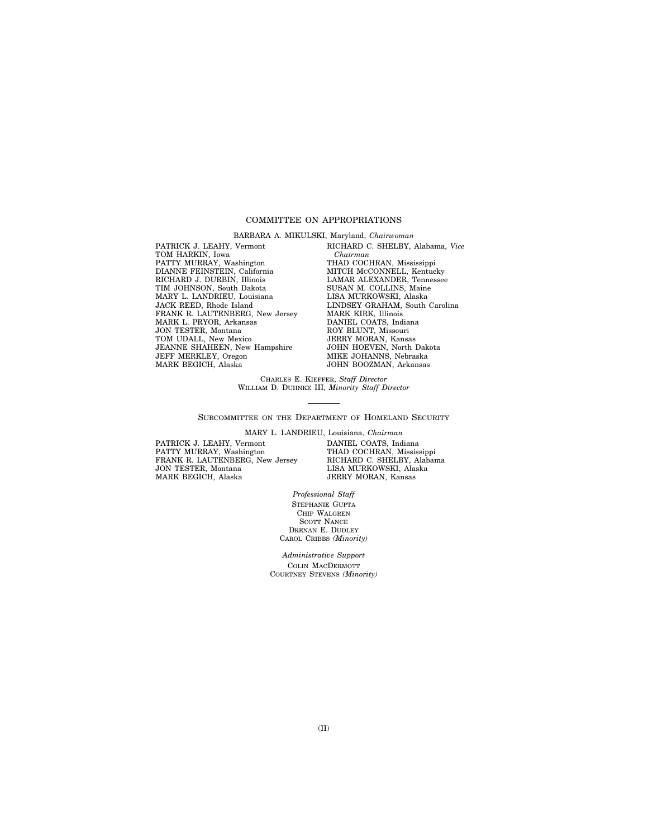# COMMITTEE ON APPROPRIATIONS

BARBARA A. MIKULSKI, Maryland, *Chairwoman* 

PATRICK J. LEAHY, Vermont TOM HARKIN, Iowa PATTY MURRAY, Washington DIANNE FEINSTEIN, California RICHARD J. DURBIN, Illinois TIM JOHNSON, South Dakota MARY L. LANDRIEU, Louisiana JACK REED, Rhode Island FRANK R. LAUTENBERG, New Jersey MARK L. PRYOR, Arkansas JON TESTER, Montana TOM UDALL, New Mexico JEANNE SHAHEEN, New Hampshire JEFF MERKLEY, Oregon MARK BEGICH, Alaska

RICHARD C. SHELBY, Alabama, *Vice Chairman*  THAD COCHRAN, Mississippi MITCH MCCONNELL, Kentucky LAMAR ALEXANDER, Tennessee SUSAN M. COLLINS, Maine LISA MURKOWSKI, Alaska LINDSEY GRAHAM, South Carolina MARK KIRK, Illinois DANIEL COATS, Indiana ROY BLUNT, Missouri JERRY MORAN, Kansas JOHN HOEVEN, North Dakota MIKE JOHANNS, Nebraska JOHN BOOZMAN, Arkansas

CHARLES E. KIEFFER, *Staff Director*  WILLIAM D. DUHNKE III, *Minority Staff Director* 

SUBCOMMITTEE ON THE DEPARTMENT OF HOMELAND SECURITY

PATRICK J. LEAHY, Vermont PATTY MURRAY, Washington FRANK R. LAUTENBERG, New Jersey JON TESTER, Montana MARK BEGICH, Alaska

MARY L. LANDRIEU, Louisiana, *Chairman*  DANIEL COATS, Indiana THAD COCHRAN, Mississippi RICHARD C. SHELBY, Alabama LISA MURKOWSKI, Alaska JERRY MORAN, Kansas

> *Professional Staff*  STEPHANIE GUPTA CHIP WALGREN SCOTT NANCE DRENAN E. DUDLEY CAROL CRIBBS *(Minority)*

*Administrative Support*  COLIN MACDERMOTT COURTNEY STEVENS *(Minority)*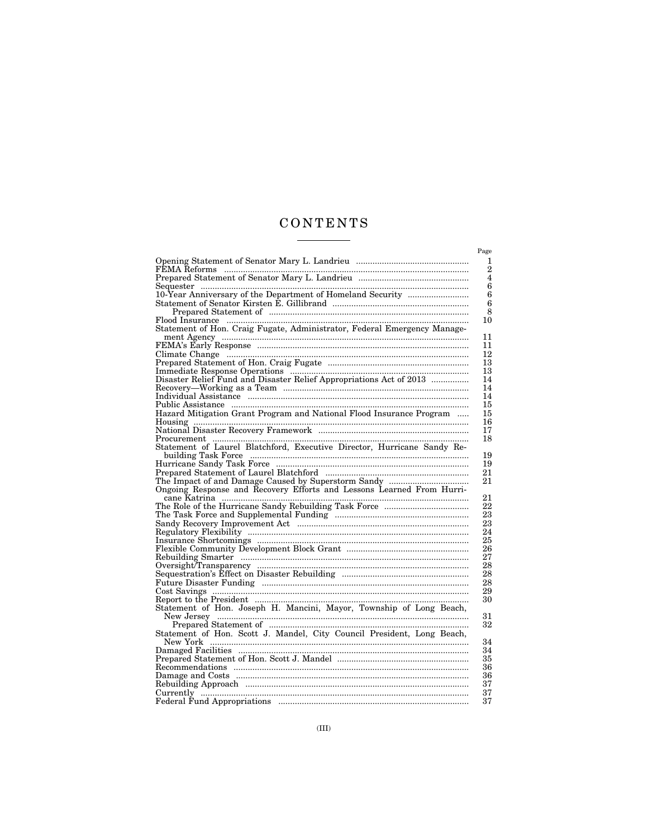# CONTENTS  $\begin{tabular}{l} \multicolumn{2}{c} {\textbf{1}}\\ \multicolumn{2}{c} {\textbf{2}}\\ \multicolumn{2}{c} {\textbf{3}}\\ \multicolumn{2}{c} {\textbf{4}}\\ \multicolumn{2}{c} {\textbf{5}}\\ \multicolumn{2}{c} {\textbf{6}}\\ \multicolumn{2}{c} {\textbf{6}}\\ \multicolumn{2}{c} {\textbf{7}}\\ \multicolumn{2}{c} {\textbf{8}}\\ \multicolumn{2}{c} {\textbf{9}}\\ \multicolumn{2}{c} {\textbf{1}}\\ \multicolumn{2}{c} {\textbf{1}}\\ \multicolumn{2}{c} {\textbf{1}}\\ \multicolumn$

|                                                                                                                                                                                                                                          | Page                |
|------------------------------------------------------------------------------------------------------------------------------------------------------------------------------------------------------------------------------------------|---------------------|
|                                                                                                                                                                                                                                          | 1<br>$\overline{2}$ |
|                                                                                                                                                                                                                                          | $\overline{4}$<br>6 |
|                                                                                                                                                                                                                                          | 6                   |
|                                                                                                                                                                                                                                          | 6                   |
|                                                                                                                                                                                                                                          | 8                   |
|                                                                                                                                                                                                                                          | 10                  |
| Statement of Hon. Craig Fugate, Administrator, Federal Emergency Manage-                                                                                                                                                                 |                     |
|                                                                                                                                                                                                                                          | 11                  |
|                                                                                                                                                                                                                                          | 11                  |
| FEMA's Early Response<br>Climate Change<br>Prepared Statement of Hon. Craig Fugate                                                                                                                                                       | 12                  |
|                                                                                                                                                                                                                                          | 13                  |
|                                                                                                                                                                                                                                          | 13                  |
|                                                                                                                                                                                                                                          | 14                  |
|                                                                                                                                                                                                                                          | 14                  |
|                                                                                                                                                                                                                                          | 14                  |
|                                                                                                                                                                                                                                          | 15                  |
|                                                                                                                                                                                                                                          | 15                  |
|                                                                                                                                                                                                                                          | 16                  |
| Disaster Relief Fund and Disaster Relief Appropriations Act of 2013<br>Recovery—Working as a Team<br>Individual Assistance<br>Public Assistance<br>Public Assistance<br>Hazard Mitigation Grant Program and National Flood Insurance Pro | 17                  |
|                                                                                                                                                                                                                                          | 18                  |
| Statement of Laurel Blatchford, Executive Director, Hurricane Sandy Re-                                                                                                                                                                  |                     |
|                                                                                                                                                                                                                                          | 19                  |
|                                                                                                                                                                                                                                          | 19                  |
|                                                                                                                                                                                                                                          | 21                  |
| The Impact of and Damage Caused by Superstorm Sandy<br>Ongoing Response and Recovery Efforts and Lessons Learned From Hurri-                                                                                                             | 21                  |
|                                                                                                                                                                                                                                          |                     |
|                                                                                                                                                                                                                                          | 21                  |
|                                                                                                                                                                                                                                          | 22                  |
|                                                                                                                                                                                                                                          | 23                  |
|                                                                                                                                                                                                                                          | 23                  |
| The Task Force and Supplemental Funding<br>Sandy Recovery Improvement Act<br>Regulatory Flexibility<br>Insurance Shortcomings<br>Flexible Community Development Block Grant                                                              | 24                  |
|                                                                                                                                                                                                                                          | 25                  |
|                                                                                                                                                                                                                                          | 26                  |
|                                                                                                                                                                                                                                          | 27                  |
|                                                                                                                                                                                                                                          | 28                  |
|                                                                                                                                                                                                                                          | 28                  |
|                                                                                                                                                                                                                                          | 28                  |
|                                                                                                                                                                                                                                          | 29                  |
|                                                                                                                                                                                                                                          | 30                  |
|                                                                                                                                                                                                                                          |                     |
|                                                                                                                                                                                                                                          | 31                  |
| Extrement of Hon. Joseph H. Mancini, Mayor, Township of Long Beach,<br>New Jersey Electron Communications of Hon. Scott J. Mancini, Mayor, Township of Long Beach,<br>Prepared Statement of Hon. Scott J. Mandel, City Council Presi     | 32                  |
|                                                                                                                                                                                                                                          |                     |
|                                                                                                                                                                                                                                          | 34                  |
|                                                                                                                                                                                                                                          | 34                  |
|                                                                                                                                                                                                                                          | 35                  |
|                                                                                                                                                                                                                                          | 36                  |
|                                                                                                                                                                                                                                          | 36                  |
|                                                                                                                                                                                                                                          | 37                  |
|                                                                                                                                                                                                                                          | 37                  |
|                                                                                                                                                                                                                                          | 37                  |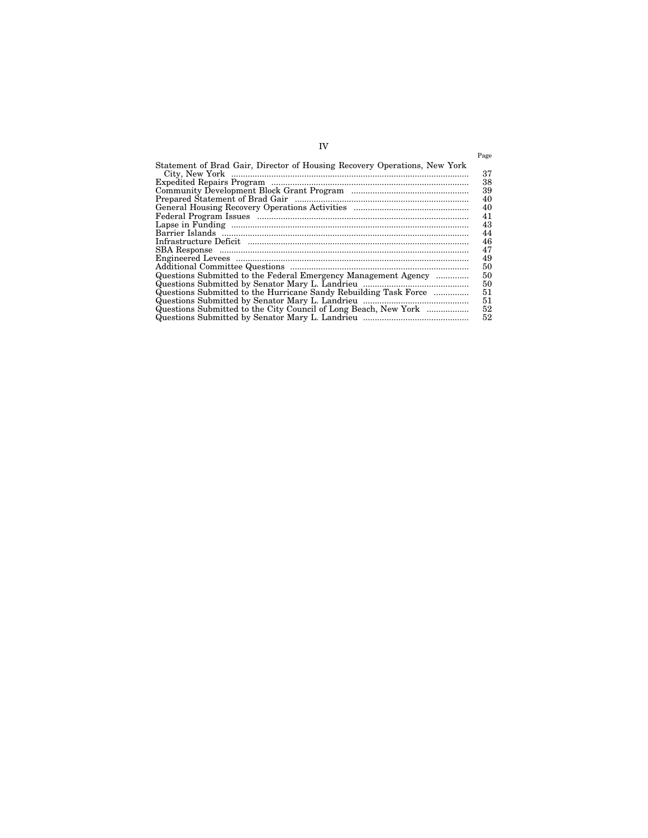| Statement of Brad Gair, Director of Housing Recovery Operations, New York |
|---------------------------------------------------------------------------|
|                                                                           |
|                                                                           |
|                                                                           |
|                                                                           |
|                                                                           |
|                                                                           |
|                                                                           |
|                                                                           |
|                                                                           |
|                                                                           |
|                                                                           |
| Questions Submitted to the Federal Emergency Management Agency            |
|                                                                           |
| Questions Submitted to the Hurricane Sandy Rebuilding Task Force          |
|                                                                           |
| Questions Submitted to the City Council of Long Beach, New York           |
|                                                                           |

# IV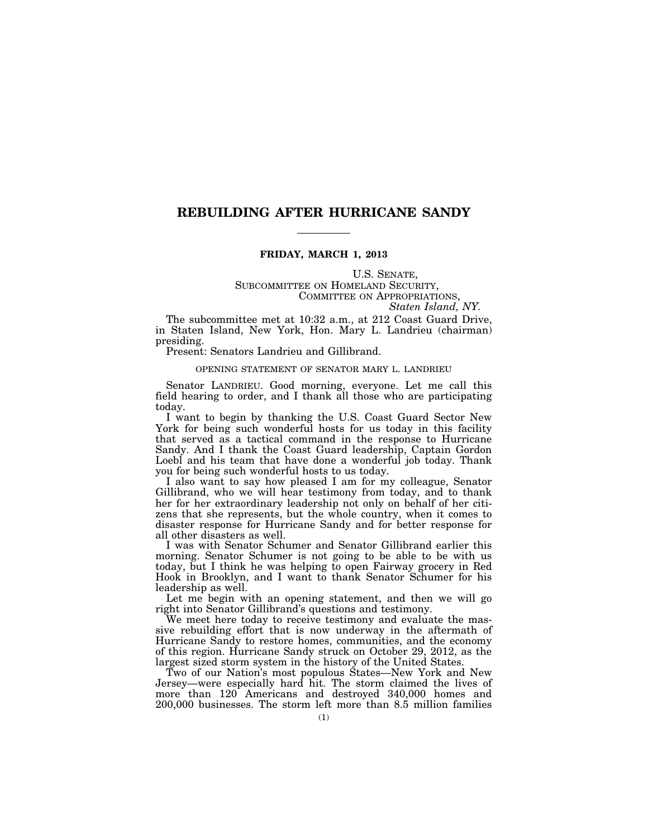# **REBUILDING AFTER HURRICANE SANDY**

# **FRIDAY, MARCH 1, 2013**

# U.S. SENATE, SUBCOMMITTEE ON HOMELAND SECURITY, COMMITTEE ON APPROPRIATIONS, *Staten Island, NY.*

The subcommittee met at 10:32 a.m., at 212 Coast Guard Drive, in Staten Island, New York, Hon. Mary L. Landrieu (chairman) presiding.

Present: Senators Landrieu and Gillibrand.

# OPENING STATEMENT OF SENATOR MARY L. LANDRIEU

Senator LANDRIEU. Good morning, everyone. Let me call this field hearing to order, and I thank all those who are participating today.

I want to begin by thanking the U.S. Coast Guard Sector New York for being such wonderful hosts for us today in this facility that served as a tactical command in the response to Hurricane Sandy. And I thank the Coast Guard leadership, Captain Gordon Loebl and his team that have done a wonderful job today. Thank you for being such wonderful hosts to us today.

I also want to say how pleased I am for my colleague, Senator Gillibrand, who we will hear testimony from today, and to thank her for her extraordinary leadership not only on behalf of her citizens that she represents, but the whole country, when it comes to disaster response for Hurricane Sandy and for better response for all other disasters as well.

I was with Senator Schumer and Senator Gillibrand earlier this morning. Senator Schumer is not going to be able to be with us today, but I think he was helping to open Fairway grocery in Red Hook in Brooklyn, and I want to thank Senator Schumer for his leadership as well.

Let me begin with an opening statement, and then we will go right into Senator Gillibrand's questions and testimony.

We meet here today to receive testimony and evaluate the massive rebuilding effort that is now underway in the aftermath of Hurricane Sandy to restore homes, communities, and the economy of this region. Hurricane Sandy struck on October 29, 2012, as the largest sized storm system in the history of the United States.

Two of our Nation's most populous States—New York and New Jersey—were especially hard hit. The storm claimed the lives of more than 120 Americans and destroyed 340,000 homes and 200,000 businesses. The storm left more than 8.5 million families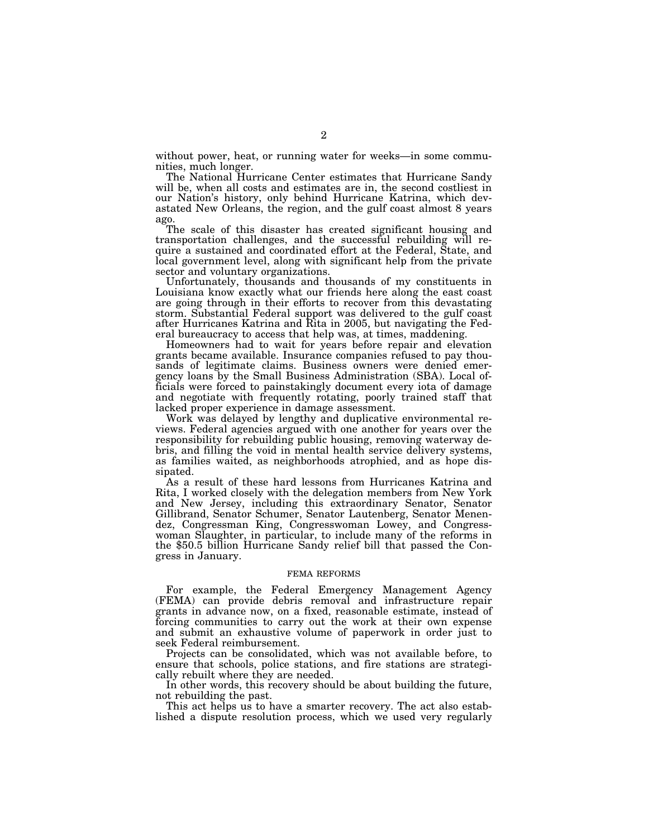without power, heat, or running water for weeks—in some communities, much longer.

The National Hurricane Center estimates that Hurricane Sandy will be, when all costs and estimates are in, the second costliest in our Nation's history, only behind Hurricane Katrina, which devastated New Orleans, the region, and the gulf coast almost 8 years ago.

The scale of this disaster has created significant housing and transportation challenges, and the successful rebuilding will require a sustained and coordinated effort at the Federal, State, and local government level, along with significant help from the private sector and voluntary organizations.

Unfortunately, thousands and thousands of my constituents in Louisiana know exactly what our friends here along the east coast are going through in their efforts to recover from this devastating storm. Substantial Federal support was delivered to the gulf coast after Hurricanes Katrina and Rita in 2005, but navigating the Federal bureaucracy to access that help was, at times, maddening.

Homeowners had to wait for years before repair and elevation grants became available. Insurance companies refused to pay thousands of legitimate claims. Business owners were denied emergency loans by the Small Business Administration (SBA). Local officials were forced to painstakingly document every iota of damage and negotiate with frequently rotating, poorly trained staff that lacked proper experience in damage assessment.

Work was delayed by lengthy and duplicative environmental reviews. Federal agencies argued with one another for years over the responsibility for rebuilding public housing, removing waterway debris, and filling the void in mental health service delivery systems, as families waited, as neighborhoods atrophied, and as hope dissipated.

As a result of these hard lessons from Hurricanes Katrina and Rita, I worked closely with the delegation members from New York and New Jersey, including this extraordinary Senator, Senator Gillibrand, Senator Schumer, Senator Lautenberg, Senator Menendez, Congressman King, Congresswoman Lowey, and Congresswoman Slaughter, in particular, to include many of the reforms in the \$50.5 billion Hurricane Sandy relief bill that passed the Congress in January.

#### FEMA REFORMS

For example, the Federal Emergency Management Agency (FEMA) can provide debris removal and infrastructure repair grants in advance now, on a fixed, reasonable estimate, instead of forcing communities to carry out the work at their own expense and submit an exhaustive volume of paperwork in order just to seek Federal reimbursement.

Projects can be consolidated, which was not available before, to ensure that schools, police stations, and fire stations are strategically rebuilt where they are needed.

In other words, this recovery should be about building the future, not rebuilding the past.

This act helps us to have a smarter recovery. The act also established a dispute resolution process, which we used very regularly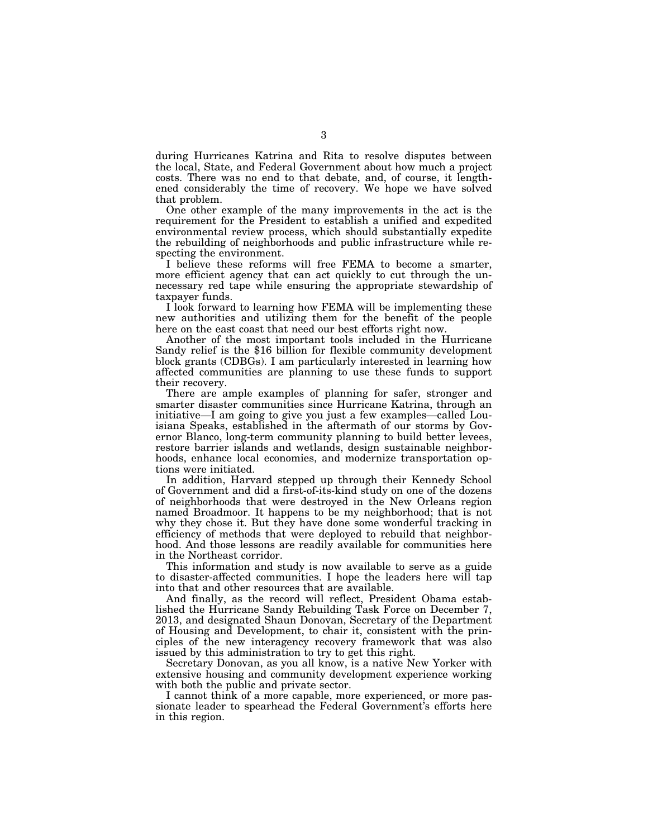during Hurricanes Katrina and Rita to resolve disputes between the local, State, and Federal Government about how much a project costs. There was no end to that debate, and, of course, it lengthened considerably the time of recovery. We hope we have solved that problem.

One other example of the many improvements in the act is the requirement for the President to establish a unified and expedited environmental review process, which should substantially expedite the rebuilding of neighborhoods and public infrastructure while respecting the environment.

I believe these reforms will free FEMA to become a smarter, more efficient agency that can act quickly to cut through the unnecessary red tape while ensuring the appropriate stewardship of taxpayer funds.

I look forward to learning how FEMA will be implementing these new authorities and utilizing them for the benefit of the people here on the east coast that need our best efforts right now.

Another of the most important tools included in the Hurricane Sandy relief is the \$16 billion for flexible community development block grants (CDBGs). I am particularly interested in learning how affected communities are planning to use these funds to support their recovery.

There are ample examples of planning for safer, stronger and smarter disaster communities since Hurricane Katrina, through an initiative—I am going to give you just a few examples—called Louisiana Speaks, established in the aftermath of our storms by Governor Blanco, long-term community planning to build better levees, restore barrier islands and wetlands, design sustainable neighborhoods, enhance local economies, and modernize transportation options were initiated.

In addition, Harvard stepped up through their Kennedy School of Government and did a first-of-its-kind study on one of the dozens of neighborhoods that were destroyed in the New Orleans region named Broadmoor. It happens to be my neighborhood; that is not why they chose it. But they have done some wonderful tracking in efficiency of methods that were deployed to rebuild that neighborhood. And those lessons are readily available for communities here in the Northeast corridor.

This information and study is now available to serve as a guide to disaster-affected communities. I hope the leaders here will tap into that and other resources that are available.

And finally, as the record will reflect, President Obama established the Hurricane Sandy Rebuilding Task Force on December 7, 2013, and designated Shaun Donovan, Secretary of the Department of Housing and Development, to chair it, consistent with the principles of the new interagency recovery framework that was also issued by this administration to try to get this right.

Secretary Donovan, as you all know, is a native New Yorker with extensive housing and community development experience working with both the public and private sector.

I cannot think of a more capable, more experienced, or more passionate leader to spearhead the Federal Government's efforts here in this region.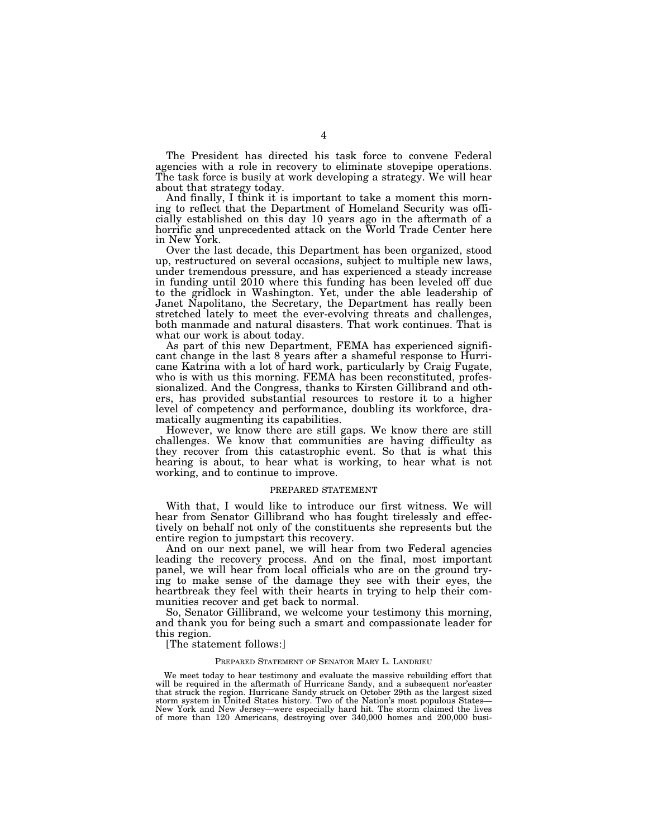The President has directed his task force to convene Federal agencies with a role in recovery to eliminate stovepipe operations. The task force is busily at work developing a strategy. We will hear about that strategy today.

And finally, I think it is important to take a moment this morning to reflect that the Department of Homeland Security was officially established on this day 10 years ago in the aftermath of a horrific and unprecedented attack on the World Trade Center here in New York.

Over the last decade, this Department has been organized, stood up, restructured on several occasions, subject to multiple new laws, under tremendous pressure, and has experienced a steady increase in funding until 2010 where this funding has been leveled off due to the gridlock in Washington. Yet, under the able leadership of Janet Napolitano, the Secretary, the Department has really been stretched lately to meet the ever-evolving threats and challenges, both manmade and natural disasters. That work continues. That is what our work is about today.

As part of this new Department, FEMA has experienced significant change in the last 8 years after a shameful response to Hurricane Katrina with a lot of hard work, particularly by Craig Fugate, who is with us this morning. FEMA has been reconstituted, professionalized. And the Congress, thanks to Kirsten Gillibrand and others, has provided substantial resources to restore it to a higher level of competency and performance, doubling its workforce, dramatically augmenting its capabilities.

However, we know there are still gaps. We know there are still challenges. We know that communities are having difficulty as they recover from this catastrophic event. So that is what this hearing is about, to hear what is working, to hear what is not working, and to continue to improve.

# PREPARED STATEMENT

With that, I would like to introduce our first witness. We will hear from Senator Gillibrand who has fought tirelessly and effectively on behalf not only of the constituents she represents but the entire region to jumpstart this recovery.

And on our next panel, we will hear from two Federal agencies leading the recovery process. And on the final, most important panel, we will hear from local officials who are on the ground trying to make sense of the damage they see with their eyes, the heartbreak they feel with their hearts in trying to help their communities recover and get back to normal.

So, Senator Gillibrand, we welcome your testimony this morning, and thank you for being such a smart and compassionate leader for this region.

[The statement follows:]

#### PREPARED STATEMENT OF SENATOR MARY L. LANDRIEU

We meet today to hear testimony and evaluate the massive rebuilding effort that will be required in the aftermath of Hurricane Sandy, and a subsequent nor'easter that struck the region. Hurricane Sandy struck on October 29th as the largest sized storm system in United States history. Two of the Nation's most populous States— New York and New Jersey—were especially hard hit. The storm claimed the lives of more than 120 Americans, destroying over 340,000 homes and 200,000 busi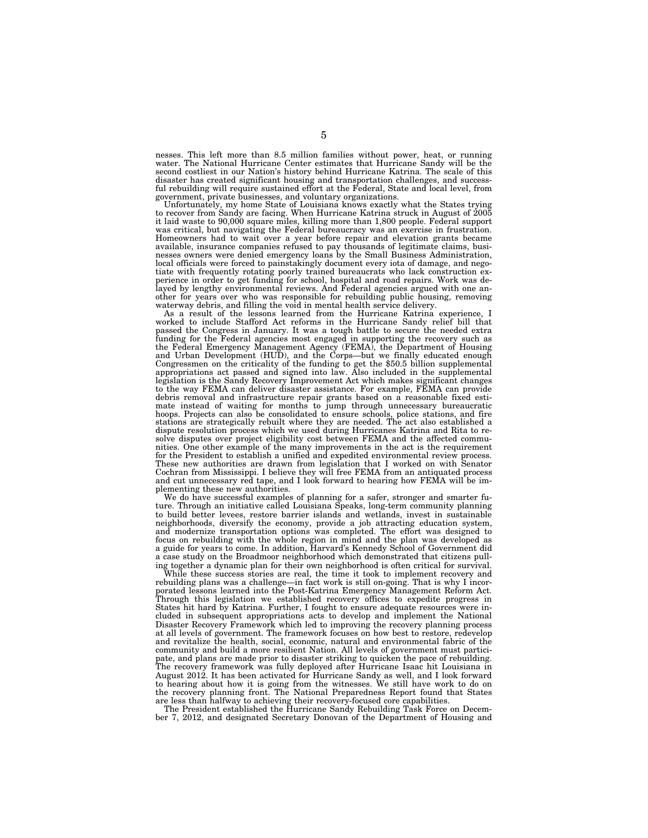nesses. This left more than 8.5 million families without power, heat, or running water. The National Hurricane Center estimates that Hurricane Sandy will be the second costliest in our Nation's history behind Hurricane Katrina. The scale of this disaster has created significant housing and transportation challenges, and successful rebuilding will require sustained effort at the Federal, State and local level, from government, private businesses, and voluntary organizations.

Unfortunately, my home State of Louisiana knows exactly what the States trying to recover from Sandy are facing. When Hurricane Katrina struck in August of 2005 it laid waste to 90,000 square miles, killing more than 1,800 people. Federal support was critical, but navigating the Federal bureaucracy was an exercise in frustration. Homeowners had to wait over a year before repair and elevation grants became available, insurance companies refused to pay thousands of legitimate claims, busi-nesses owners were denied emergency loans by the Small Business Administration, local officials were forced to painstakingly document every iota of damage, and negotiate with frequently rotating poorly trained bureaucrats who lack construction experience in order to get funding for school, hospital and road repairs. Work was de-layed by lengthy environmental reviews. And Federal agencies argued with one another for years over who was responsible for rebuilding public housing, removing waterway debris, and filling the void in mental health service delivery.

As a result of the lessons learned from the Hurricane Katrina experience, I worked to include Stafford Act reforms in the Hurricane Sandy relief bill that passed the Congress in January. It was a tough battle to secure the needed extra funding for the Federal agencies most engaged in supporting the recovery such as the Federal Emergency Management Agency (FEMA), the Department of Housing and Urban Development (HUD), and the Corps—but we finally educated enough Congressmen on the criticality of the funding to get the \$50.5 billion supplemental appropriations act passed and signed into law. Also included in the supplemental legislation is the Sandy Recovery Improvement Act which makes significant changes to the way FEMA can deliver disaster assistance. For example, FEMA can provide debris removal and infrastructure repair grants based on a reasonable fixed estimate instead of waiting for months to jump through unnecessary bureaucratic<br>hoops. Projects can also be consolidated to ensure schools, police stations, and fire<br>stations are strategically rebuilt where they are needed. Th dispute resolution process which we used during Hurricanes Katrina and Rita to resolve disputes over project eligibility cost between FEMA and the affected communities. One other example of the many improvements in the act is the requirement for the President to establish a unified and expedited environmental review process. These new authorities are drawn from legislation that I worked on with Senator Cochran from Mississippi. I believe they will free FEMA from an antiquated process and cut unnecessary red tape, and I look forward to hearing how FEMA will be implementing these new authorities.

We do have successful examples of planning for a safer, stronger and smarter future. Through an initiative called Louisiana Speaks, long-term community planning to build better levees, restore barrier islands and wetlands, invest in sustainable neighborhoods, diversify the economy, provide a job attracting education system, and modernize transportation options was completed. The effort was designed to focus on rebuilding with the whole region in mind and the plan was developed as a guide for years to come. In addition, Harvard's Kennedy School of Government did a case study on the Broadmoor neighborhood which demonstrated that citizens pulling together a dynamic plan for their own neighborhood is often critical for survival.

While these success stories are real, the time it took to implement recovery and rebuilding plans was a challenge—in fact work is still on-going. That is why I incorporated lessons learned into the Post-Katrina Emergency Management Reform Act. Through this legislation we established recovery offices to expedite progress in States hit hard by Katrina. Further, I fought to ensure adequate resources were included in subsequent appropriations acts to develop and implement the National Disaster Recovery Framework which led to improving the recovery planning process at all levels of government. The framework focuses on how best to restore, redevelop and revitalize the health, social, economic, natural and environmental fabric of the community and build a more resilient Nation. All levels of government must participate, and plans are made prior to disaster striking to quicken the pace of rebuilding. The recovery framework was fully deployed after Hurricane Isaac hit Louisiana in August 2012. It has been activated for Hurricane Sandy as well, and I look forward to hearing about how it is going from the witnesses. We still have work to do on the recovery planning front. The National Preparedness Report found that States

are less than halfway to achieving their recovery-focused core capabilities. The President established the Hurricane Sandy Rebuilding Task Force on December 7, 2012, and designated Secretary Donovan of the Department of Housing and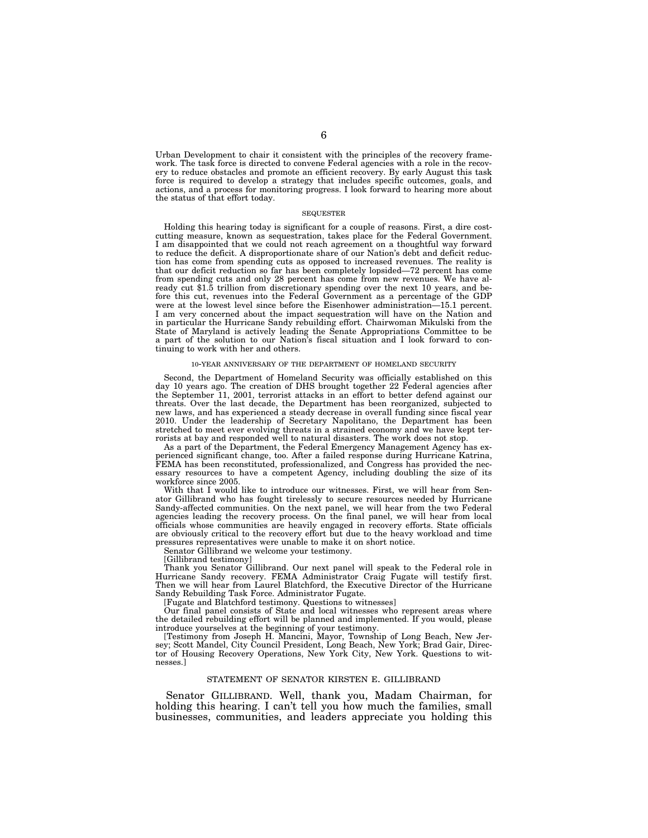Urban Development to chair it consistent with the principles of the recovery framework. The task force is directed to convene Federal agencies with a role in the recovery to reduce obstacles and promote an efficient recovery. By early August this task force is required to develop a strategy that includes specific outcomes, goals, and actions, and a process for monitoring progress. I look forward to hearing more about the status of that effort today.

#### **SEQUESTER**

Holding this hearing today is significant for a couple of reasons. First, a dire costcutting measure, known as sequestration, takes place for the Federal Government. I am disappointed that we could not reach agreement on a thoughtful way forward to reduce the deficit. A disproportionate share of our Nation's debt and deficit reduction has come from spending cuts as opposed to increased revenues. The reality is that our deficit reduction so far has been completely lopsided—72 percent has come from spending cuts and only 28 percent has come from new revenues. We have already cut \$1.5 trillion from discretionary spending over the next 10 years, and before this cut, revenues into the Federal Government as a percentage of the GDP were at the lowest level since before the Eisenhower administration—15.1 percent. I am very concerned about the impact sequestration will have on the Nation and in particular the Hurricane Sandy rebuilding effort. Chairwoman Mikulski from the State of Maryland is actively leading the Senate Appropriations Committee to be a part of the solution to our Nation's fiscal situation and I look forward to continuing to work with her and others.

#### 10-YEAR ANNIVERSARY OF THE DEPARTMENT OF HOMELAND SECURITY

Second, the Department of Homeland Security was officially established on this day 10 years ago. The creation of DHS brought together 22 Federal agencies after the September 11, 2001, terrorist attacks in an effort to better defend against our threats. Over the last decade, the Department has been reorganized, subjected to new laws, and has experienced a steady decrease in overall funding since fiscal year 2010. Under the leadership of Secretary Napolitano, the Department has been stretched to meet ever evolving threats in a strained economy and we have kept terrorists at bay and responded well to natural disasters. The work does not stop.

As a part of the Department, the Federal Emergency Management Agency has experienced significant change, too. After a failed response during Hurricane Katrina, FEMA has been reconstituted, professionalized, and Congress has provided the necessary resources to have a competent Agency, including doubling the size of its workforce since 2005.

With that I would like to introduce our witnesses. First, we will hear from Senator Gillibrand who has fought tirelessly to secure resources needed by Hurricane Sandy-affected communities. On the next panel, we will hear from the two Federal agencies leading the recovery process. On the final panel, we will hear from local officials whose communities are heavily engaged in recovery efforts. State officials are obviously critical to the recovery effort but due to the heavy workload and time pressures representatives were unable to make it on short notice.

Senator Gillibrand we welcome your testimony.

[Gillibrand testimony]

Thank you Senator Gillibrand. Our next panel will speak to the Federal role in Hurricane Sandy recovery. FEMA Administrator Craig Fugate will testify first. Then we will hear from Laurel Blatchford, the Executive Director of the Hurricane Sandy Rebuilding Task Force. Administrator Fugate.

[Fugate and Blatchford testimony. Questions to witnesses]

Our final panel consists of State and local witnesses who represent areas where the detailed rebuilding effort will be planned and implemented. If you would, please introduce yourselves at the beginning of your testimony.

[Testimony from Joseph H. Mancini, Mayor, Township of Long Beach, New Jersey; Scott Mandel, City Council President, Long Beach, New York; Brad Gair, Director of Housing Recovery Operations, New York City, New York. Questions to witnesses.]

# STATEMENT OF SENATOR KIRSTEN E. GILLIBRAND

Senator GILLIBRAND. Well, thank you, Madam Chairman, for holding this hearing. I can't tell you how much the families, small businesses, communities, and leaders appreciate you holding this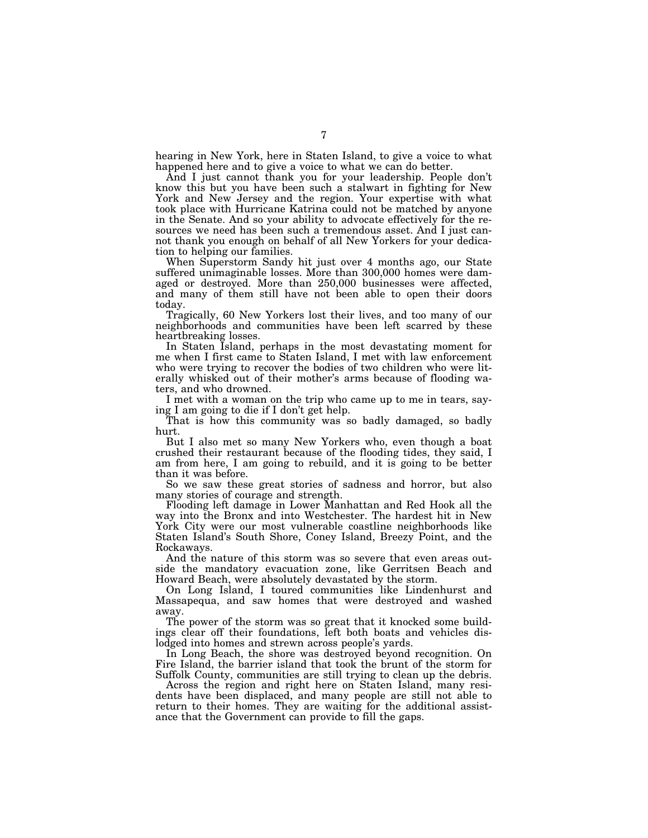hearing in New York, here in Staten Island, to give a voice to what happened here and to give a voice to what we can do better.

And I just cannot thank you for your leadership. People don't know this but you have been such a stalwart in fighting for New York and New Jersey and the region. Your expertise with what took place with Hurricane Katrina could not be matched by anyone in the Senate. And so your ability to advocate effectively for the resources we need has been such a tremendous asset. And I just cannot thank you enough on behalf of all New Yorkers for your dedication to helping our families.

When Superstorm Sandy hit just over 4 months ago, our State suffered unimaginable losses. More than 300,000 homes were damaged or destroyed. More than 250,000 businesses were affected, and many of them still have not been able to open their doors today.

Tragically, 60 New Yorkers lost their lives, and too many of our neighborhoods and communities have been left scarred by these heartbreaking losses.

In Staten Island, perhaps in the most devastating moment for me when I first came to Staten Island, I met with law enforcement who were trying to recover the bodies of two children who were literally whisked out of their mother's arms because of flooding waters, and who drowned.

I met with a woman on the trip who came up to me in tears, saying I am going to die if I don't get help.

That is how this community was so badly damaged, so badly hurt.

But I also met so many New Yorkers who, even though a boat crushed their restaurant because of the flooding tides, they said, I am from here, I am going to rebuild, and it is going to be better than it was before.

So we saw these great stories of sadness and horror, but also many stories of courage and strength.

Flooding left damage in Lower Manhattan and Red Hook all the way into the Bronx and into Westchester. The hardest hit in New York City were our most vulnerable coastline neighborhoods like Staten Island's South Shore, Coney Island, Breezy Point, and the Rockaways.

And the nature of this storm was so severe that even areas outside the mandatory evacuation zone, like Gerritsen Beach and Howard Beach, were absolutely devastated by the storm.

On Long Island, I toured communities like Lindenhurst and Massapequa, and saw homes that were destroyed and washed away.

The power of the storm was so great that it knocked some buildings clear off their foundations, left both boats and vehicles dislodged into homes and strewn across people's yards.

In Long Beach, the shore was destroyed beyond recognition. On Fire Island, the barrier island that took the brunt of the storm for Suffolk County, communities are still trying to clean up the debris.

Across the region and right here on Staten Island, many residents have been displaced, and many people are still not able to return to their homes. They are waiting for the additional assistance that the Government can provide to fill the gaps.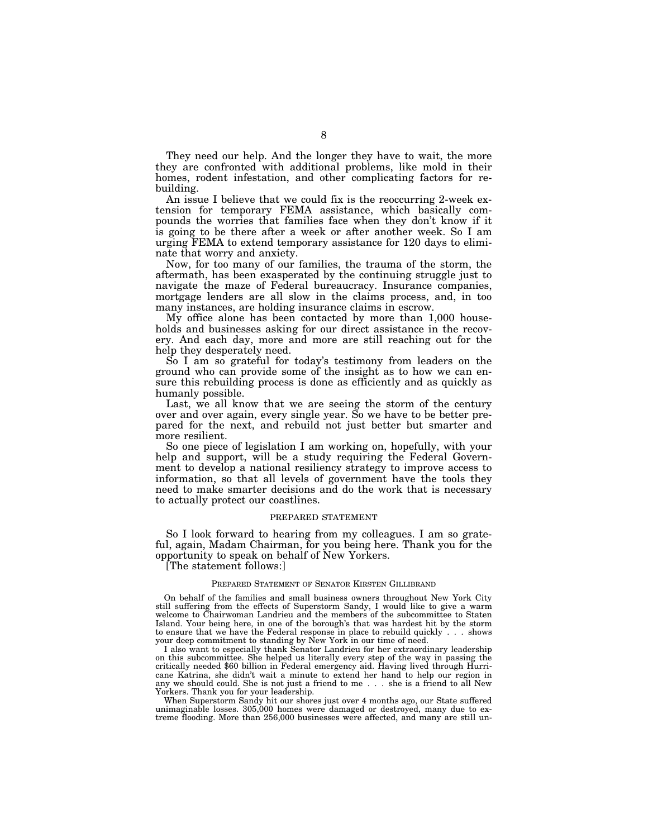They need our help. And the longer they have to wait, the more they are confronted with additional problems, like mold in their homes, rodent infestation, and other complicating factors for rebuilding.

An issue I believe that we could fix is the reoccurring 2-week extension for temporary FEMA assistance, which basically compounds the worries that families face when they don't know if it is going to be there after a week or after another week. So I am urging FEMA to extend temporary assistance for 120 days to eliminate that worry and anxiety.

Now, for too many of our families, the trauma of the storm, the aftermath, has been exasperated by the continuing struggle just to navigate the maze of Federal bureaucracy. Insurance companies, mortgage lenders are all slow in the claims process, and, in too many instances, are holding insurance claims in escrow.

My office alone has been contacted by more than 1,000 households and businesses asking for our direct assistance in the recovery. And each day, more and more are still reaching out for the help they desperately need.

So I am so grateful for today's testimony from leaders on the ground who can provide some of the insight as to how we can ensure this rebuilding process is done as efficiently and as quickly as humanly possible.

Last, we all know that we are seeing the storm of the century over and over again, every single year. So we have to be better prepared for the next, and rebuild not just better but smarter and more resilient.

So one piece of legislation I am working on, hopefully, with your help and support, will be a study requiring the Federal Government to develop a national resiliency strategy to improve access to information, so that all levels of government have the tools they need to make smarter decisions and do the work that is necessary to actually protect our coastlines.

# PREPARED STATEMENT

So I look forward to hearing from my colleagues. I am so grateful, again, Madam Chairman, for you being here. Thank you for the opportunity to speak on behalf of New Yorkers.

[The statement follows:]

## PREPARED STATEMENT OF SENATOR KIRSTEN GILLIBRAND

On behalf of the families and small business owners throughout New York City still suffering from the effects of Superstorm Sandy, I would like to give a warm welcome to Chairwoman Landrieu and the members of the subcommittee to Staten Island. Your being here, in one of the borough's that was hardest hit by the storm to ensure that we have the Federal response in place to rebuild quickly... shows your deep commitment to standing by New York in our time of need.

I also want to especially thank Senator Landrieu for her extraordinary leadership on this subcommittee. She helped us literally every step of the way in passing the critically needed \$60 billion in Federal emergency aid. Having lived through Hurricane Katrina, she didn't wait a minute to extend her hand to help our region in any we should could. She is not just a friend to me... she is a friend to all New Yorkers. Thank you for your leadership.

When Superstorm Sandy hit our shores just over 4 months ago, our State suffered unimaginable losses. 305,000 homes were damaged or destroyed, many due to extreme flooding. More than 256,000 businesses were affected, and many are still un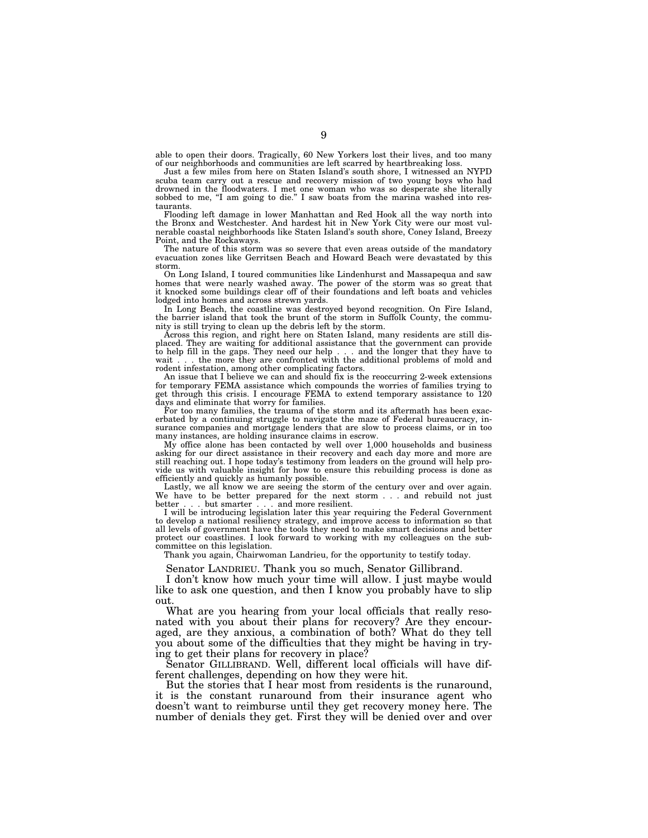able to open their doors. Tragically, 60 New Yorkers lost their lives, and too many of our neighborhoods and communities are left scarred by heartbreaking loss.

Just a few miles from here on Staten Island's south shore, I witnessed an NYPD scuba team carry out a rescue and recovery mission of two young boys who had drowned in the floodwaters. I met one woman who was so desperate she literally sobbed to me, "I am going to die." I saw boats from the marina washed into restaurants.

Flooding left damage in lower Manhattan and Red Hook all the way north into the Bronx and Westchester. And hardest hit in New York City were our most vulnerable coastal neighborhoods like Staten Island's south shore, Coney Island, Breezy Point, and the Rockaways.

The nature of this storm was so severe that even areas outside of the mandatory evacuation zones like Gerritsen Beach and Howard Beach were devastated by this storm.

On Long Island, I toured communities like Lindenhurst and Massapequa and saw homes that were nearly washed away. The power of the storm was so great that it knocked some buildings clear off of their foundations and left boats and vehicles lodged into homes and across strewn yards.

In Long Beach, the coastline was destroyed beyond recognition. On Fire Island, the barrier island that took the brunt of the storm in Suffolk County, the community is still trying to clean up the debris left by the storm.

Across this region, and right here on Staten Island, many residents are still displaced. They are waiting for additional assistance that the government can provide to help fill in the gaps. They need our help... and the longer that they have to wait . . . the more they are confronted with the additional problems of mold and rodent infestation, among other complicating factors.

An issue that I believe we can and should fix is the reoccurring 2-week extensions for temporary FEMA assistance which compounds the worries of families trying to get through this crisis. I encourage  $FEMA^*$  to extend temporary assistance to 120 days and eliminate that worry for families.

For too many families, the trauma of the storm and its aftermath has been exacerbated by a continuing struggle to navigate the maze of Federal bureaucracy, insurance companies and mortgage lenders that are slow to process claims, or in too many instances, are holding insurance claims in escrow.

My office alone has been contacted by well over 1,000 households and business asking for our direct assistance in their recovery and each day more and more are still reaching out. I hope today's testimony from leaders on the ground will help provide us with valuable insight for how to ensure this rebuilding process is done as efficiently and quickly as humanly possible.

Lastly, we all know we are seeing the storm of the century over and over again. We have to be better prepared for the next storm... and rebuild not just better... but smarter... and more resilient.

I will be introducing legislation later this year requiring the Federal Government to develop a national resiliency strategy, and improve access to information so that all levels of government have the tools they need to make smart decisions and better protect our coastlines. I look forward to working with my colleagues on the subcommittee on this legislation.

Thank you again, Chairwoman Landrieu, for the opportunity to testify today.

Senator LANDRIEU. Thank you so much, Senator Gillibrand.

I don't know how much your time will allow. I just maybe would like to ask one question, and then I know you probably have to slip out.

What are you hearing from your local officials that really resonated with you about their plans for recovery? Are they encouraged, are they anxious, a combination of both? What do they tell you about some of the difficulties that they might be having in trying to get their plans for recovery in place?

Senator GILLIBRAND. Well, different local officials will have different challenges, depending on how they were hit.

But the stories that I hear most from residents is the runaround, it is the constant runaround from their insurance agent who doesn't want to reimburse until they get recovery money here. The number of denials they get. First they will be denied over and over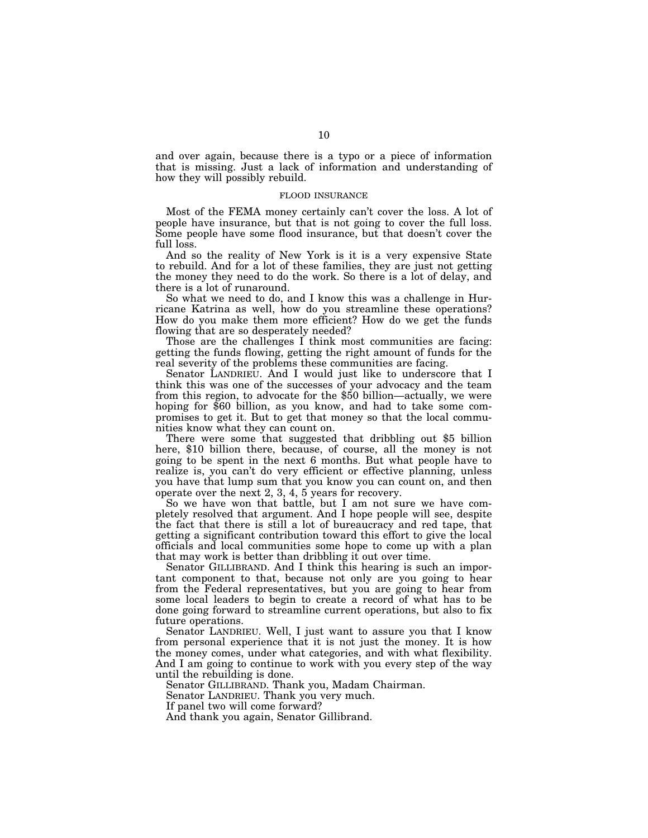and over again, because there is a typo or a piece of information that is missing. Just a lack of information and understanding of how they will possibly rebuild.

# FLOOD INSURANCE

Most of the FEMA money certainly can't cover the loss. A lot of people have insurance, but that is not going to cover the full loss. Some people have some flood insurance, but that doesn't cover the full loss.

And so the reality of New York is it is a very expensive State to rebuild. And for a lot of these families, they are just not getting the money they need to do the work. So there is a lot of delay, and there is a lot of runaround.

So what we need to do, and I know this was a challenge in Hurricane Katrina as well, how do you streamline these operations? How do you make them more efficient? How do we get the funds flowing that are so desperately needed?

Those are the challenges I think most communities are facing: getting the funds flowing, getting the right amount of funds for the real severity of the problems these communities are facing.

Senator LANDRIEU. And I would just like to underscore that I think this was one of the successes of your advocacy and the team from this region, to advocate for the \$50 billion—actually, we were hoping for \$60 billion, as you know, and had to take some compromises to get it. But to get that money so that the local communities know what they can count on.

There were some that suggested that dribbling out \$5 billion here, \$10 billion there, because, of course, all the money is not going to be spent in the next 6 months. But what people have to realize is, you can't do very efficient or effective planning, unless you have that lump sum that you know you can count on, and then operate over the next 2, 3, 4, 5 years for recovery.

So we have won that battle, but I am not sure we have completely resolved that argument. And I hope people will see, despite the fact that there is still a lot of bureaucracy and red tape, that getting a significant contribution toward this effort to give the local officials and local communities some hope to come up with a plan that may work is better than dribbling it out over time.

Senator GILLIBRAND. And I think this hearing is such an important component to that, because not only are you going to hear from the Federal representatives, but you are going to hear from some local leaders to begin to create a record of what has to be done going forward to streamline current operations, but also to fix future operations.

Senator LANDRIEU. Well, I just want to assure you that I know from personal experience that it is not just the money. It is how the money comes, under what categories, and with what flexibility. And I am going to continue to work with you every step of the way until the rebuilding is done.

Senator GILLIBRAND. Thank you, Madam Chairman.

Senator LANDRIEU. Thank you very much.

If panel two will come forward?

And thank you again, Senator Gillibrand.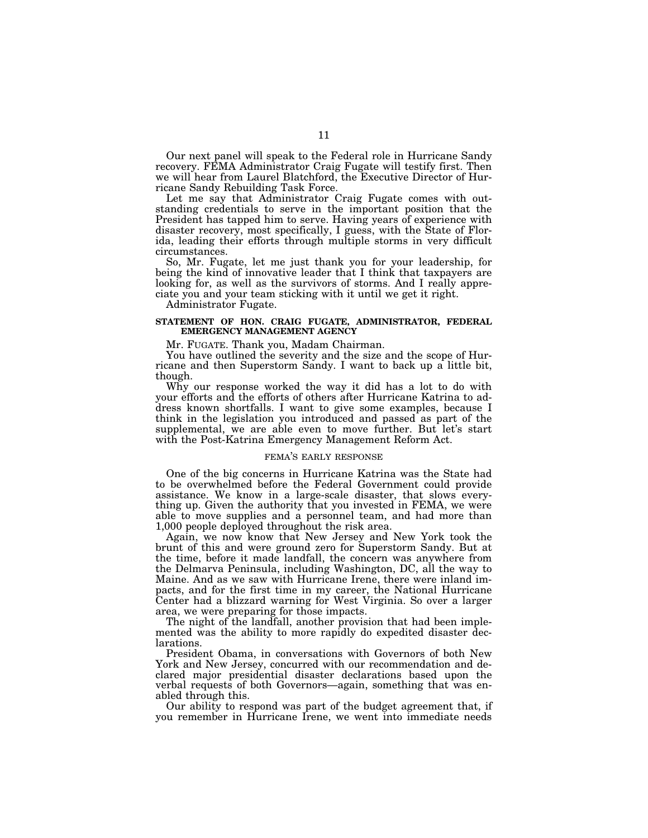Our next panel will speak to the Federal role in Hurricane Sandy recovery. FEMA Administrator Craig Fugate will testify first. Then we will hear from Laurel Blatchford, the Executive Director of Hurricane Sandy Rebuilding Task Force.

Let me say that Administrator Craig Fugate comes with outstanding credentials to serve in the important position that the President has tapped him to serve. Having years of experience with disaster recovery, most specifically, I guess, with the State of Florida, leading their efforts through multiple storms in very difficult circumstances.

So, Mr. Fugate, let me just thank you for your leadership, for being the kind of innovative leader that I think that taxpayers are looking for, as well as the survivors of storms. And I really appreciate you and your team sticking with it until we get it right.

Administrator Fugate.

# **STATEMENT OF HON. CRAIG FUGATE, ADMINISTRATOR, FEDERAL EMERGENCY MANAGEMENT AGENCY**

Mr. FUGATE. Thank you, Madam Chairman.

You have outlined the severity and the size and the scope of Hurricane and then Superstorm Sandy. I want to back up a little bit, though.

Why our response worked the way it did has a lot to do with your efforts and the efforts of others after Hurricane Katrina to address known shortfalls. I want to give some examples, because I think in the legislation you introduced and passed as part of the supplemental, we are able even to move further. But let's start with the Post-Katrina Emergency Management Reform Act.

# FEMA'S EARLY RESPONSE

One of the big concerns in Hurricane Katrina was the State had to be overwhelmed before the Federal Government could provide assistance. We know in a large-scale disaster, that slows everything up. Given the authority that you invested in FEMA, we were able to move supplies and a personnel team, and had more than 1,000 people deployed throughout the risk area.

Again, we now know that New Jersey and New York took the brunt of this and were ground zero for Superstorm Sandy. But at the time, before it made landfall, the concern was anywhere from the Delmarva Peninsula, including Washington, DC, all the way to Maine. And as we saw with Hurricane Irene, there were inland impacts, and for the first time in my career, the National Hurricane Center had a blizzard warning for West Virginia. So over a larger area, we were preparing for those impacts.

The night of the landfall, another provision that had been implemented was the ability to more rapidly do expedited disaster declarations.

President Obama, in conversations with Governors of both New York and New Jersey, concurred with our recommendation and declared major presidential disaster declarations based upon the verbal requests of both Governors—again, something that was enabled through this.

Our ability to respond was part of the budget agreement that, if you remember in Hurricane Irene, we went into immediate needs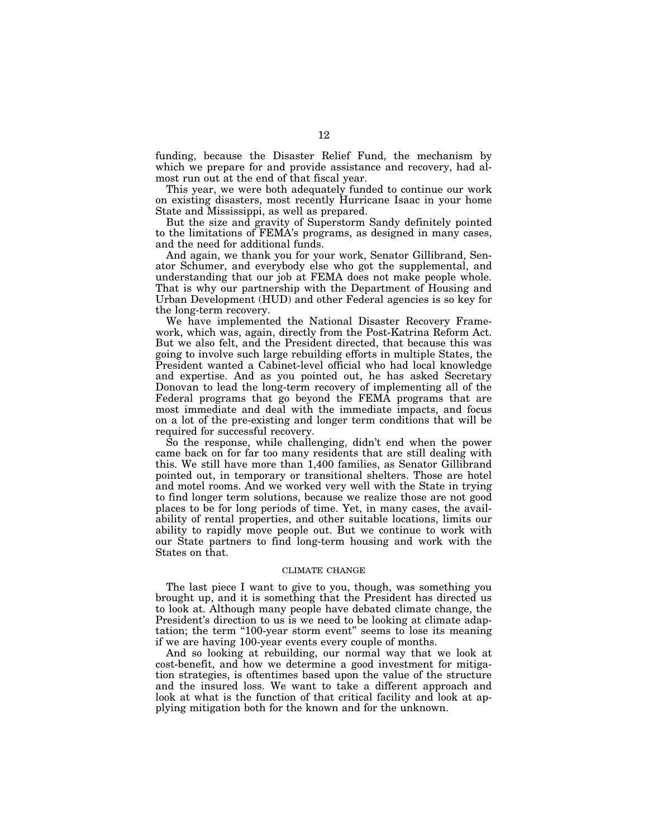funding, because the Disaster Relief Fund, the mechanism by which we prepare for and provide assistance and recovery, had almost run out at the end of that fiscal year.

This year, we were both adequately funded to continue our work on existing disasters, most recently Hurricane Isaac in your home State and Mississippi, as well as prepared.

But the size and gravity of Superstorm Sandy definitely pointed to the limitations of FEMA's programs, as designed in many cases, and the need for additional funds.

And again, we thank you for your work, Senator Gillibrand, Senator Schumer, and everybody else who got the supplemental, and understanding that our job at FEMA does not make people whole. That is why our partnership with the Department of Housing and Urban Development (HUD) and other Federal agencies is so key for the long-term recovery.

We have implemented the National Disaster Recovery Framework, which was, again, directly from the Post-Katrina Reform Act. But we also felt, and the President directed, that because this was going to involve such large rebuilding efforts in multiple States, the President wanted a Cabinet-level official who had local knowledge and expertise. And as you pointed out, he has asked Secretary Donovan to lead the long-term recovery of implementing all of the Federal programs that go beyond the FEMA programs that are most immediate and deal with the immediate impacts, and focus on a lot of the pre-existing and longer term conditions that will be required for successful recovery.

So the response, while challenging, didn't end when the power came back on for far too many residents that are still dealing with this. We still have more than 1,400 families, as Senator Gillibrand pointed out, in temporary or transitional shelters. Those are hotel and motel rooms. And we worked very well with the State in trying to find longer term solutions, because we realize those are not good places to be for long periods of time. Yet, in many cases, the availability of rental properties, and other suitable locations, limits our ability to rapidly move people out. But we continue to work with our State partners to find long-term housing and work with the States on that.

# CLIMATE CHANGE

The last piece I want to give to you, though, was something you brought up, and it is something that the President has directed us to look at. Although many people have debated climate change, the President's direction to us is we need to be looking at climate adaptation; the term "100-year storm event" seems to lose its meaning if we are having 100-year events every couple of months.

And so looking at rebuilding, our normal way that we look at cost-benefit, and how we determine a good investment for mitigation strategies, is oftentimes based upon the value of the structure and the insured loss. We want to take a different approach and look at what is the function of that critical facility and look at applying mitigation both for the known and for the unknown.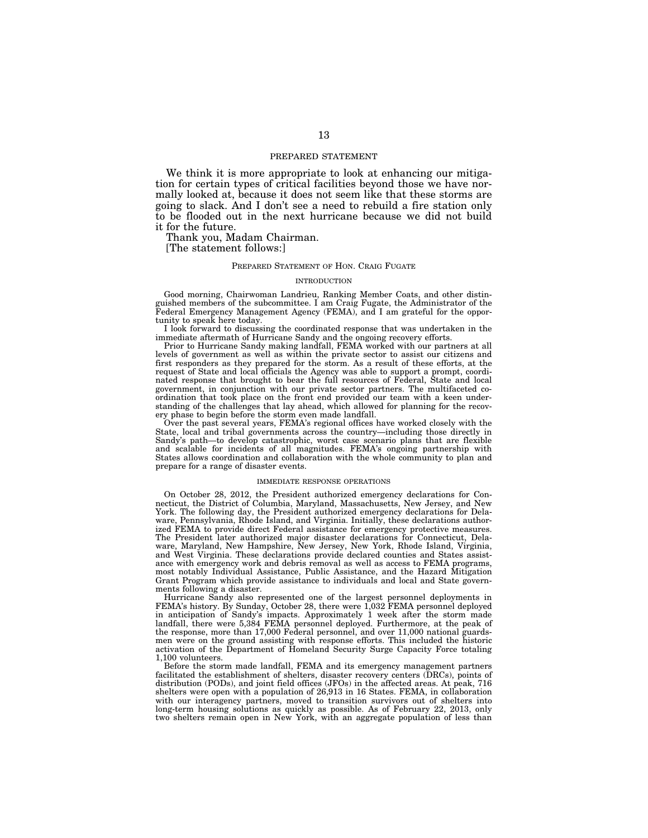# PREPARED STATEMENT

We think it is more appropriate to look at enhancing our mitigation for certain types of critical facilities beyond those we have normally looked at, because it does not seem like that these storms are going to slack. And I don't see a need to rebuild a fire station only to be flooded out in the next hurricane because we did not build it for the future.

Thank you, Madam Chairman.

[The statement follows:]

# PREPARED STATEMENT OF HON. CRAIG FUGATE

#### INTRODUCTION

Good morning, Chairwoman Landrieu, Ranking Member Coats, and other distinguished members of the subcommittee. I am Craig Fugate, the Administrator of the Federal Emergency Management Agency (FEMA), and I am grateful for the opportunity to speak here today.

I look forward to discussing the coordinated response that was undertaken in the immediate aftermath of Hurricane Sandy and the ongoing recovery efforts.

Prior to Hurricane Sandy making landfall, FEMA worked with our partners at all levels of government as well as within the private sector to assist our citizens and first responders as they prepared for the storm. As a result of these efforts, at the request of State and local officials the Agency was able to support a prompt, coordinated response that brought to bear the full resources of Federal, State and local government, in conjunction with our private sector partners. The multifaceted coordination that took place on the front end provided our team with a keen understanding of the challenges that lay ahead, which allowed for planning for the recovery phase to begin before the storm even made landfall.

Over the past several years, FEMA's regional offices have worked closely with the State, local and tribal governments across the country—including those directly in Sandy's path—to develop catastrophic, worst case scenario plans that are flexible and scalable for incidents of all magnitudes. FEMA's ongoing partnership with States allows coordination and collaboration with the whole community to plan and prepare for a range of disaster events.

#### IMMEDIATE RESPONSE OPERATIONS

On October 28, 2012, the President authorized emergency declarations for Connecticut, the District of Columbia, Maryland, Massachusetts, New Jersey, and New York. The following day, the President authorized emergency declarations for Delaware, Pennsylvania, Rhode Island, and Virginia. Initially, these declarations authorized FEMA to provide direct Federal assistance for emergency protective measures. The President later authorized major disaster declarations for Connecticut, Delaware, Maryland, New Hampshire, New Jersey, New York, Rhode Island, Virginia, and West Virginia. These declarations provide declared counties and States assistance with emergency work and debris removal as well as access to FEMA programs, most notably Individual Assistance, Public Assistance, and the Hazard Mitigation Grant Program which provide assistance to individuals and local and State governments following a disaster.

Hurricane Sandy also represented one of the largest personnel deployments in FEMA's history. By Sunday, October 28, there were 1,032 FEMA personnel deployed in anticipation of Sandy's impacts. Approximately 1 week after the storm made landfall, there were 5,384 FEMA personnel deployed. Furthermore, at the peak of the response, more than 17,000 Federal personnel, and over 11,000 national guardsmen were on the ground assisting with response efforts. This included the historic activation of the Department of Homeland Security Surge Capacity Force totaling 1,100 volunteers.

Before the storm made landfall, FEMA and its emergency management partners facilitated the establishment of shelters, disaster recovery centers (DRCs), points of distribution (PODs), and joint field offices (JFOs) in the affected areas. At peak, 716 shelters were open with a population of 26,913 in 16 States. FEMA, in collaboration with our interagency partners, moved to transition survivors out of shelters into long-term housing solutions as quickly as possible. As of February 22, 2013, only two shelters remain open in New York, with an aggregate population of less than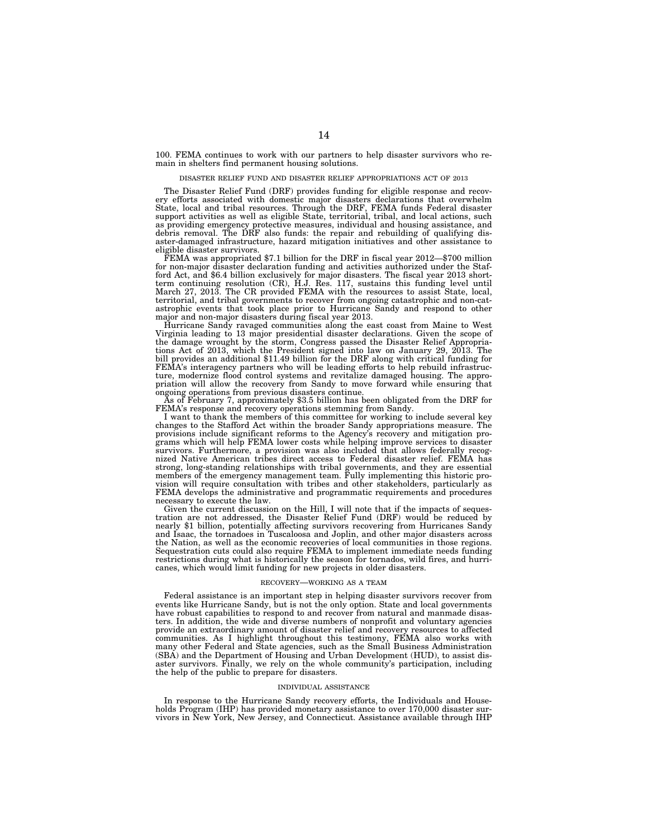100. FEMA continues to work with our partners to help disaster survivors who remain in shelters find permanent housing solutions.

#### DISASTER RELIEF FUND AND DISASTER RELIEF APPROPRIATIONS ACT OF 2013

The Disaster Relief Fund (DRF) provides funding for eligible response and recovery efforts associated with domestic major disasters declarations that overwhelm State, local and tribal resources. Through the DRF, FEMA funds Federal disaster support activities as well as eligible State, territorial, tribal, and local actions, such as providing emergency protective measures, individual and housing assistance, and debris removal. The DRF also funds: the repair and rebuilding of qualifying disaster-damaged infrastructure, hazard mitigation initiatives and other assistance to eligible disaster survivors.

FEMA was appropriated \$7.1 billion for the DRF in fiscal year 2012—\$700 million for non-major disaster declaration funding and activities authorized under the Stafford Act, and \$6.4 billion exclusively for major disasters. The fiscal year 2013 short-<br>term continuing resolution (CR), H.J. Res. 117, sustains this funding level until<br>March 27, 2013. The CR provided FEMA with the resour territorial, and tribal governments to recover from ongoing catastrophic and non-catastrophic events that took place prior to Hurricane Sandy and respond to other major and non-major disasters during fiscal year 2013.

Hurricane Sandy ravaged communities along the east coast from Maine to West Virginia leading to 13 major presidential disaster declarations. Given the scope of the damage wrought by the storm, Congress passed the Disaster Relief Appropria-tions Act of 2013, which the President signed into law on January 29, 2013. The bill provides an additional \$11.49 billion for the DRF along with critical funding for FEMA's interagency partners who will be leading efforts to help rebuild infrastructure, modernize flood control systems and revitalize damaged housing. The appro-priation will allow the recovery from Sandy to move forward while ensuring that

ongoing operations from previous disasters continue. As of February 7, approximately \$3.5 billion has been obligated from the DRF for

FEMA's response and recovery operations stemming from Sandy. I want to thank the members of this committee for working to include several key changes to the Stafford Act within the broader Sandy appropriations measure. The provisions include significant reforms to the Agency's recovery and mitigation programs which will help FEMA lower costs while helping improve services to disaster survivors. Furthermore, a provision was also included that allows federally recognized Native American tribes direct access to Federal disaster relief. FEMA has strong, long-standing relationships with tribal governments, and they are essential members of the emergency management team. Fully implementing this historic provision will require consultation with tribes and other stakeholders, particularly as FEMA develops the administrative and programmatic requirements and procedures necessary to execute the law.

Given the current discussion on the Hill, I will note that if the impacts of sequestration are not addressed, the Disaster Relief Fund (DRF) would be reduced by nearly \$1 billion, potentially affecting survivors recovering from Hurricanes Sandy and Isaac, the tornadoes in Tuscaloosa and Joplin, and other major disasters across the Nation, as well as the economic recoveries of local communities in those regions. Sequestration cuts could also require FEMA to implement immediate needs funding restrictions during what is historically the season for tornados, wild fires, and hurricanes, which would limit funding for new projects in older disasters.

### RECOVERY—WORKING AS A TEAM

Federal assistance is an important step in helping disaster survivors recover from events like Hurricane Sandy, but is not the only option. State and local governments have robust capabilities to respond to and recover from natural and manmade disasters. In addition, the wide and diverse numbers of nonprofit and voluntary agencies provide an extraordinary amount of disaster relief and recovery resources to affected communities. As I highlight throughout this testimony, FEMA also works with many other Federal and State agencies, such as the Small Business Administration (SBA) and the Department of Housing and Urban Development (HUD), to assist disaster survivors. Finally, we rely on the whole community's participation, including the help of the public to prepare for disasters.

#### INDIVIDUAL ASSISTANCE

In response to the Hurricane Sandy recovery efforts, the Individuals and Households Program (IHP) has provided monetary assistance to over 170,000 disaster survivors in New York, New Jersey, and Connecticut. Assistance available through IHP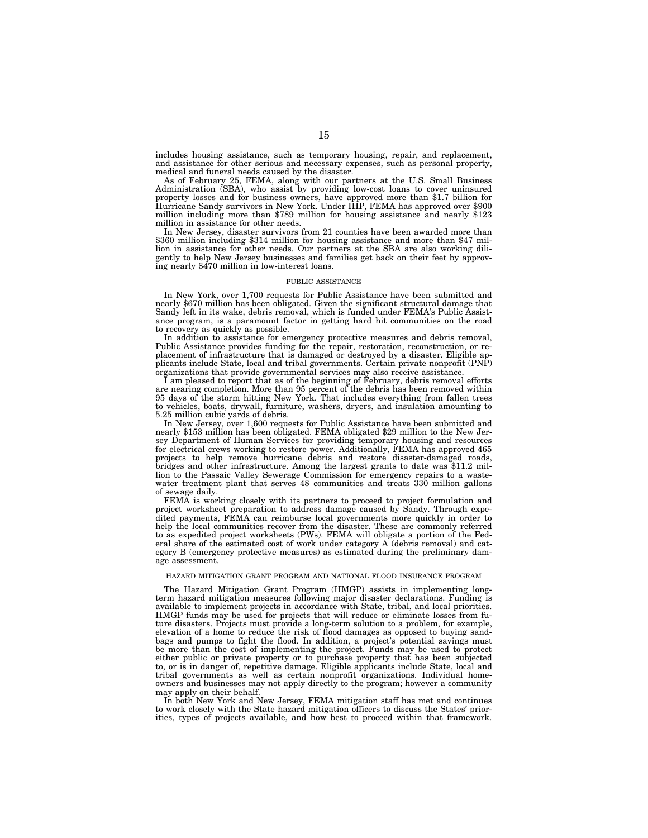includes housing assistance, such as temporary housing, repair, and replacement, and assistance for other serious and necessary expenses, such as personal property, medical and funeral needs caused by the disaster.

As of February 25, FEMA, along with our partners at the U.S. Small Business Administration (SBA), who assist by providing low-cost loans to cover uninsured property losses and for business owners, have approved more than \$1.7 billion for Hurricane Sandy survivors in New York. Under IHP, FEMA has approved over \$900 million including more than \$789 million for housing assistance and nearly \$123 million in assistance for other needs.

In New Jersey, disaster survivors from 21 counties have been awarded more than \$360 million including \$314 million for housing assistance and more than \$47 million in assistance for other needs. Our partners at the SBA are also working diligently to help New Jersey businesses and families get back on their feet by approving nearly \$470 million in low-interest loans.

#### PUBLIC ASSISTANCE

In New York, over 1,700 requests for Public Assistance have been submitted and nearly \$670 million has been obligated. Given the significant structural damage that Sandy left in its wake, debris removal, which is funded under FEMA's Public Assistance program, is a paramount factor in getting hard hit communities on the road to recovery as quickly as possible.

In addition to assistance for emergency protective measures and debris removal, Public Assistance provides funding for the repair, restoration, reconstruction, or replacement of infrastructure that is damaged or destroyed by a disaster. Eligible applicants include State, local and tribal governments. Certain private nonprofit (PNP) organizations that provide governmental services may also receive assistance.

I am pleased to report that as of the beginning of February, debris removal efforts are nearing completion. More than 95 percent of the debris has been removed within 95 days of the storm hitting New York. That includes everything from fallen trees to vehicles, boats, drywall, furniture, washers, dryers, and insulation amounting to 5.25 million cubic yards of debris.

In New Jersey, over 1,600 requests for Public Assistance have been submitted and nearly \$153 million has been obligated. FEMA obligated \$29 million to the New Jersey Department of Human Services for providing temporary housing and resources for electrical crews working to restore power. Additionally, FEMA has approved 465 projects to help remove hurricane debris and restore disaster-damaged roads, bridges and other infrastructure. Among the largest grants to date was \$11.2 million to the Passaic Valley Sewerage Commission for emergency repairs to a wastewater treatment plant that serves 48 communities and treats 330 million gallons of sewage daily.

FEMA is working closely with its partners to proceed to project formulation and project worksheet preparation to address damage caused by Sandy. Through expedited payments, FEMA can reimburse local governments more quickly in order to help the local communities recover from the disaster. These are commonly referred to as expedited project worksheets (PWs). FEMA will obligate a portion of the Federal share of the estimated cost of work under category A (debris removal) and category B (emergency protective measures) as estimated during the preliminary damage assessment.

# HAZARD MITIGATION GRANT PROGRAM AND NATIONAL FLOOD INSURANCE PROGRAM

The Hazard Mitigation Grant Program (HMGP) assists in implementing longterm hazard mitigation measures following major disaster declarations. Funding is available to implement projects in accordance with State, tribal, and local priorities. HMGP funds may be used for projects that will reduce or eliminate losses from future disasters. Projects must provide a long-term solution to a problem, for example, elevation of a home to reduce the risk of flood damages as opposed to buying sandbags and pumps to fight the flood. In addition, a project's potential savings must be more than the cost of implementing the project. Funds may be used to protect either public or private property or to purchase property that has been subjected to, or is in danger of, repetitive damage. Eligible applicants include State, local and tribal governments as well as certain nonprofit organizations. Individual homeowners and businesses may not apply directly to the program; however a community may apply on their behalf.

In both New York and New Jersey, FEMA mitigation staff has met and continues to work closely with the State hazard mitigation officers to discuss the States' priorities, types of projects available, and how best to proceed within that framework.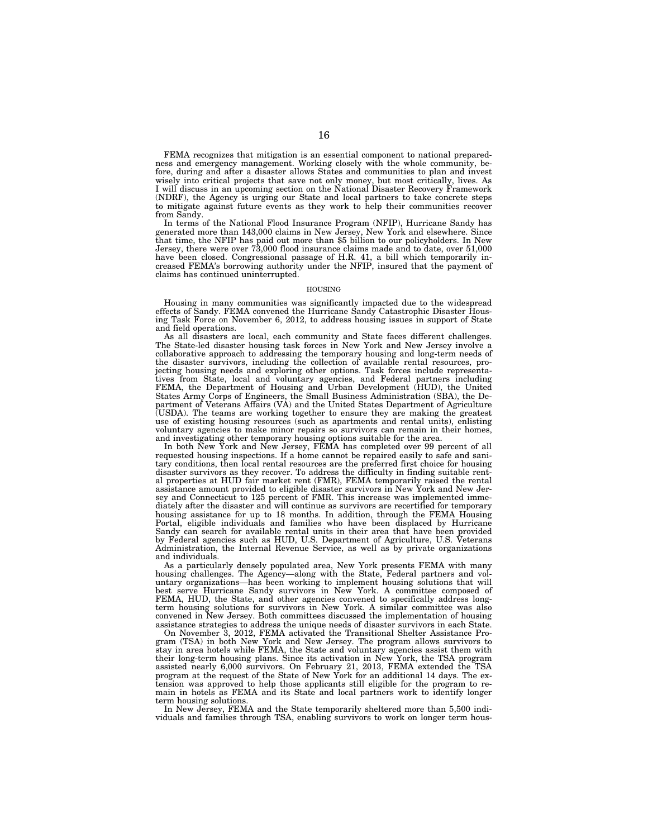FEMA recognizes that mitigation is an essential component to national preparedness and emergency management. Working closely with the whole community, before, during and after a disaster allows States and communities to plan and invest wisely into critical projects that save not only money, but most critically, lives. As I will discuss in an upcoming section on the National Disaster Recovery Framework (NDRF), the Agency is urging our State and local partners to take concrete steps to mitigate against future events as they work to help their communities recover from Sandy.

In terms of the National Flood Insurance Program (NFIP), Hurricane Sandy has generated more than 143,000 claims in New Jersey, New York and elsewhere. Since that time, the NFIP has paid out more than \$5 billion to our policyholders. In New Jersey, there were over 73,000 flood insurance claims made and to date, over 51,000 have been closed. Congressional passage of H.R. 41, a bill which temporarily increased FEMA's borrowing authority under the NFIP, insured that the payment of claims has continued uninterrupted.

#### HOUSING

Housing in many communities was significantly impacted due to the widespread effects of Sandy. FEMA convened the Hurricane Sandy Catastrophic Disaster Housing Task Force on November 6, 2012, to address housing issues in support of State and field operations.

As all disasters are local, each community and State faces different challenges. The State-led disaster housing task forces in New York and New Jersey involve a collaborative approach to addressing the temporary housing and long-term needs of the disaster survivors, including the collection of available rental resources, projecting housing needs and exploring other options. Task forces include representatives from State, local and voluntary agencies, and Federal partners including FEMA, the Department of Housing and Urban Development (HUD), the United States Army Corps of Engineers, the Small Business Administration (SBA), the Department of Veterans Affairs (VA) and the United States Department of Agriculture (USDA). The teams are working together to ensure they are making the greatest use of existing housing resources (such as apartments and rental units), enlisting voluntary agencies to make minor repairs so survivors can remain in their homes, and investigating other temporary housing options suitable for the area.

In both New York and New Jersey, FEMA has completed over 99 percent of all requested housing inspections. If a home cannot be repaired easily to safe and sanitary conditions, then local rental resources are the preferred first choice for housing disaster survivors as they recover. To address the difficulty in finding suitable rental properties at HUD fair market rent (FMR), FEMA temporarily raised the rental assistance amount provided to eligible disaster survivors in New York and New Jersey and Connecticut to 125 percent of FMR. This increase was implemented immediately after the disaster and will continue as survivors are recertified for temporary housing assistance for up to 18 months. In addition, through the FEMA Housing Portal, eligible individuals and families who have been displaced by Hurricane Sandy can search for available rental units in their area that have been provided by Federal agencies such as HUD, U.S. Department of Agriculture, U.S. Veterans Administration, the Internal Revenue Service, as well as by private organizations and individuals.

As a particularly densely populated area, New York presents FEMA with many housing challenges. The Agency—along with the State, Federal partners and voluntary organizations—has been working to implement housing solutions that will best serve Hurricane Sandy survivors in New York. A committee composed of FEMA, HUD, the State, and other agencies convened to specifically address longterm housing solutions for survivors in New York. A similar committee was also convened in New Jersey. Both committees discussed the implementation of housing assistance strategies to address the unique needs of disaster survivors in each State.

On November 3, 2012, FEMA activated the Transitional Shelter Assistance Program (TSA) in both New York and New Jersey. The program allows survivors to stay in area hotels while FEMA, the State and voluntary agencies assist them with their long-term housing plans. Since its activation in New York, the TSA program assisted nearly 6,000 survivors. On February 21, 2013, FEMA extended the TSA program at the request of the State of New York for an additional 14 days. The extension was approved to help those applicants still eligible for the program to remain in hotels as FEMA and its State and local partners work to identify longer term housing solutions.

In New Jersey, FEMA and the State temporarily sheltered more than 5,500 individuals and families through TSA, enabling survivors to work on longer term hous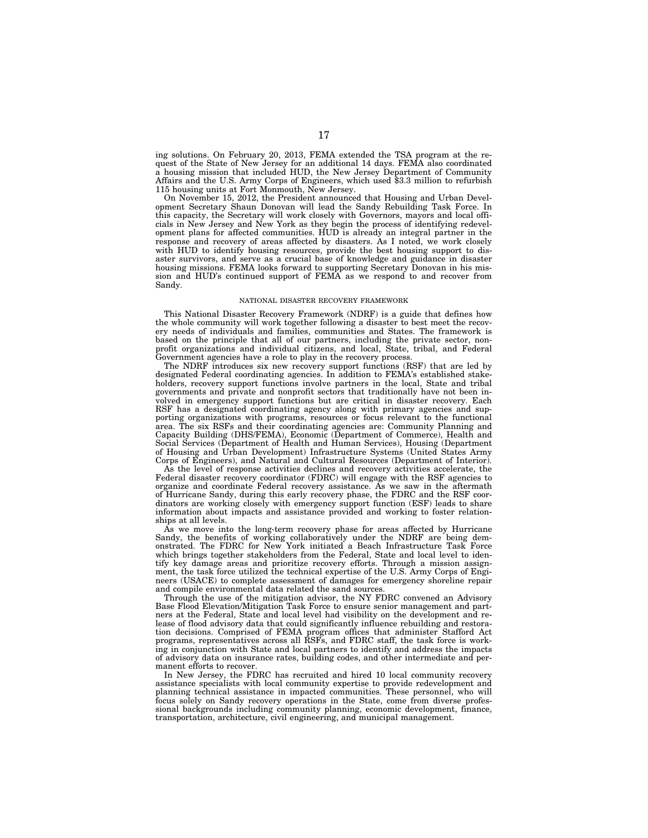ing solutions. On February 20, 2013, FEMA extended the TSA program at the request of the State of New Jersey for an additional 14 days. FEMA also coordinated housing mission that included HUD, the New Jersey Department of Community Affairs and the U.S. Army Corps of Engineers, which used \$3.3 million to refurbish 115 housing units at Fort Monmouth, New Jersey.

On November 15, 2012, the President announced that Housing and Urban Development Secretary Shaun Donovan will lead the Sandy Rebuilding Task Force. In this capacity, the Secretary will work closely with Governors, mayors and local officials in New Jersey and New York as they begin the process of identifying redevelopment plans for affected communities. HUD is already an integral partner in the response and recovery of areas affected by disasters. As I noted, we work closely with HUD to identify housing resources, provide the best housing support to disaster survivors, and serve as a crucial base of knowledge and guidance in disaster housing missions. FEMA looks forward to supporting Secretary Donovan in his mission and HUD's continued support of FEMA as we respond to and recover from Sandy.

#### NATIONAL DISASTER RECOVERY FRAMEWORK

This National Disaster Recovery Framework (NDRF) is a guide that defines how the whole community will work together following a disaster to best meet the recovery needs of individuals and families, communities and States. The framework is based on the principle that all of our partners, including the private sector, nonprofit organizations and individual citizens, and local, State, tribal, and Federal Government agencies have a role to play in the recovery process.

The NDRF introduces six new recovery support functions (RSF) that are led by designated Federal coordinating agencies. In addition to FEMA's established stakeholders, recovery support functions involve partners in the local, State and tribal governments and private and nonprofit sectors that traditionally have not been involved in emergency support functions but are critical in disaster recovery. Each RSF has a designated coordinating agency along with primary agencies and supporting organizations with programs, resources or focus relevant to the functional area. The six RSFs and their coordinating agencies are: Community Planning and Capacity Building (DHS/FEMA), Economic (Department of Commerce), Health and Social Services (Department of Health and Human Services), Housing (Department of Housing and Urban Development) Infrastructure Systems (United States Army Corps of Engineers), and Natural and Cultural Resources (Department of Interior).

As the level of response activities declines and recovery activities accelerate, the Federal disaster recovery coordinator (FDRC) will engage with the RSF agencies to organize and coordinate Federal recovery assistance. As we saw in the aftermath of Hurricane Sandy, during this early recovery phase, the FDRC and the RSF coordinators are working closely with emergency support function (ESF) leads to share information about impacts and assistance provided and working to foster relationships at all levels.

As we move into the long-term recovery phase for areas affected by Hurricane Sandy, the benefits of working collaboratively under the NDRF are being demonstrated. The FDRC for New York initiated a Beach Infrastructure Task Force which brings together stakeholders from the Federal, State and local level to identify key damage areas and prioritize recovery efforts. Through a mission assignment, the task force utilized the technical expertise of the U.S. Army Corps of Engineers (USACE) to complete assessment of damages for emergency shoreline repair and compile environmental data related the sand sources.

Through the use of the mitigation advisor, the NY FDRC convened an Advisory Base Flood Elevation/Mitigation Task Force to ensure senior management and partners at the Federal, State and local level had visibility on the development and release of flood advisory data that could significantly influence rebuilding and restoration decisions. Comprised of FEMA program offices that administer Stafford Act programs, representatives across all RSFs, and FDRC staff, the task force is working in conjunction with State and local partners to identify and address the impacts of advisory data on insurance rates, building codes, and other intermediate and permanent efforts to recover.

In New Jersey, the FDRC has recruited and hired 10 local community recovery assistance specialists with local community expertise to provide redevelopment and planning technical assistance in impacted communities. These personnel, who will focus solely on Sandy recovery operations in the State, come from diverse professional backgrounds including community planning, economic development, finance, transportation, architecture, civil engineering, and municipal management.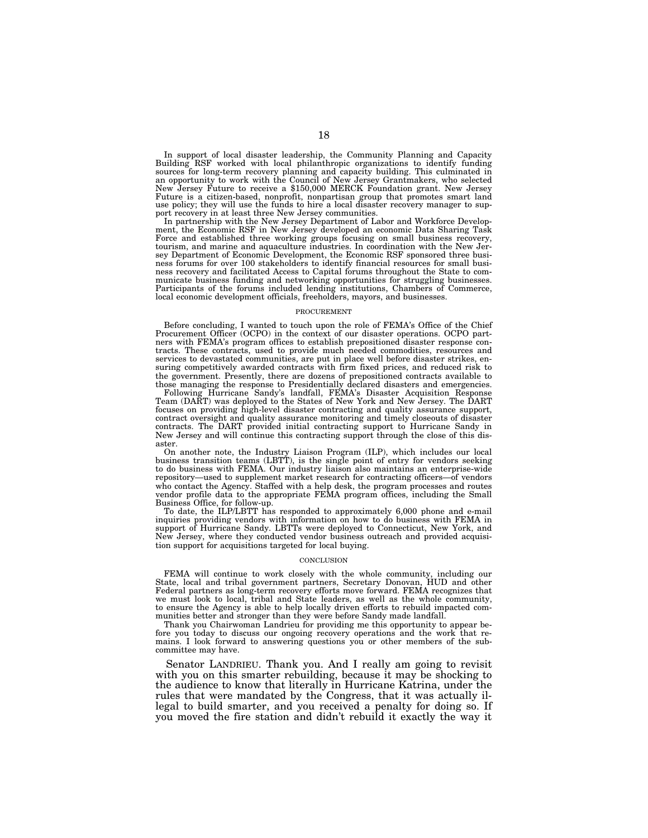In support of local disaster leadership, the Community Planning and Capacity<br>Building RSF worked with local philanthropic organizations to identify funding<br>sources for long-term recovery planning and capacity building. Thi Future is a citizen-based, nonprofit, nonpartisan group that promotes smart land use policy; they will use the funds to hire a local disaster recovery manager to support recovery in at least three New Jersey communities.

In partnership with the New Jersey Department of Labor and Workforce Develop-ment, the Economic RSF in New Jersey developed an economic Data Sharing Task Force and established three working groups focusing on small business recovery, tourism, and marine and aquaculture industries. In coordination with the New Jer-sey Department of Economic Development, the Economic RSF sponsored three business forums for over 100 stakeholders to identify financial resources for small busi-ness recovery and facilitated Access to Capital forums throughout the State to communicate business funding and networking opportunities for struggling businesses. Participants of the forums included lending institutions, Chambers of Commerce, local economic development officials, freeholders, mayors, and businesses.

#### PROCUREMENT

Before concluding, I wanted to touch upon the role of FEMA's Office of the Chief Procurement Officer (OCPO) in the context of our disaster operations. OCPO partners with FEMA's program offices to establish prepositioned disaster response contracts. These contracts, used to provide much needed commodities, resources and services to devastated communities, are put in place well before disaster strikes, ensuring competitively awarded contracts with firm fixed prices, and reduced risk to the government. Presently, there are dozens of prepositioned contracts available to those managing the response to Presidentially declared disasters and emergencies.

Following Hurricane Sandy's landfall, FEMA's Disaster Acquisition Response Team (DART) was deployed to the States of New York and New Jersey. The DART focuses on providing high-level disaster contracting and quality assurance support, contract oversight and quality assurance monitoring and timely closeouts of disaster contracts. The DART provided initial contracting support to Hurricane Sandy in New Jersey and will continue this contracting support through the close of this disaster.

On another note, the Industry Liaison Program (ILP), which includes our local business transition teams (LBTT), is the single point of entry for vendors seeking to do business with FEMA. Our industry liaison also maintains an enterprise-wide repository—used to supplement market research for contracting officers—of vendors who contact the Agency. Staffed with a help desk, the program processes and routes vendor profile data to the appropriate FEMA program offices, including the Small Business Office, for follow-up.

To date, the ILP/LBTT has responded to approximately 6,000 phone and e-mail inquiries providing vendors with information on how to do business with FEMA in support of Hurricane Sandy. LBTTs were deployed to Connecticut, New York, and New Jersey, where they conducted vendor business outreach and provided acquisition support for acquisitions targeted for local buying.

#### **CONCLUSION**

FEMA will continue to work closely with the whole community, including our State, local and tribal government partners, Secretary Donovan, HUD and other Federal partners as long-term recovery efforts move forward. FEMA recognizes that we must look to local, tribal and State leaders, as well as the whole community, to ensure the Agency is able to help locally driven efforts to rebuild impacted communities better and stronger than they were before Sandy made landfall.

Thank you Chairwoman Landrieu for providing me this opportunity to appear before you today to discuss our ongoing recovery operations and the work that remains. I look forward to answering questions you or other members of the subcommittee may have.

Senator LANDRIEU. Thank you. And I really am going to revisit with you on this smarter rebuilding, because it may be shocking to the audience to know that literally in Hurricane Katrina, under the rules that were mandated by the Congress, that it was actually illegal to build smarter, and you received a penalty for doing so. If you moved the fire station and didn't rebuild it exactly the way it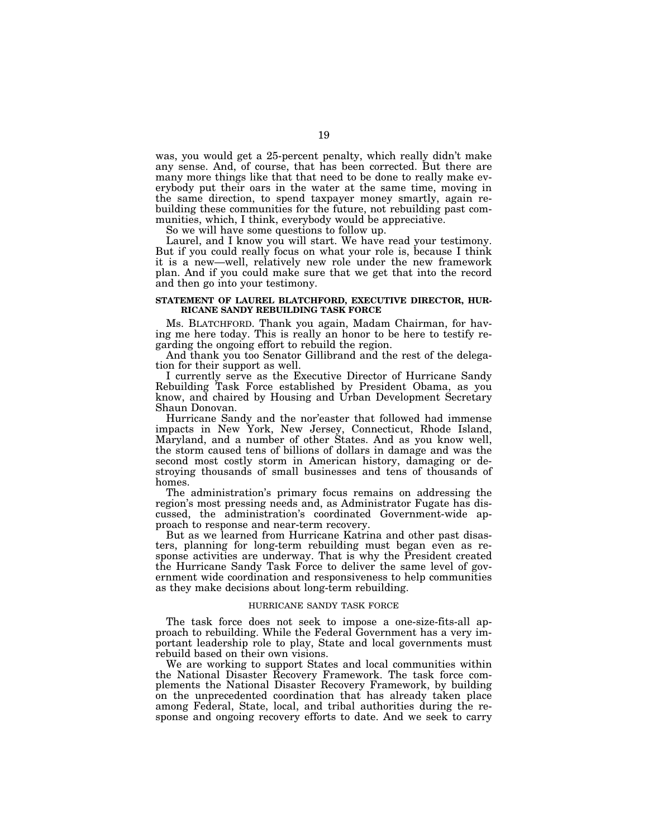was, you would get a 25-percent penalty, which really didn't make any sense. And, of course, that has been corrected. But there are many more things like that that need to be done to really make everybody put their oars in the water at the same time, moving in the same direction, to spend taxpayer money smartly, again rebuilding these communities for the future, not rebuilding past communities, which, I think, everybody would be appreciative.

So we will have some questions to follow up.

Laurel, and I know you will start. We have read your testimony. But if you could really focus on what your role is, because I think it is a new—well, relatively new role under the new framework plan. And if you could make sure that we get that into the record and then go into your testimony.

### **STATEMENT OF LAUREL BLATCHFORD, EXECUTIVE DIRECTOR, HUR-RICANE SANDY REBUILDING TASK FORCE**

Ms. BLATCHFORD. Thank you again, Madam Chairman, for having me here today. This is really an honor to be here to testify regarding the ongoing effort to rebuild the region.

And thank you too Senator Gillibrand and the rest of the delegation for their support as well.

I currently serve as the Executive Director of Hurricane Sandy Rebuilding Task Force established by President Obama, as you know, and chaired by Housing and Urban Development Secretary Shaun Donovan.

Hurricane Sandy and the nor'easter that followed had immense impacts in New York, New Jersey, Connecticut, Rhode Island, Maryland, and a number of other States. And as you know well, the storm caused tens of billions of dollars in damage and was the second most costly storm in American history, damaging or destroying thousands of small businesses and tens of thousands of homes.

The administration's primary focus remains on addressing the region's most pressing needs and, as Administrator Fugate has discussed, the administration's coordinated Government-wide approach to response and near-term recovery.

But as we learned from Hurricane Katrina and other past disasters, planning for long-term rebuilding must began even as response activities are underway. That is why the President created the Hurricane Sandy Task Force to deliver the same level of government wide coordination and responsiveness to help communities as they make decisions about long-term rebuilding.

# HURRICANE SANDY TASK FORCE

The task force does not seek to impose a one-size-fits-all approach to rebuilding. While the Federal Government has a very important leadership role to play, State and local governments must rebuild based on their own visions.

We are working to support States and local communities within the National Disaster Recovery Framework. The task force complements the National Disaster Recovery Framework, by building on the unprecedented coordination that has already taken place among Federal, State, local, and tribal authorities during the response and ongoing recovery efforts to date. And we seek to carry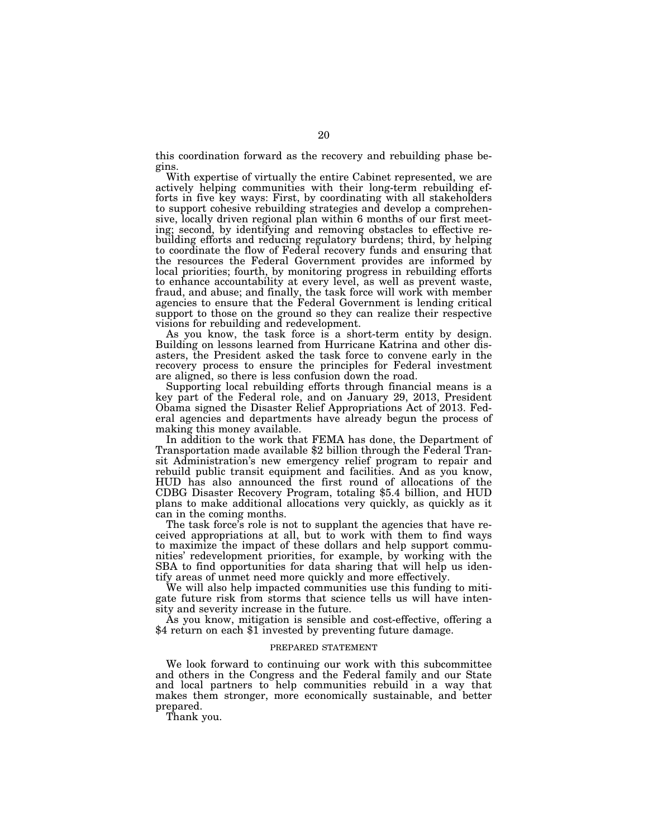this coordination forward as the recovery and rebuilding phase begins.

With expertise of virtually the entire Cabinet represented, we are actively helping communities with their long-term rebuilding efforts in five key ways: First, by coordinating with all stakeholders to support cohesive rebuilding strategies and develop a comprehensive, locally driven regional plan within 6 months of our first meeting; second, by identifying and removing obstacles to effective rebuilding efforts and reducing regulatory burdens; third, by helping to coordinate the flow of Federal recovery funds and ensuring that the resources the Federal Government provides are informed by local priorities; fourth, by monitoring progress in rebuilding efforts to enhance accountability at every level, as well as prevent waste, fraud, and abuse; and finally, the task force will work with member agencies to ensure that the Federal Government is lending critical support to those on the ground so they can realize their respective visions for rebuilding and redevelopment.

As you know, the task force is a short-term entity by design. Building on lessons learned from Hurricane Katrina and other disasters, the President asked the task force to convene early in the recovery process to ensure the principles for Federal investment are aligned, so there is less confusion down the road.

Supporting local rebuilding efforts through financial means is a key part of the Federal role, and on January 29, 2013, President Obama signed the Disaster Relief Appropriations Act of 2013. Federal agencies and departments have already begun the process of making this money available.

In addition to the work that FEMA has done, the Department of Transportation made available \$2 billion through the Federal Transit Administration's new emergency relief program to repair and rebuild public transit equipment and facilities. And as you know, HUD has also announced the first round of allocations of the CDBG Disaster Recovery Program, totaling \$5.4 billion, and HUD plans to make additional allocations very quickly, as quickly as it can in the coming months.

The task force's role is not to supplant the agencies that have received appropriations at all, but to work with them to find ways to maximize the impact of these dollars and help support communities' redevelopment priorities, for example, by working with the SBA to find opportunities for data sharing that will help us identify areas of unmet need more quickly and more effectively.

We will also help impacted communities use this funding to mitigate future risk from storms that science tells us will have intensity and severity increase in the future.

As you know, mitigation is sensible and cost-effective, offering a \$4 return on each \$1 invested by preventing future damage.

### PREPARED STATEMENT

We look forward to continuing our work with this subcommittee and others in the Congress and the Federal family and our State and local partners to help communities rebuild in a way that makes them stronger, more economically sustainable, and better prepared.

Thank you.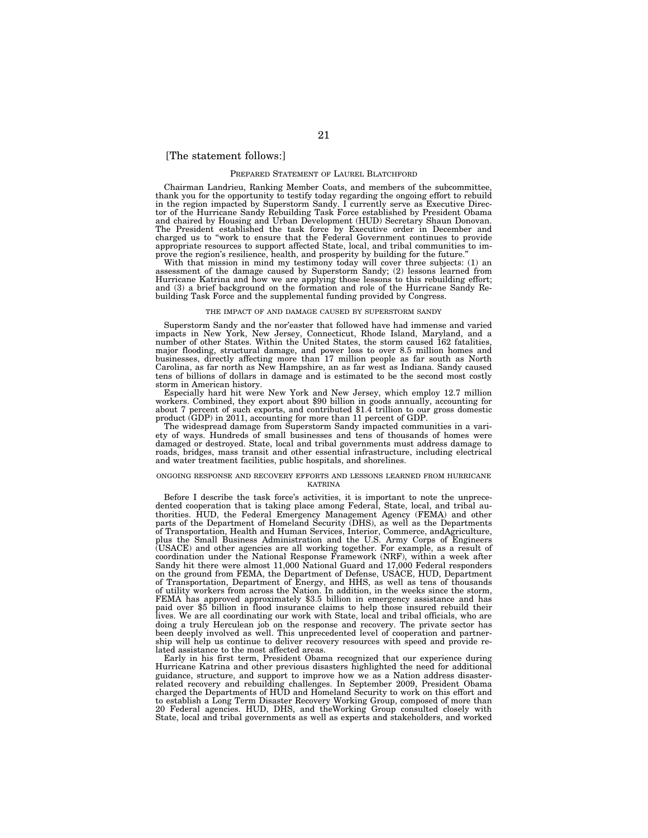# [The statement follows:]

#### PREPARED STATEMENT OF LAUREL BLATCHFORD

Chairman Landrieu, Ranking Member Coats, and members of the subcommittee, thank you for the opportunity to testify today regarding the ongoing effort to rebuild in the region impacted by Superstorm Sandy. I currently serve as Executive Director of the Hurricane Sandy Rebuilding Task Force established by President Obama and chaired by Housing and Urban Development (HUD) Secretary Shaun Donovan. The President established the task force by Executive order in December and charged us to ''work to ensure that the Federal Government continues to provide appropriate resources to support affected State, local, and tribal communities to improve the region's resilience, health, and prosperity by building for the future.''

With that mission in mind my testimony today will cover three subjects: (1) an assessment of the damage caused by Superstorm Sandy; (2) lessons learned from Hurricane Katrina and how we are applying those lessons to this rebuilding effort; and (3) a brief background on the formation and role of the Hurricane Sandy Rebuilding Task Force and the supplemental funding provided by Congress.

#### THE IMPACT OF AND DAMAGE CAUSED BY SUPERSTORM SANDY

Superstorm Sandy and the nor'easter that followed have had immense and varied impacts in New York, New Jersey, Connecticut, Rhode Island, Maryland, and a number of other States. Within the United States, the storm caused 162 fatalities, major flooding, structural damage, and power loss to over 8.5 million homes and businesses, directly affecting more than 17 million people as far south as North Carolina, as far north as New Hampshire, an as far west as Indiana. Sandy caused tens of billions of dollars in damage and is estimated to be the second most costly storm in American history.

Especially hard hit were New York and New Jersey, which employ 12.7 million workers. Combined, they export about \$90 billion in goods annually, accounting for about 7 percent of such exports, and contributed \$1.4 trillion to our gross domestic product (GDP) in 2011, accounting for more than 11 percent of GDP.

The widespread damage from Superstorm Sandy impacted communities in a variety of ways. Hundreds of small businesses and tens of thousands of homes were damaged or destroyed. State, local and tribal governments must address damage to roads, bridges, mass transit and other essential infrastructure, including electrical and water treatment facilities, public hospitals, and shorelines.

#### ONGOING RESPONSE AND RECOVERY EFFORTS AND LESSONS LEARNED FROM HURRICANE KATRINA

Before I describe the task force's activities, it is important to note the unprecedented cooperation that is taking place among Federal, State, local, and tribal authorities. HUD, the Federal Emergency Management Agency (FEMA) and other parts of the Department of Homeland Security (DHS), as well as the Departments of Transportation, Health and Human Services, Interior, Commerce, andAgriculture, plus the Small Business Administration and the U.S. Army Corps of Engineers (USACE) and other agencies are all working together. For example, as a result of coordination under the National Response Framework (NRF), within a week after Sandy hit there were almost 11,000 National Guard and 17,000 Federal responders on the ground from FEMA, the Department of Defense, USACE, HUD, Department of Transportation, Department of Energy, and HHS, as well as tens of thousands of utility workers from across the Nation. In addition, in the weeks since the storm, FEMA has approved approximately \$3.5 billion in emergency assistance and has paid over \$5 billion in flood insurance claims to help those insured rebuild their lives. We are all coordinating our work with State, local and tribal officials, who are doing a truly Herculean job on the response and recovery. The private sector has been deeply involved as well. This unprecedented level of cooperation and partnership will help us continue to deliver recovery resources with speed and provide related assistance to the most affected areas.

Early in his first term, President Obama recognized that our experience during Hurricane Katrina and other previous disasters highlighted the need for additional guidance, structure, and support to improve how we as a Nation address disasterrelated recovery and rebuilding challenges. In September 2009, President Obama charged the Departments of HUD and Homeland Security to work on this effort and to establish a Long Term Disaster Recovery Working Group, composed of more than 20 Federal agencies. HUD, DHS, and theWorking Group consulted closely with State, local and tribal governments as well as experts and stakeholders, and worked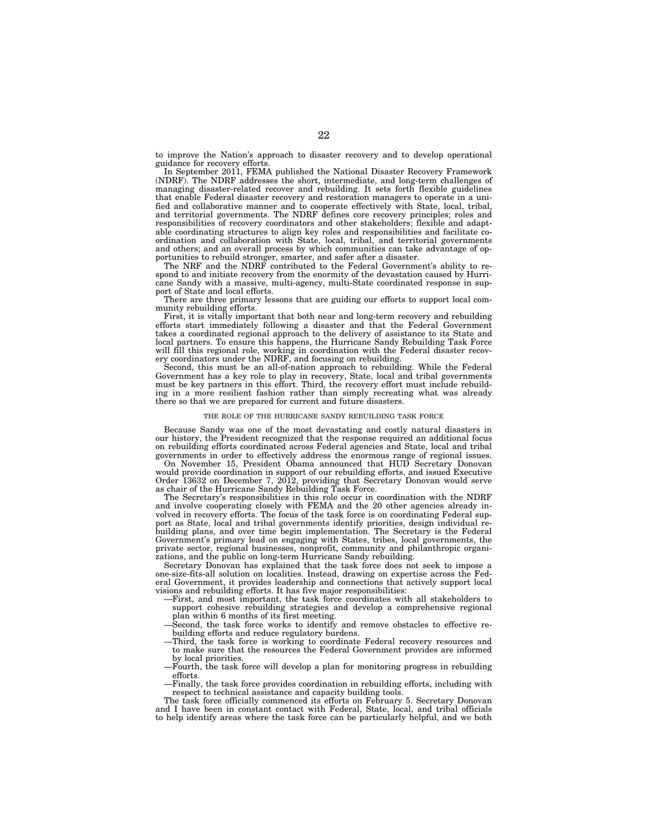to improve the Nation's approach to disaster recovery and to develop operational guidance for recovery efforts.

In September 2011, FEMA published the National Disaster Recovery Framework (NDRF). The NDRF addresses the short, intermediate, and long-term challenges of managing disaster-related recover and rebuilding. It sets forth flexible guidelines that enable Federal disaster recovery and restoration managers to operate in a unified and collaborative manner and to cooperate effectively with State, local, tribal, and territorial governments. The NDRF defines core recovery principles; roles and responsibilities of recovery coordinators and other stakeholders; flexible and adaptable coordinating structures to align key roles and responsibilities and facilitate coordination and collaboration with State, local, tribal, and territorial governments and others; and an overall process by which communities can take advantage of opportunities to rebuild stronger, smarter, and safer after a disaster.

The NRF and the NDRF contributed to the Federal Government's ability to respond to and initiate recovery from the enormity of the devastation caused by Hurricane Sandy with a massive, multi-agency, multi-State coordinated response in support of State and local efforts.

There are three primary lessons that are guiding our efforts to support local community rebuilding efforts.

First, it is vitally important that both near and long-term recovery and rebuilding efforts start immediately following a disaster and that the Federal Government takes a coordinated regional approach to the delivery of assistance to its State and local partners. To ensure this happens, the Hurricane Sandy Rebuilding Task Force will fill this regional role, working in coordination with the Federal disaster recovery coordinators under the NDRF, and focusing on rebuilding.

Second, this must be an all-of-nation approach to rebuilding. While the Federal Government has a key role to play in recovery, State, local and tribal governments must be key partners in this effort. Third, the recovery effort must include rebuilding in a more resilient fashion rather than simply recreating what was already there so that we are prepared for current and future disasters.

#### THE ROLE OF THE HURRICANE SANDY REBUILDING TASK FORCE

Because Sandy was one of the most devastating and costly natural disasters in our history, the President recognized that the response required an additional focus on rebuilding efforts coordinated across Federal agencies and State, local and tribal governments in order to effectively address the enormous range of regional issues.

On November 15, President Obama announced that HUD Secretary Donovan would provide coordination in support of our rebuilding efforts, and issued Executive Order 13632 on December 7, 2012, providing that Secretary Donovan would serve as chair of the Hurricane Sandy Rebuilding Task Force.

The Secretary's responsibilities in this role occur in coordination with the NDRF and involve cooperating closely with FEMA and the 20 other agencies already involved in recovery efforts. The focus of the task force is on coordinating Federal support as State, local and tribal governments identify priorities, design individual rebuilding plans, and over time begin implementation. The Secretary is the Federal Government's primary lead on engaging with States, tribes, local governments, the private sector, regional businesses, nonprofit, community and philanthropic organizations, and the public on long-term Hurricane Sandy rebuilding.

Secretary Donovan has explained that the task force does not seek to impose a one-size-fits-all solution on localities. Instead, drawing on expertise across the Federal Government, it provides leadership and connections that actively support local visions and rebuilding efforts. It has five major responsibilities:

—First, and most important, the task force coordinates with all stakeholders to support cohesive rebuilding strategies and develop a comprehensive regional plan within 6 months of its first meeting.

—Second, the task force works to identify and remove obstacles to effective rebuilding efforts and reduce regulatory burdens.

- —Third, the task force is working to coordinate Federal recovery resources and to make sure that the resources the Federal Government provides are informed by local priorities.
- —Fourth, the task force will develop a plan for monitoring progress in rebuilding efforts.
- —Finally, the task force provides coordination in rebuilding efforts, including with respect to technical assistance and capacity building tools.

The task force officially commenced its efforts on February 5. Secretary Donovan and I have been in constant contact with Federal, State, local, and tribal officials to help identify areas where the task force can be particularly helpful, and we both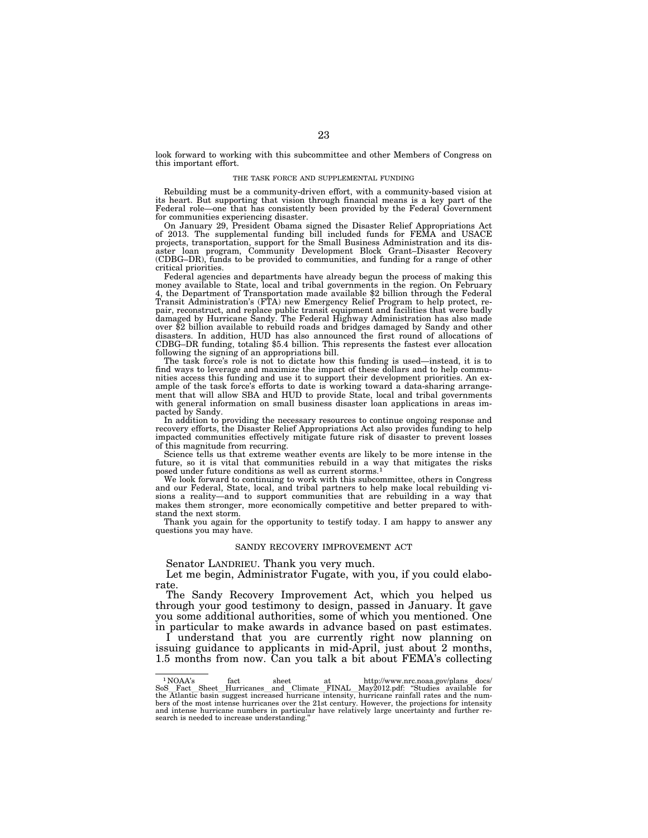look forward to working with this subcommittee and other Members of Congress on this important effort.

#### THE TASK FORCE AND SUPPLEMENTAL FUNDING

Rebuilding must be a community-driven effort, with a community-based vision at its heart. But supporting that vision through financial means is a key part of the Federal role—one that has consistently been provided by the Federal Government for communities experiencing disaster.

On January 29, President Obama signed the Disaster Relief Appropriations Act of 2013. The supplemental funding bill included funds for FEMA and USACE projects, transportation, support for the Small Business Administration and its disaster loan program, Community Development Block Grant–Disaster Recovery (CDBG–DR), funds to be provided to communities, and funding for a range of other critical priorities.

Federal agencies and departments have already begun the process of making this money available to State, local and tribal governments in the region. On February 4, the Department of Transportation made available \$2 billion through the Federal Transit Administration's (FTA) new Emergency Relief Program to help protect, repair, reconstruct, and replace public transit equipment and facilities that were badly damaged by Hurricane Sandy. The Federal Highway Administration has also made over \$2 billion available to rebuild roads and bridges damaged by Sandy and other disasters. In addition, HUD has also announced the first round of allocations of CDBG–DR funding, totaling \$5.4 billion. This represents the fastest ever allocation following the signing of an appropriations bill.

The task force's role is not to dictate how this funding is used—instead, it is to find ways to leverage and maximize the impact of these dollars and to help communities access this funding and use it to support their development priorities. An example of the task force's efforts to date is working toward a data-sharing arrangement that will allow SBA and HUD to provide State, local and tribal governments with general information on small business disaster loan applications in areas impacted by Sandy.

In addition to providing the necessary resources to continue ongoing response and recovery efforts, the Disaster Relief Appropriations Act also provides funding to help impacted communities effectively mitigate future risk of disaster to prevent losses of this magnitude from recurring.

Science tells us that extreme weather events are likely to be more intense in the future, so it is vital that communities rebuild in a way that mitigates the risks posed under future conditions as well as current storms.1

We look forward to continuing to work with this subcommittee, others in Congress and our Federal, State, local, and tribal partners to help make local rebuilding visions a reality—and to support communities that are rebuilding in a way that makes them stronger, more economically competitive and better prepared to withstand the next storm.

Thank you again for the opportunity to testify today. I am happy to answer any questions you may have.

#### SANDY RECOVERY IMPROVEMENT ACT

Senator LANDRIEU. Thank you very much.

Let me begin, Administrator Fugate, with you, if you could elaborate.

The Sandy Recovery Improvement Act, which you helped us through your good testimony to design, passed in January. It gave you some additional authorities, some of which you mentioned. One in particular to make awards in advance based on past estimates.

I understand that you are currently right now planning on issuing guidance to applicants in mid-April, just about 2 months, 1.5 months from now. Can you talk a bit about FEMA's collecting

 $^1$  NOAA's fact sheet at http://www.nrc.noaa.gov/plans\_docs/ $\,$  SoS\_Fact\_Sheet\_Hurricanes\_and\_Climate\_FINAL\_May2012.pdf: "Studies available for the Atlantic basin suggest increased hurricane intensity, hurricane rainfal and intense hurricane numbers in particular have relatively large uncertainty and further re-search is needed to increase understanding.''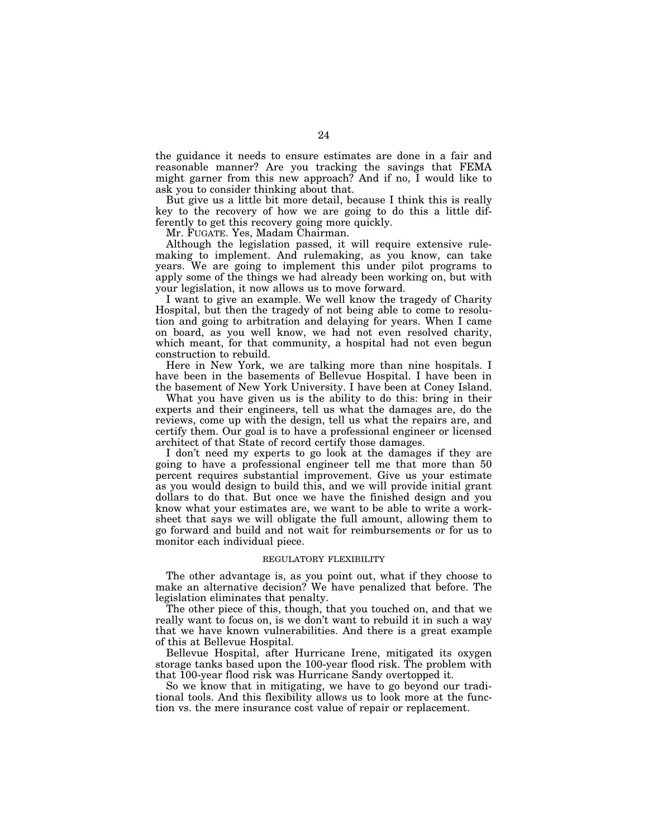the guidance it needs to ensure estimates are done in a fair and reasonable manner? Are you tracking the savings that FEMA might garner from this new approach? And if no, I would like to ask you to consider thinking about that.

But give us a little bit more detail, because I think this is really key to the recovery of how we are going to do this a little differently to get this recovery going more quickly.

Mr. FUGATE. Yes, Madam Chairman.

Although the legislation passed, it will require extensive rulemaking to implement. And rulemaking, as you know, can take years. We are going to implement this under pilot programs to apply some of the things we had already been working on, but with your legislation, it now allows us to move forward.

I want to give an example. We well know the tragedy of Charity Hospital, but then the tragedy of not being able to come to resolution and going to arbitration and delaying for years. When I came on board, as you well know, we had not even resolved charity, which meant, for that community, a hospital had not even begun construction to rebuild.

Here in New York, we are talking more than nine hospitals. I have been in the basements of Bellevue Hospital. I have been in the basement of New York University. I have been at Coney Island.

What you have given us is the ability to do this: bring in their experts and their engineers, tell us what the damages are, do the reviews, come up with the design, tell us what the repairs are, and certify them. Our goal is to have a professional engineer or licensed architect of that State of record certify those damages.

I don't need my experts to go look at the damages if they are going to have a professional engineer tell me that more than 50 percent requires substantial improvement. Give us your estimate as you would design to build this, and we will provide initial grant dollars to do that. But once we have the finished design and you know what your estimates are, we want to be able to write a worksheet that says we will obligate the full amount, allowing them to go forward and build and not wait for reimbursements or for us to monitor each individual piece.

# REGULATORY FLEXIBILITY

The other advantage is, as you point out, what if they choose to make an alternative decision? We have penalized that before. The legislation eliminates that penalty.

The other piece of this, though, that you touched on, and that we really want to focus on, is we don't want to rebuild it in such a way that we have known vulnerabilities. And there is a great example of this at Bellevue Hospital.

Bellevue Hospital, after Hurricane Irene, mitigated its oxygen storage tanks based upon the 100-year flood risk. The problem with that 100-year flood risk was Hurricane Sandy overtopped it.

So we know that in mitigating, we have to go beyond our traditional tools. And this flexibility allows us to look more at the function vs. the mere insurance cost value of repair or replacement.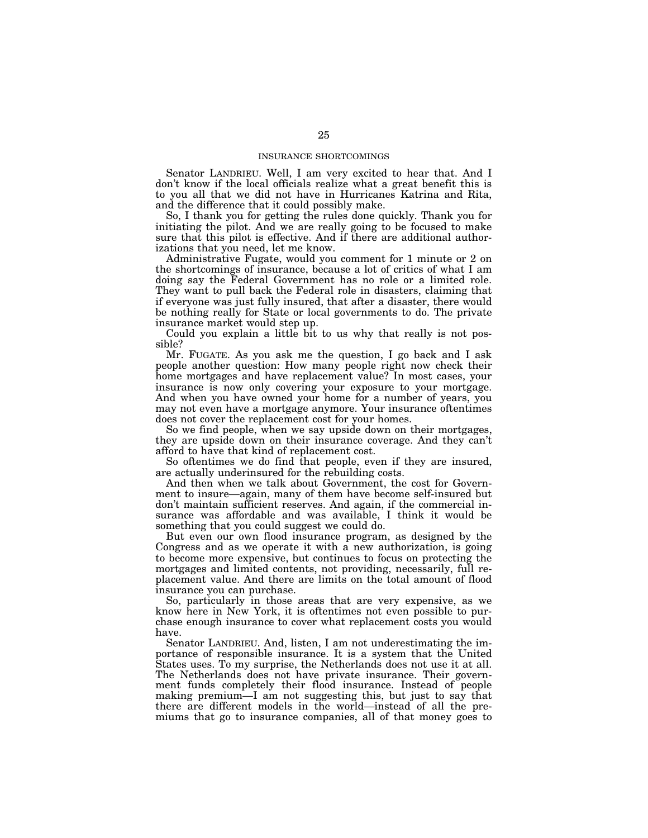# INSURANCE SHORTCOMINGS

Senator LANDRIEU. Well, I am very excited to hear that. And I don't know if the local officials realize what a great benefit this is to you all that we did not have in Hurricanes Katrina and Rita, and the difference that it could possibly make.

So, I thank you for getting the rules done quickly. Thank you for initiating the pilot. And we are really going to be focused to make sure that this pilot is effective. And if there are additional authorizations that you need, let me know.

Administrative Fugate, would you comment for 1 minute or 2 on the shortcomings of insurance, because a lot of critics of what I am doing say the Federal Government has no role or a limited role. They want to pull back the Federal role in disasters, claiming that if everyone was just fully insured, that after a disaster, there would be nothing really for State or local governments to do. The private insurance market would step up.

Could you explain a little bit to us why that really is not possible?

Mr. FUGATE. As you ask me the question, I go back and I ask people another question: How many people right now check their home mortgages and have replacement value? In most cases, your insurance is now only covering your exposure to your mortgage. And when you have owned your home for a number of years, you may not even have a mortgage anymore. Your insurance oftentimes does not cover the replacement cost for your homes.

So we find people, when we say upside down on their mortgages, they are upside down on their insurance coverage. And they can't afford to have that kind of replacement cost.

So oftentimes we do find that people, even if they are insured, are actually underinsured for the rebuilding costs.

And then when we talk about Government, the cost for Government to insure—again, many of them have become self-insured but don't maintain sufficient reserves. And again, if the commercial insurance was affordable and was available, I think it would be something that you could suggest we could do.

But even our own flood insurance program, as designed by the Congress and as we operate it with a new authorization, is going to become more expensive, but continues to focus on protecting the mortgages and limited contents, not providing, necessarily, full replacement value. And there are limits on the total amount of flood insurance you can purchase.

So, particularly in those areas that are very expensive, as we know here in New York, it is oftentimes not even possible to purchase enough insurance to cover what replacement costs you would have.

Senator LANDRIEU. And, listen, I am not underestimating the importance of responsible insurance. It is a system that the United States uses. To my surprise, the Netherlands does not use it at all. The Netherlands does not have private insurance. Their government funds completely their flood insurance. Instead of people making premium—I am not suggesting this, but just to say that there are different models in the world—instead of all the premiums that go to insurance companies, all of that money goes to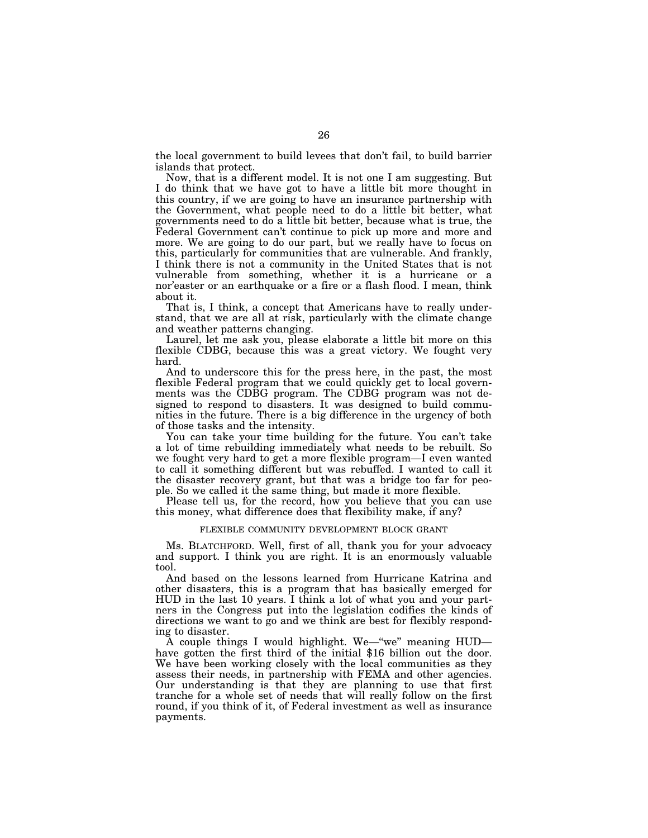the local government to build levees that don't fail, to build barrier islands that protect.

Now, that is a different model. It is not one I am suggesting. But I do think that we have got to have a little bit more thought in this country, if we are going to have an insurance partnership with the Government, what people need to do a little bit better, what governments need to do a little bit better, because what is true, the Federal Government can't continue to pick up more and more and more. We are going to do our part, but we really have to focus on this, particularly for communities that are vulnerable. And frankly, I think there is not a community in the United States that is not vulnerable from something, whether it is a hurricane or a nor'easter or an earthquake or a fire or a flash flood. I mean, think about it.

That is, I think, a concept that Americans have to really understand, that we are all at risk, particularly with the climate change and weather patterns changing.

Laurel, let me ask you, please elaborate a little bit more on this flexible CDBG, because this was a great victory. We fought very hard.

And to underscore this for the press here, in the past, the most flexible Federal program that we could quickly get to local governments was the CDBG program. The CDBG program was not designed to respond to disasters. It was designed to build communities in the future. There is a big difference in the urgency of both of those tasks and the intensity.

You can take your time building for the future. You can't take a lot of time rebuilding immediately what needs to be rebuilt. So we fought very hard to get a more flexible program—I even wanted to call it something different but was rebuffed. I wanted to call it the disaster recovery grant, but that was a bridge too far for people. So we called it the same thing, but made it more flexible.

Please tell us, for the record, how you believe that you can use this money, what difference does that flexibility make, if any?

# FLEXIBLE COMMUNITY DEVELOPMENT BLOCK GRANT

Ms. BLATCHFORD. Well, first of all, thank you for your advocacy and support. I think you are right. It is an enormously valuable tool.

And based on the lessons learned from Hurricane Katrina and other disasters, this is a program that has basically emerged for HUD in the last 10 years. I think a lot of what you and your partners in the Congress put into the legislation codifies the kinds of directions we want to go and we think are best for flexibly responding to disaster.

A couple things I would highlight. We—''we'' meaning HUD have gotten the first third of the initial \$16 billion out the door. We have been working closely with the local communities as they assess their needs, in partnership with FEMA and other agencies. Our understanding is that they are planning to use that first tranche for a whole set of needs that will really follow on the first round, if you think of it, of Federal investment as well as insurance payments.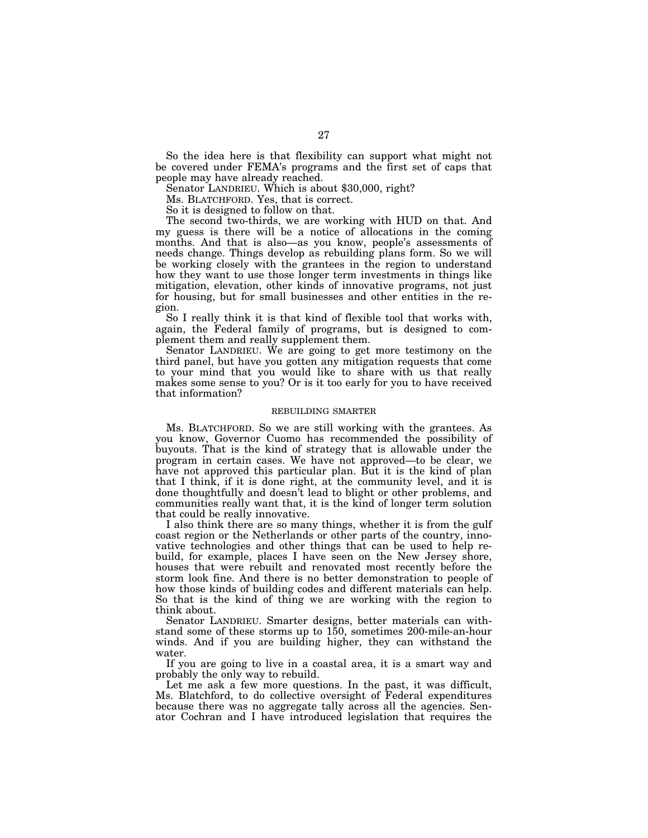So the idea here is that flexibility can support what might not be covered under FEMA's programs and the first set of caps that people may have already reached.

Senator LANDRIEU. Which is about \$30,000, right?

Ms. BLATCHFORD. Yes, that is correct.

So it is designed to follow on that.

The second two-thirds, we are working with HUD on that. And my guess is there will be a notice of allocations in the coming months. And that is also—as you know, people's assessments of needs change. Things develop as rebuilding plans form. So we will be working closely with the grantees in the region to understand how they want to use those longer term investments in things like mitigation, elevation, other kinds of innovative programs, not just for housing, but for small businesses and other entities in the region.

So I really think it is that kind of flexible tool that works with, again, the Federal family of programs, but is designed to complement them and really supplement them.

Senator LANDRIEU. We are going to get more testimony on the third panel, but have you gotten any mitigation requests that come to your mind that you would like to share with us that really makes some sense to you? Or is it too early for you to have received that information?

#### REBUILDING SMARTER

Ms. BLATCHFORD. So we are still working with the grantees. As you know, Governor Cuomo has recommended the possibility of buyouts. That is the kind of strategy that is allowable under the program in certain cases. We have not approved—to be clear, we have not approved this particular plan. But it is the kind of plan that I think, if it is done right, at the community level, and it is done thoughtfully and doesn't lead to blight or other problems, and communities really want that, it is the kind of longer term solution that could be really innovative.

I also think there are so many things, whether it is from the gulf coast region or the Netherlands or other parts of the country, innovative technologies and other things that can be used to help rebuild, for example, places I have seen on the New Jersey shore, houses that were rebuilt and renovated most recently before the storm look fine. And there is no better demonstration to people of how those kinds of building codes and different materials can help. So that is the kind of thing we are working with the region to think about.

Senator LANDRIEU. Smarter designs, better materials can withstand some of these storms up to 150, sometimes 200-mile-an-hour winds. And if you are building higher, they can withstand the water.

If you are going to live in a coastal area, it is a smart way and probably the only way to rebuild.

Let me ask a few more questions. In the past, it was difficult, Ms. Blatchford, to do collective oversight of Federal expenditures because there was no aggregate tally across all the agencies. Senator Cochran and I have introduced legislation that requires the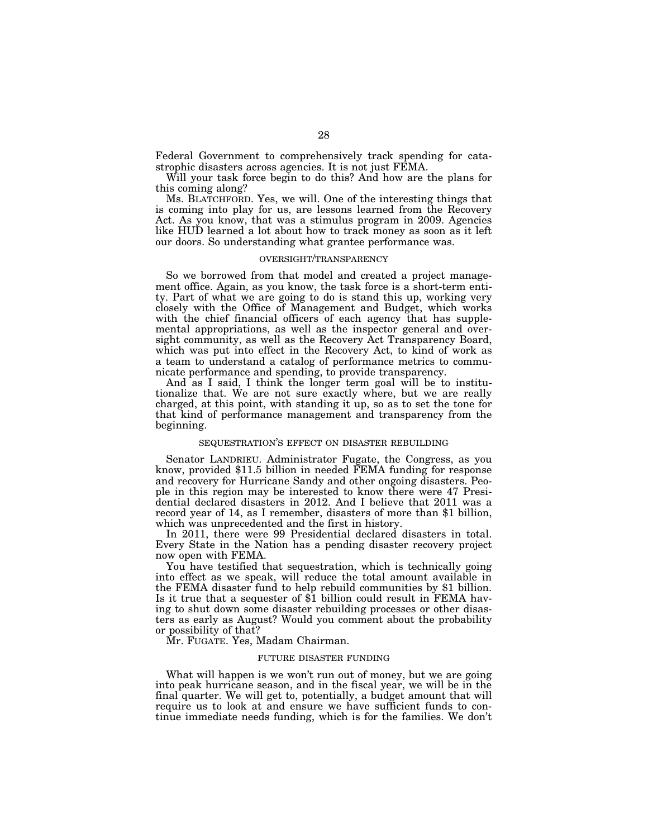Federal Government to comprehensively track spending for catastrophic disasters across agencies. It is not just FEMA.

Will your task force begin to do this? And how are the plans for this coming along?

Ms. BLATCHFORD. Yes, we will. One of the interesting things that is coming into play for us, are lessons learned from the Recovery Act. As you know, that was a stimulus program in 2009. Agencies like HUD learned a lot about how to track money as soon as it left our doors. So understanding what grantee performance was.

#### OVERSIGHT/TRANSPARENCY

So we borrowed from that model and created a project management office. Again, as you know, the task force is a short-term entity. Part of what we are going to do is stand this up, working very closely with the Office of Management and Budget, which works with the chief financial officers of each agency that has supplemental appropriations, as well as the inspector general and oversight community, as well as the Recovery Act Transparency Board, which was put into effect in the Recovery Act, to kind of work as a team to understand a catalog of performance metrics to communicate performance and spending, to provide transparency.

And as I said, I think the longer term goal will be to institutionalize that. We are not sure exactly where, but we are really charged, at this point, with standing it up, so as to set the tone for that kind of performance management and transparency from the beginning.

# SEQUESTRATION'S EFFECT ON DISASTER REBUILDING

Senator LANDRIEU. Administrator Fugate, the Congress, as you know, provided \$11.5 billion in needed FEMA funding for response and recovery for Hurricane Sandy and other ongoing disasters. People in this region may be interested to know there were 47 Presidential declared disasters in 2012. And I believe that 2011 was a record year of 14, as I remember, disasters of more than \$1 billion, which was unprecedented and the first in history.

In 2011, there were 99 Presidential declared disasters in total. Every State in the Nation has a pending disaster recovery project now open with FEMA.

You have testified that sequestration, which is technically going into effect as we speak, will reduce the total amount available in the FEMA disaster fund to help rebuild communities by \$1 billion. Is it true that a sequester of \$1 billion could result in FEMA having to shut down some disaster rebuilding processes or other disasters as early as August? Would you comment about the probability or possibility of that?

Mr. FUGATE. Yes, Madam Chairman.

# FUTURE DISASTER FUNDING

What will happen is we won't run out of money, but we are going into peak hurricane season, and in the fiscal year, we will be in the final quarter. We will get to, potentially, a budget amount that will require us to look at and ensure we have sufficient funds to continue immediate needs funding, which is for the families. We don't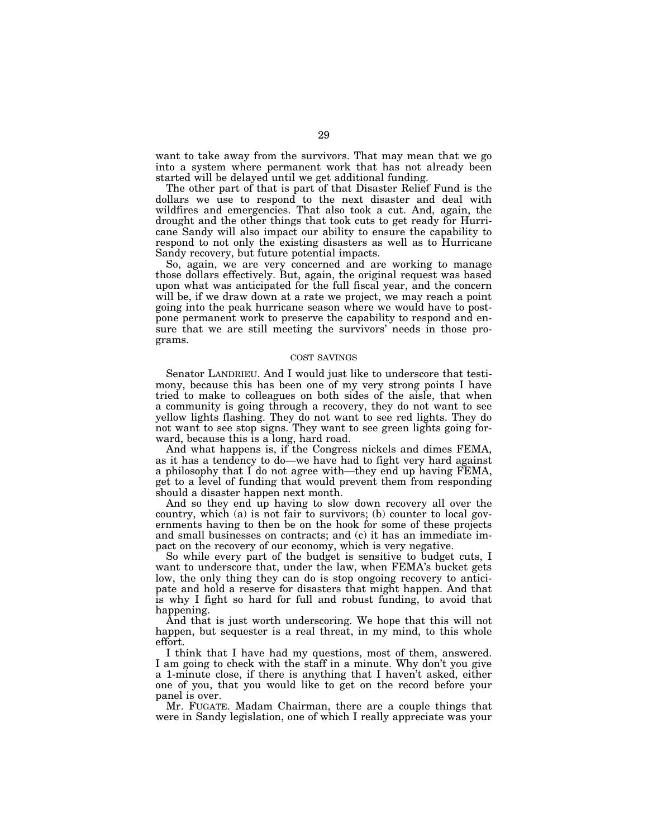want to take away from the survivors. That may mean that we go into a system where permanent work that has not already been started will be delayed until we get additional funding.

The other part of that is part of that Disaster Relief Fund is the dollars we use to respond to the next disaster and deal with wildfires and emergencies. That also took a cut. And, again, the drought and the other things that took cuts to get ready for Hurricane Sandy will also impact our ability to ensure the capability to respond to not only the existing disasters as well as to Hurricane Sandy recovery, but future potential impacts.

So, again, we are very concerned and are working to manage those dollars effectively. But, again, the original request was based upon what was anticipated for the full fiscal year, and the concern will be, if we draw down at a rate we project, we may reach a point going into the peak hurricane season where we would have to postpone permanent work to preserve the capability to respond and ensure that we are still meeting the survivors' needs in those programs.

# COST SAVINGS

Senator LANDRIEU. And I would just like to underscore that testimony, because this has been one of my very strong points I have tried to make to colleagues on both sides of the aisle, that when a community is going through a recovery, they do not want to see yellow lights flashing. They do not want to see red lights. They do not want to see stop signs. They want to see green lights going forward, because this is a long, hard road.

And what happens is, if the Congress nickels and dimes FEMA, as it has a tendency to do—we have had to fight very hard against a philosophy that I do not agree with—they end up having FEMA, get to a level of funding that would prevent them from responding should a disaster happen next month.

And so they end up having to slow down recovery all over the country, which (a) is not fair to survivors; (b) counter to local governments having to then be on the hook for some of these projects and small businesses on contracts; and (c) it has an immediate impact on the recovery of our economy, which is very negative.

So while every part of the budget is sensitive to budget cuts, I want to underscore that, under the law, when FEMA's bucket gets low, the only thing they can do is stop ongoing recovery to anticipate and hold a reserve for disasters that might happen. And that is why I fight so hard for full and robust funding, to avoid that happening.

And that is just worth underscoring. We hope that this will not happen, but sequester is a real threat, in my mind, to this whole effort.

I think that I have had my questions, most of them, answered. I am going to check with the staff in a minute. Why don't you give a 1-minute close, if there is anything that I haven't asked, either one of you, that you would like to get on the record before your panel is over.

Mr. FUGATE. Madam Chairman, there are a couple things that were in Sandy legislation, one of which I really appreciate was your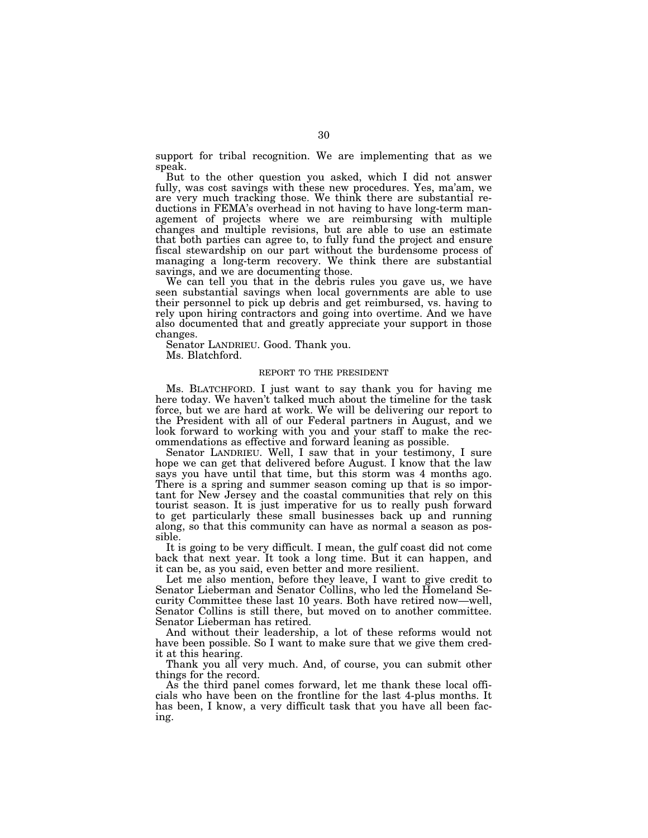support for tribal recognition. We are implementing that as we speak.

But to the other question you asked, which I did not answer fully, was cost savings with these new procedures. Yes, ma'am, we are very much tracking those. We think there are substantial reductions in FEMA's overhead in not having to have long-term management of projects where we are reimbursing with multiple changes and multiple revisions, but are able to use an estimate that both parties can agree to, to fully fund the project and ensure fiscal stewardship on our part without the burdensome process of managing a long-term recovery. We think there are substantial savings, and we are documenting those.

We can tell you that in the debris rules you gave us, we have seen substantial savings when local governments are able to use their personnel to pick up debris and get reimbursed, vs. having to rely upon hiring contractors and going into overtime. And we have also documented that and greatly appreciate your support in those changes.

Senator LANDRIEU. Good. Thank you. Ms. Blatchford.

# REPORT TO THE PRESIDENT

Ms. BLATCHFORD. I just want to say thank you for having me here today. We haven't talked much about the timeline for the task force, but we are hard at work. We will be delivering our report to the President with all of our Federal partners in August, and we look forward to working with you and your staff to make the recommendations as effective and forward leaning as possible.

Senator LANDRIEU. Well, I saw that in your testimony, I sure hope we can get that delivered before August. I know that the law says you have until that time, but this storm was 4 months ago. There is a spring and summer season coming up that is so important for New Jersey and the coastal communities that rely on this tourist season. It is just imperative for us to really push forward to get particularly these small businesses back up and running along, so that this community can have as normal a season as possible.

It is going to be very difficult. I mean, the gulf coast did not come back that next year. It took a long time. But it can happen, and it can be, as you said, even better and more resilient.

Let me also mention, before they leave, I want to give credit to Senator Lieberman and Senator Collins, who led the Homeland Security Committee these last 10 years. Both have retired now—well, Senator Collins is still there, but moved on to another committee. Senator Lieberman has retired.

And without their leadership, a lot of these reforms would not have been possible. So I want to make sure that we give them credit at this hearing.

Thank you all very much. And, of course, you can submit other things for the record.

As the third panel comes forward, let me thank these local officials who have been on the frontline for the last 4-plus months. It has been, I know, a very difficult task that you have all been facing.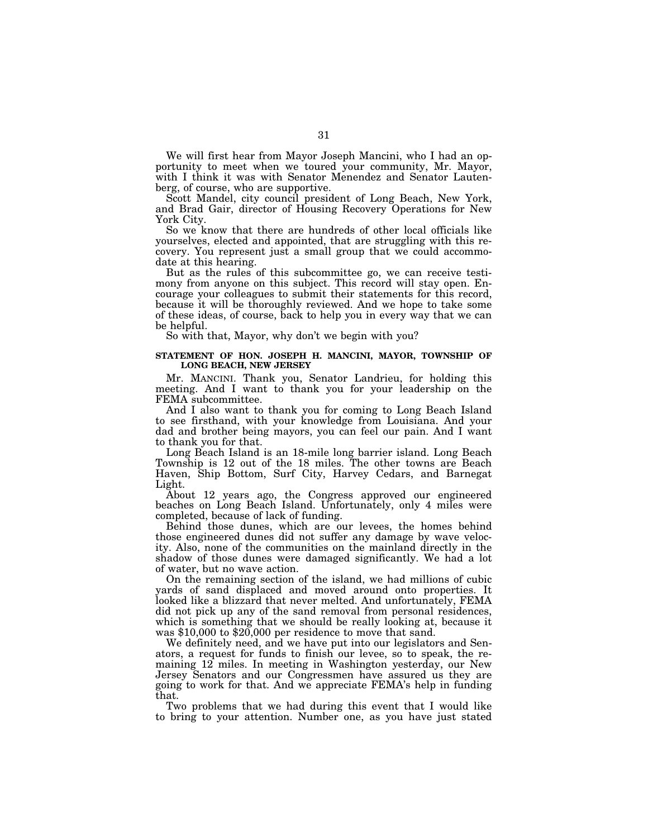We will first hear from Mayor Joseph Mancini, who I had an opportunity to meet when we toured your community, Mr. Mayor, with I think it was with Senator Menendez and Senator Lautenberg, of course, who are supportive.

Scott Mandel, city council president of Long Beach, New York, and Brad Gair, director of Housing Recovery Operations for New York City.

So we know that there are hundreds of other local officials like yourselves, elected and appointed, that are struggling with this recovery. You represent just a small group that we could accommodate at this hearing.

But as the rules of this subcommittee go, we can receive testimony from anyone on this subject. This record will stay open. Encourage your colleagues to submit their statements for this record, because it will be thoroughly reviewed. And we hope to take some of these ideas, of course, back to help you in every way that we can be helpful.

So with that, Mayor, why don't we begin with you?

# **STATEMENT OF HON. JOSEPH H. MANCINI, MAYOR, TOWNSHIP OF LONG BEACH, NEW JERSEY**

Mr. MANCINI. Thank you, Senator Landrieu, for holding this meeting. And I want to thank you for your leadership on the FEMA subcommittee.

And I also want to thank you for coming to Long Beach Island to see firsthand, with your knowledge from Louisiana. And your dad and brother being mayors, you can feel our pain. And I want to thank you for that.

Long Beach Island is an 18-mile long barrier island. Long Beach Township is 12 out of the 18 miles. The other towns are Beach Haven, Ship Bottom, Surf City, Harvey Cedars, and Barnegat Light.

About 12 years ago, the Congress approved our engineered beaches on Long Beach Island. Unfortunately, only 4 miles were completed, because of lack of funding.

Behind those dunes, which are our levees, the homes behind those engineered dunes did not suffer any damage by wave velocity. Also, none of the communities on the mainland directly in the shadow of those dunes were damaged significantly. We had a lot of water, but no wave action.

On the remaining section of the island, we had millions of cubic yards of sand displaced and moved around onto properties. It looked like a blizzard that never melted. And unfortunately, FEMA did not pick up any of the sand removal from personal residences, which is something that we should be really looking at, because it was \$10,000 to \$20,000 per residence to move that sand.

We definitely need, and we have put into our legislators and Senators, a request for funds to finish our levee, so to speak, the remaining 12 miles. In meeting in Washington yesterday, our New Jersey Senators and our Congressmen have assured us they are going to work for that. And we appreciate FEMA's help in funding that.

Two problems that we had during this event that I would like to bring to your attention. Number one, as you have just stated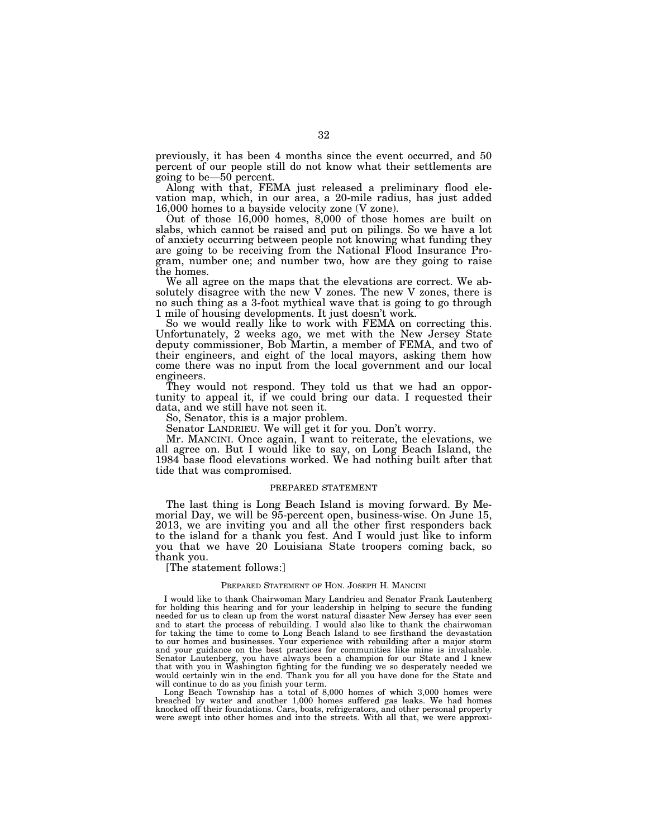previously, it has been 4 months since the event occurred, and 50 percent of our people still do not know what their settlements are going to be—50 percent.

Along with that, FEMA just released a preliminary flood elevation map, which, in our area, a 20-mile radius, has just added 16,000 homes to a bayside velocity zone (V zone).

Out of those 16,000 homes, 8,000 of those homes are built on slabs, which cannot be raised and put on pilings. So we have a lot of anxiety occurring between people not knowing what funding they are going to be receiving from the National Flood Insurance Program, number one; and number two, how are they going to raise the homes.

We all agree on the maps that the elevations are correct. We absolutely disagree with the new V zones. The new V zones, there is no such thing as a 3-foot mythical wave that is going to go through 1 mile of housing developments. It just doesn't work.

So we would really like to work with FEMA on correcting this. Unfortunately, 2 weeks ago, we met with the New Jersey State deputy commissioner, Bob Martin, a member of FEMA, and two of their engineers, and eight of the local mayors, asking them how come there was no input from the local government and our local engineers.

They would not respond. They told us that we had an opportunity to appeal it, if we could bring our data. I requested their data, and we still have not seen it.

So, Senator, this is a major problem.

Senator LANDRIEU. We will get it for you. Don't worry.

Mr. MANCINI. Once again, I want to reiterate, the elevations, we all agree on. But I would like to say, on Long Beach Island, the 1984 base flood elevations worked. We had nothing built after that tide that was compromised.

# PREPARED STATEMENT

The last thing is Long Beach Island is moving forward. By Memorial Day, we will be 95-percent open, business-wise. On June 15, 2013, we are inviting you and all the other first responders back to the island for a thank you fest. And I would just like to inform you that we have 20 Louisiana State troopers coming back, so thank you.

[The statement follows:]

#### PREPARED STATEMENT OF HON. JOSEPH H. MANCINI

I would like to thank Chairwoman Mary Landrieu and Senator Frank Lautenberg for holding this hearing and for your leadership in helping to secure the funding needed for us to clean up from the worst natural disaster New Jersey has ever seen and to start the process of rebuilding. I would also like to thank the chairwoman for taking the time to come to Long Beach Island to see firsthand the devastation to our homes and businesses. Your experience with rebuilding after a major storm and your guidance on the best practices for communities like mine is invaluable. Senator Lautenberg, you have always been a champion for our State and I knew that with you in Washington fighting for the funding we so desperately needed we would certainly win in the end. Thank you for all you have done for the State and will continue to do as you finish your term.

Long Beach Township has a total of 8,000 homes of which 3,000 homes were breached by water and another 1,000 homes suffered gas leaks. We had homes knocked off their foundations. Cars, boats, refrigerators, and other personal property were swept into other homes and into the streets. With all that, we were approxi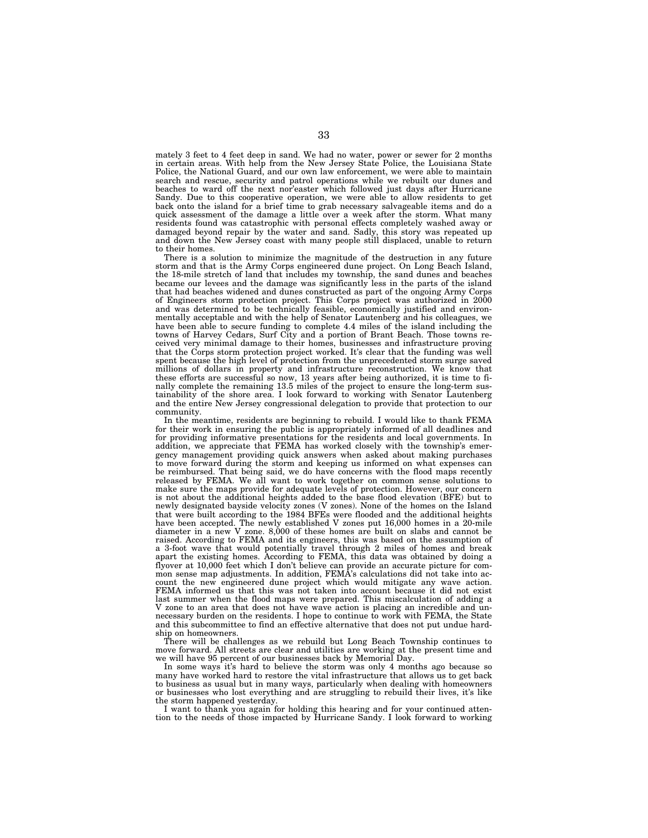mately 3 feet to 4 feet deep in sand. We had no water, power or sewer for 2 months in certain areas. With help from the New Jersey State Police, the Louisiana State Police, the National Guard, and our own law enforcement, we were able to maintain search and rescue, security and patrol operations while we rebuilt our dunes and beaches to ward off the next nor'easter which followed just days after Hurricane Sandy. Due to this cooperative operation, we were able to allow residents to get back onto the island for a brief time to grab necessary salvageable items and do a quick assessment of the damage a little over a week after the storm. What many residents found was catastrophic with personal effects completely washed away or damaged beyond repair by the water and sand. Sadly, this story was repeated up and down the New Jersey coast with many people still displaced, unable to return to their homes.

There is a solution to minimize the magnitude of the destruction in any future storm and that is the Army Corps engineered dune project. On Long Beach Island, the 18-mile stretch of land that includes my township, the sand dunes and beaches became our levees and the damage was significantly less in the parts of the island that had beaches widened and dunes constructed as part of the ongoing Army Corps of Engineers storm protection project. This Corps project was authorized in 2000 and was determined to be technically feasible, economically justified and environmentally acceptable and with the help of Senator Lautenberg and his colleagues, we have been able to secure funding to complete 4.4 miles of the island including the towns of Harvey Cedars, Surf City and a portion of Brant Beach. Those towns received very minimal damage to their homes, businesses and infrastructure proving that the Corps storm protection project worked. It's clear that the funding was well spent because the high level of protection from the unprecedented storm surge saved millions of dollars in property and infrastructure reconstruction. We know that these efforts are successful so now, 13 years after being authorized, it is time to finally complete the remaining 13.5 miles of the project to ensure the long-term sustainability of the shore area. I look forward to working with Senator Lautenberg and the entire New Jersey congressional delegation to provide that protection to our community.

In the meantime, residents are beginning to rebuild. I would like to thank FEMA for their work in ensuring the public is appropriately informed of all deadlines and for providing informative presentations for the residents and local governments. In addition, we appreciate that FEMA has worked closely with the township's emergency management providing quick answers when asked about making purchases to move forward during the storm and keeping us informed on what expenses can be reimbursed. That being said, we do have concerns with the flood maps recently released by FEMA. We all want to work together on common sense solutions to make sure the maps provide for adequate levels of protection. However, our concern is not about the additional heights added to the base flood elevation (BFE) but to newly designated bayside velocity zones (V zones). None of the homes on the Island that were built according to the 1984 BFEs were flooded and the additional heights have been accepted. The newly established V zones put 16,000 homes in a 20-mile diameter in a new V zone. 8,000 of these homes are built on slabs and cannot be raised. According to FEMA and its engineers, this was based on the assumption of a 3-foot wave that would potentially travel through 2 miles of homes and break apart the existing homes. According to FEMA, this data was obtained by doing a flyover at 10,000 feet which I don't believe can provide an accurate picture for common sense map adjustments. In addition, FEMA's calculations did not take into account the new engineered dune project which would mitigate any wave action. FEMA informed us that this was not taken into account because it did not exist last summer when the flood maps were prepared. This miscalculation of adding a V zone to an area that does not have wave action is placing an incredible and unnecessary burden on the residents. I hope to continue to work with FEMA, the State and this subcommittee to find an effective alternative that does not put undue hardship on homeowners.

There will be challenges as we rebuild but Long Beach Township continues to move forward. All streets are clear and utilities are working at the present time and we will have 95 percent of our businesses back by Memorial Day.

In some ways it's hard to believe the storm was only 4 months ago because so many have worked hard to restore the vital infrastructure that allows us to get back to business as usual but in many ways, particularly when dealing with homeowners or businesses who lost everything and are struggling to rebuild their lives, it's like the storm happened yesterday.

I want to thank you again for holding this hearing and for your continued attention to the needs of those impacted by Hurricane Sandy. I look forward to working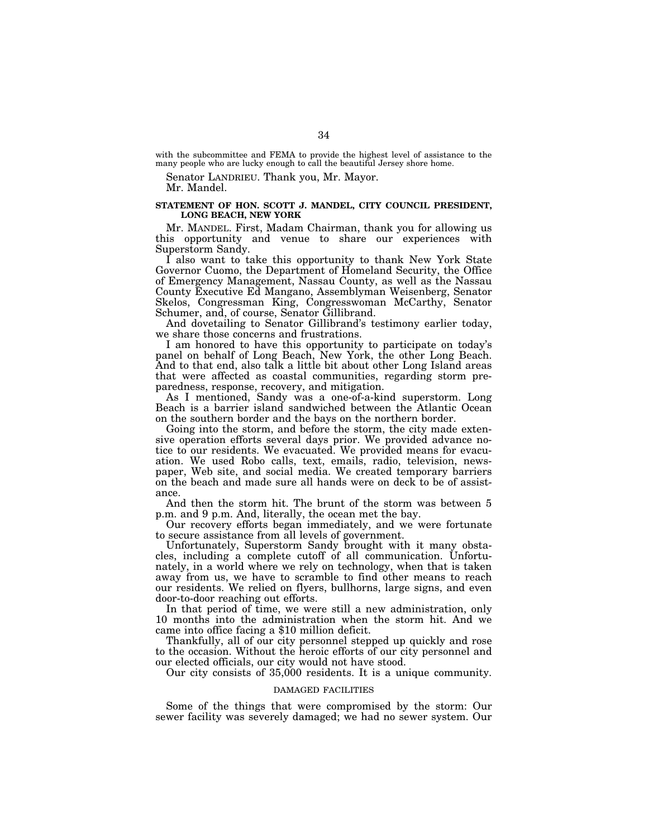with the subcommittee and FEMA to provide the highest level of assistance to the many people who are lucky enough to call the beautiful Jersey shore home.

Senator LANDRIEU. Thank you, Mr. Mayor. Mr. Mandel.

# **STATEMENT OF HON. SCOTT J. MANDEL, CITY COUNCIL PRESIDENT, LONG BEACH, NEW YORK**

Mr. MANDEL. First, Madam Chairman, thank you for allowing us this opportunity and venue to share our experiences with Superstorm Sandy.

I also want to take this opportunity to thank New York State Governor Cuomo, the Department of Homeland Security, the Office of Emergency Management, Nassau County, as well as the Nassau County Executive Ed Mangano, Assemblyman Weisenberg, Senator Skelos, Congressman King, Congresswoman McCarthy, Senator Schumer, and, of course, Senator Gillibrand.

And dovetailing to Senator Gillibrand's testimony earlier today, we share those concerns and frustrations.

I am honored to have this opportunity to participate on today's panel on behalf of Long Beach, New York, the other Long Beach. And to that end, also talk a little bit about other Long Island areas that were affected as coastal communities, regarding storm preparedness, response, recovery, and mitigation.

As I mentioned, Sandy was a one-of-a-kind superstorm. Long Beach is a barrier island sandwiched between the Atlantic Ocean on the southern border and the bays on the northern border.

Going into the storm, and before the storm, the city made extensive operation efforts several days prior. We provided advance notice to our residents. We evacuated. We provided means for evacuation. We used Robo calls, text, emails, radio, television, newspaper, Web site, and social media. We created temporary barriers on the beach and made sure all hands were on deck to be of assistance.

And then the storm hit. The brunt of the storm was between 5 p.m. and 9 p.m. And, literally, the ocean met the bay.

Our recovery efforts began immediately, and we were fortunate to secure assistance from all levels of government.

Unfortunately, Superstorm Sandy brought with it many obstacles, including a complete cutoff of all communication. Unfortunately, in a world where we rely on technology, when that is taken away from us, we have to scramble to find other means to reach our residents. We relied on flyers, bullhorns, large signs, and even door-to-door reaching out efforts.

In that period of time, we were still a new administration, only 10 months into the administration when the storm hit. And we came into office facing a \$10 million deficit.

Thankfully, all of our city personnel stepped up quickly and rose to the occasion. Without the heroic efforts of our city personnel and our elected officials, our city would not have stood.

Our city consists of 35,000 residents. It is a unique community.

## DAMAGED FACILITIES

Some of the things that were compromised by the storm: Our sewer facility was severely damaged; we had no sewer system. Our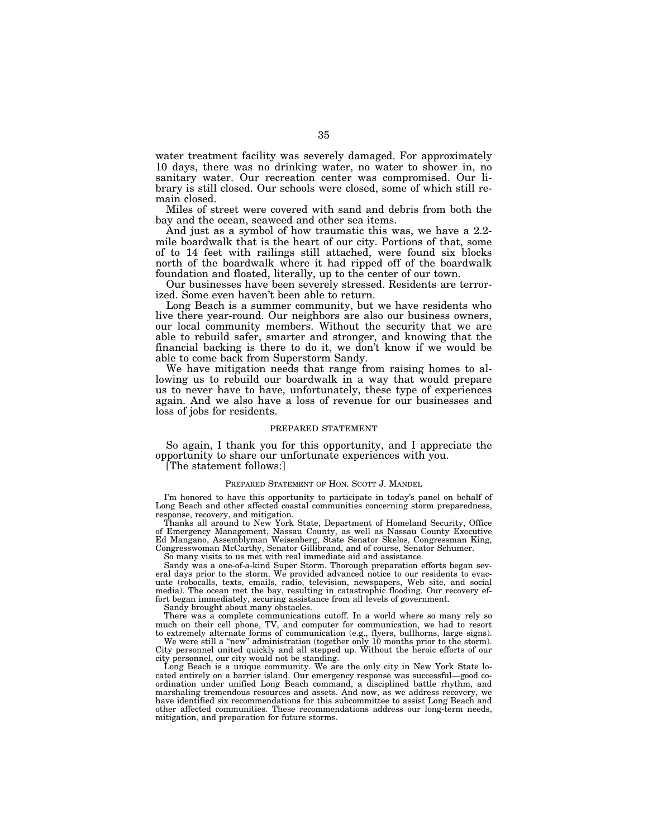water treatment facility was severely damaged. For approximately 10 days, there was no drinking water, no water to shower in, no sanitary water. Our recreation center was compromised. Our library is still closed. Our schools were closed, some of which still remain closed.

Miles of street were covered with sand and debris from both the bay and the ocean, seaweed and other sea items.

And just as a symbol of how traumatic this was, we have a 2.2 mile boardwalk that is the heart of our city. Portions of that, some of to 14 feet with railings still attached, were found six blocks north of the boardwalk where it had ripped off of the boardwalk foundation and floated, literally, up to the center of our town.

Our businesses have been severely stressed. Residents are terrorized. Some even haven't been able to return.

Long Beach is a summer community, but we have residents who live there year-round. Our neighbors are also our business owners, our local community members. Without the security that we are able to rebuild safer, smarter and stronger, and knowing that the financial backing is there to do it, we don't know if we would be able to come back from Superstorm Sandy.

We have mitigation needs that range from raising homes to allowing us to rebuild our boardwalk in a way that would prepare us to never have to have, unfortunately, these type of experiences again. And we also have a loss of revenue for our businesses and loss of jobs for residents.

## PREPARED STATEMENT

So again, I thank you for this opportunity, and I appreciate the opportunity to share our unfortunate experiences with you.

[The statement follows:]

#### PREPARED STATEMENT OF HON. SCOTT J. MANDEL

I'm honored to have this opportunity to participate in today's panel on behalf of Long Beach and other affected coastal communities concerning storm preparedness, response, recovery, and mitigation.

Thanks all around to New York State, Department of Homeland Security, Office of Emergency Management, Nassau County, as well as Nassau County Executive Ed Mangano, Assemblyman Weisenberg, State Senator Skelos, Congressman King, Congresswoman McCarthy, Senator Gillibrand, and of course, Senator Schumer.

So many visits to us met with real immediate aid and assistance.

Sandy was a one-of-a-kind Super Storm. Thorough preparation efforts began several days prior to the storm. We provided advanced notice to our residents to evacuate (robocalls, texts, emails, radio, television, newspapers, Web site, and social media). The ocean met the bay, resulting in catastrophic flooding. Our recovery effort began immediately, securing assistance from all levels of government.

Sandy brought about many obstacles.

There was a complete communications cutoff. In a world where so many rely so much on their cell phone, TV, and computer for communication, we had to resort to extremely alternate forms of communication (e.g., flyers, bullhorns, large signs).

We were still a "new" administration (together only 10 months prior to the storm). City personnel united quickly and all stepped up. Without the heroic efforts of our city personnel, our city would not be standing.

Long Beach is a unique community. We are the only city in New York State located entirely on a barrier island. Our emergency response was successful—good coordination under unified Long Beach command, a disciplined battle rhythm, and marshaling tremendous resources and assets. And now, as we address recovery, we have identified six recommendations for this subcommittee to assist Long Beach and other affected communities. These recommendations address our long-term needs, mitigation, and preparation for future storms.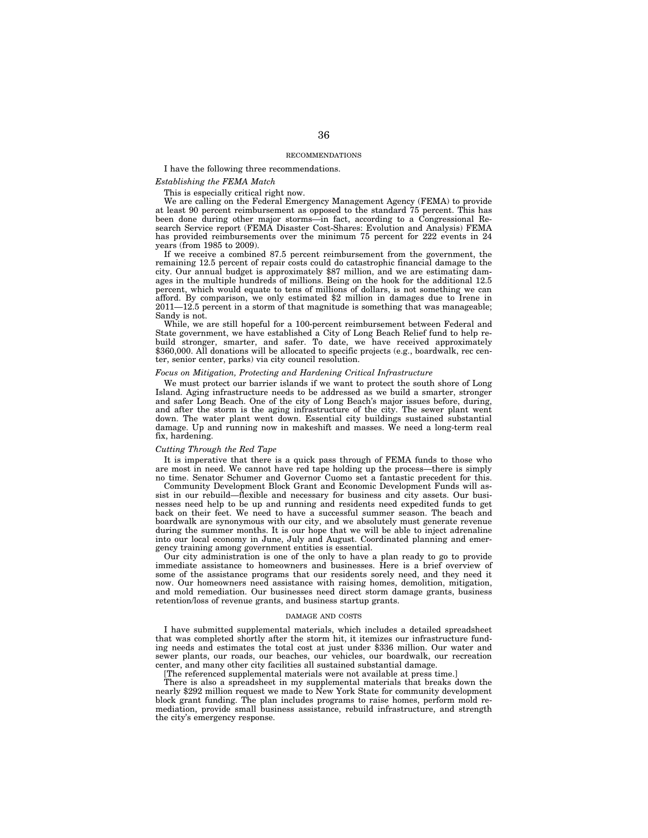#### RECOMMENDATIONS

I have the following three recommendations.

# *Establishing the FEMA Match*

This is especially critical right now.

We are calling on the Federal Emergency Management Agency (FEMA) to provide at least 90 percent reimbursement as opposed to the standard 75 percent. This has been done during other major storms—in fact, according to a Congressional Research Service report (FEMA Disaster Cost-Shares: Evolution and Analysis) FEMA has provided reimbursements over the minimum 75 percent for 222 events in 24 years (from 1985 to 2009).

If we receive a combined 87.5 percent reimbursement from the government, the remaining 12.5 percent of repair costs could do catastrophic financial damage to the city. Our annual budget is approximately \$87 million, and we are estimating damages in the multiple hundreds of millions. Being on the hook for the additional 12.5 percent, which would equate to tens of millions of dollars, is not something we can afford. By comparison, we only estimated \$2 million in damages due to Irene in  $2011 - 12.5$  percent in a storm of that magnitude is something that was manageable; Sandy is not.

While, we are still hopeful for a 100-percent reimbursement between Federal and State government, we have established a City of Long Beach Relief fund to help rebuild stronger, smarter, and safer. To date, we have received approximately \$360,000. All donations will be allocated to specific projects (e.g., boardwalk, rec center, senior center, parks) via city council resolution.

## *Focus on Mitigation, Protecting and Hardening Critical Infrastructure*

We must protect our barrier islands if we want to protect the south shore of Long Island. Aging infrastructure needs to be addressed as we build a smarter, stronger and safer Long Beach. One of the city of Long Beach's major issues before, during, and after the storm is the aging infrastructure of the city. The sewer plant went down. The water plant went down. Essential city buildings sustained substantial damage. Up and running now in makeshift and masses. We need a long-term real fix, hardening.

#### *Cutting Through the Red Tape*

It is imperative that there is a quick pass through of FEMA funds to those who are most in need. We cannot have red tape holding up the process—there is simply no time. Senator Schumer and Governor Cuomo set a fantastic precedent for this.

Community Development Block Grant and Economic Development Funds will assist in our rebuild—flexible and necessary for business and city assets. Our businesses need help to be up and running and residents need expedited funds to get back on their feet. We need to have a successful summer season. The beach and boardwalk are synonymous with our city, and we absolutely must generate revenue during the summer months. It is our hope that we will be able to inject adrenaline into our local economy in June, July and August. Coordinated planning and emergency training among government entities is essential.

Our city administration is one of the only to have a plan ready to go to provide immediate assistance to homeowners and businesses. Here is a brief overview of some of the assistance programs that our residents sorely need, and they need it now. Our homeowners need assistance with raising homes, demolition, mitigation, and mold remediation. Our businesses need direct storm damage grants, business retention/loss of revenue grants, and business startup grants.

#### DAMAGE AND COSTS

I have submitted supplemental materials, which includes a detailed spreadsheet that was completed shortly after the storm hit, it itemizes our infrastructure funding needs and estimates the total cost at just under \$336 million. Our water and sewer plants, our roads, our beaches, our vehicles, our boardwalk, our recreation center, and many other city facilities all sustained substantial damage.

[The referenced supplemental materials were not available at press time.]

There is also a spreadsheet in my supplemental materials that breaks down the nearly \$292 million request we made to New York State for community development block grant funding. The plan includes programs to raise homes, perform mold remediation, provide small business assistance, rebuild infrastructure, and strength the city's emergency response.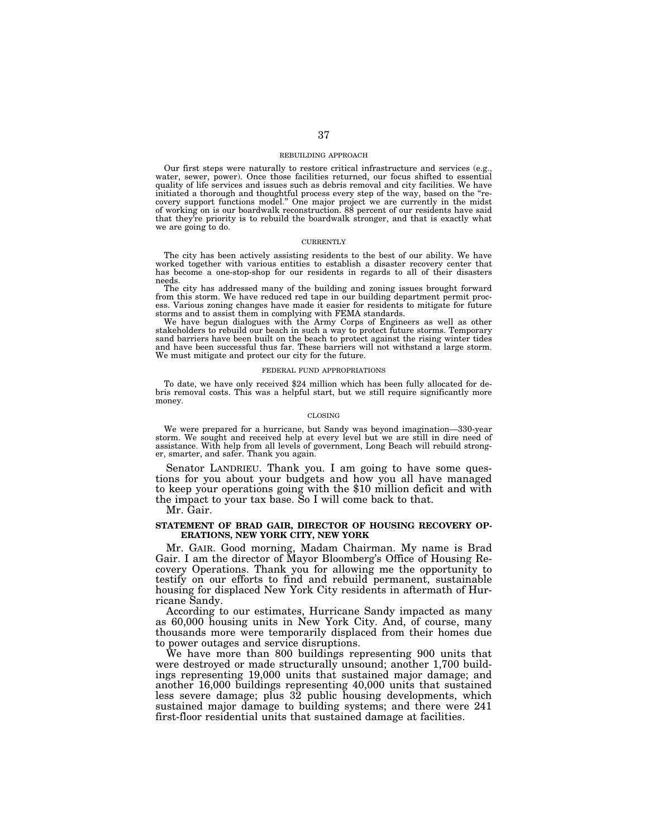#### REBUILDING APPROACH

Our first steps were naturally to restore critical infrastructure and services (e.g., water, sewer, power). Once those facilities returned, our focus shifted to essential quality of life services and issues such as debris removal and city facilities. We have initiated a thorough and thoughtful process every step of the way, based on the ''recovery support functions model.'' One major project we are currently in the midst of working on is our boardwalk reconstruction. 88 percent of our residents have said that they're priority is to rebuild the boardwalk stronger, and that is exactly what we are going to do.

#### **CURRENTLY**

The city has been actively assisting residents to the best of our ability. We have worked together with various entities to establish a disaster recovery center that has become a one-stop-shop for our residents in regards to all of their disasters needs.

The city has addressed many of the building and zoning issues brought forward from this storm. We have reduced red tape in our building department permit process. Various zoning changes have made it easier for residents to mitigate for future storms and to assist them in complying with FEMA standards. We have begun dialogues with the Army Corps of Engineers as well as other

stakeholders to rebuild our beach in such a way to protect future storms. Temporary sand barriers have been built on the beach to protect against the rising winter tides and have been successful thus far. These barriers will not withstand a large storm. We must mitigate and protect our city for the future.

#### FEDERAL FUND APPROPRIATIONS

To date, we have only received \$24 million which has been fully allocated for debris removal costs. This was a helpful start, but we still require significantly more money.

#### CLOSING

We were prepared for a hurricane, but Sandy was beyond imagination—330-year storm. We sought and received help at every level but we are still in dire need of assistance. With help from all levels of government, Long Beach will rebuild stronger, smarter, and safer. Thank you again.

Senator LANDRIEU. Thank you. I am going to have some questions for you about your budgets and how you all have managed to keep your operations going with the \$10 million deficit and with the impact to your tax base. So I will come back to that.

Mr. Gair.

# **STATEMENT OF BRAD GAIR, DIRECTOR OF HOUSING RECOVERY OP-ERATIONS, NEW YORK CITY, NEW YORK**

Mr. GAIR. Good morning, Madam Chairman. My name is Brad Gair. I am the director of Mayor Bloomberg's Office of Housing Recovery Operations. Thank you for allowing me the opportunity to testify on our efforts to find and rebuild permanent, sustainable housing for displaced New York City residents in aftermath of Hurricane Sandy.

According to our estimates, Hurricane Sandy impacted as many as 60,000 housing units in New York City. And, of course, many thousands more were temporarily displaced from their homes due to power outages and service disruptions.

We have more than 800 buildings representing 900 units that were destroyed or made structurally unsound; another 1,700 buildings representing 19,000 units that sustained major damage; and another 16,000 buildings representing 40,000 units that sustained less severe damage; plus 32 public housing developments, which sustained major damage to building systems; and there were 241 first-floor residential units that sustained damage at facilities.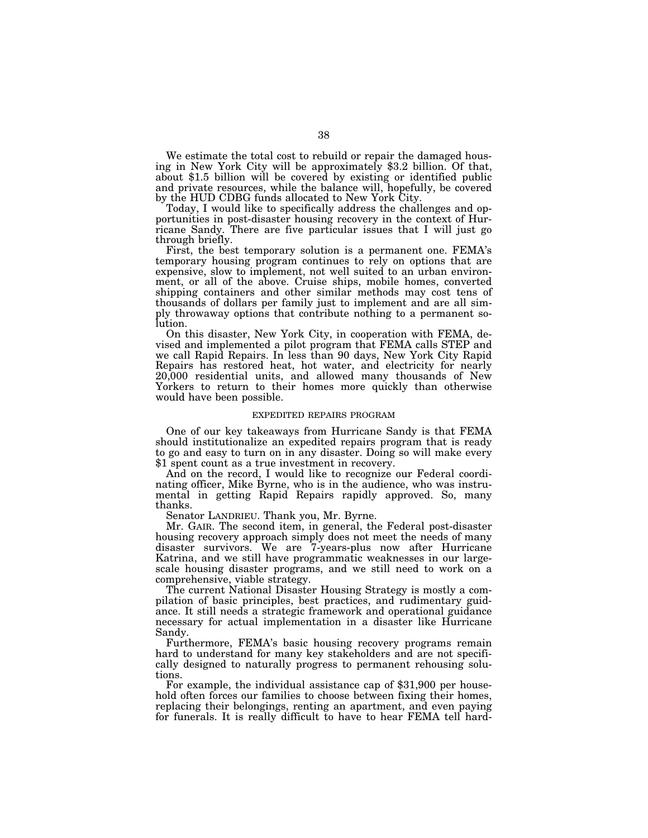We estimate the total cost to rebuild or repair the damaged hous-<br>ing in New York City will be approximately \$3.2 billion. Of that, about \$1.5 billion will be covered by existing or identified public and private resources, while the balance will, hopefully, be covered by the HUD CDBG funds allocated to New York City.

Today, I would like to specifically address the challenges and opportunities in post-disaster housing recovery in the context of Hurricane Sandy. There are five particular issues that I will just go through briefly.

First, the best temporary solution is a permanent one. FEMA's temporary housing program continues to rely on options that are expensive, slow to implement, not well suited to an urban environment, or all of the above. Cruise ships, mobile homes, converted shipping containers and other similar methods may cost tens of thousands of dollars per family just to implement and are all simply throwaway options that contribute nothing to a permanent solution.

On this disaster, New York City, in cooperation with FEMA, devised and implemented a pilot program that FEMA calls STEP and we call Rapid Repairs. In less than 90 days, New York City Rapid Repairs has restored heat, hot water, and electricity for nearly 20,000 residential units, and allowed many thousands of New Yorkers to return to their homes more quickly than otherwise would have been possible.

#### EXPEDITED REPAIRS PROGRAM

One of our key takeaways from Hurricane Sandy is that FEMA should institutionalize an expedited repairs program that is ready to go and easy to turn on in any disaster. Doing so will make every \$1 spent count as a true investment in recovery.

And on the record, I would like to recognize our Federal coordinating officer, Mike Byrne, who is in the audience, who was instrumental in getting Rapid Repairs rapidly approved. So, many thanks.

Senator LANDRIEU. Thank you, Mr. Byrne.

Mr. GAIR. The second item, in general, the Federal post-disaster housing recovery approach simply does not meet the needs of many disaster survivors. We are 7-years-plus now after Hurricane Katrina, and we still have programmatic weaknesses in our largescale housing disaster programs, and we still need to work on a comprehensive, viable strategy.

The current National Disaster Housing Strategy is mostly a compilation of basic principles, best practices, and rudimentary guidance. It still needs a strategic framework and operational guidance necessary for actual implementation in a disaster like Hurricane Sandy.

Furthermore, FEMA's basic housing recovery programs remain hard to understand for many key stakeholders and are not specifically designed to naturally progress to permanent rehousing solutions.

For example, the individual assistance cap of \$31,900 per household often forces our families to choose between fixing their homes, replacing their belongings, renting an apartment, and even paying for funerals. It is really difficult to have to hear FEMA tell hard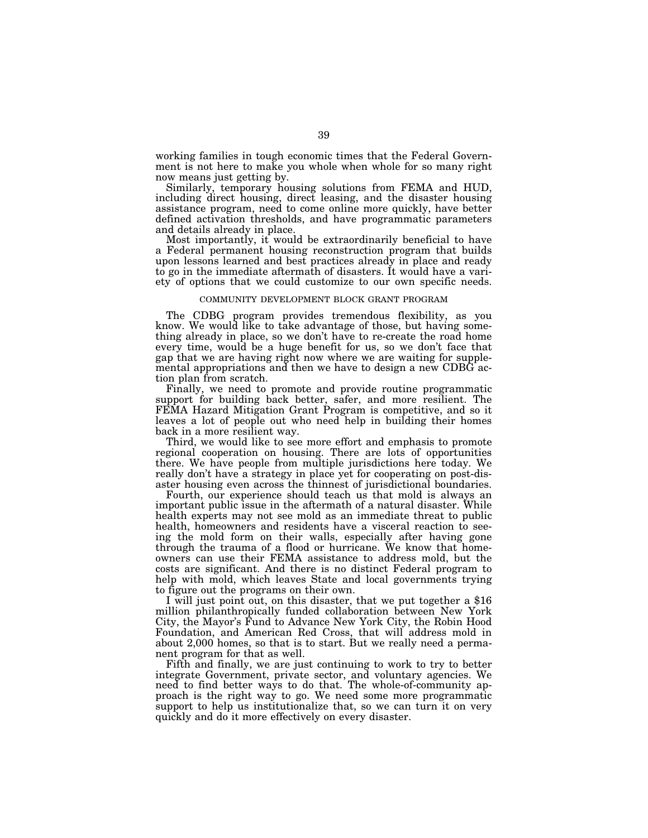working families in tough economic times that the Federal Government is not here to make you whole when whole for so many right now means just getting by.

Similarly, temporary housing solutions from FEMA and HUD, including direct housing, direct leasing, and the disaster housing assistance program, need to come online more quickly, have better defined activation thresholds, and have programmatic parameters and details already in place.

Most importantly, it would be extraordinarily beneficial to have a Federal permanent housing reconstruction program that builds upon lessons learned and best practices already in place and ready to go in the immediate aftermath of disasters. It would have a variety of options that we could customize to our own specific needs.

#### COMMUNITY DEVELOPMENT BLOCK GRANT PROGRAM

The CDBG program provides tremendous flexibility, as you know. We would like to take advantage of those, but having something already in place, so we don't have to re-create the road home every time, would be a huge benefit for us, so we don't face that gap that we are having right now where we are waiting for supplemental appropriations and then we have to design a new CDBG action plan from scratch.

Finally, we need to promote and provide routine programmatic support for building back better, safer, and more resilient. The FEMA Hazard Mitigation Grant Program is competitive, and so it leaves a lot of people out who need help in building their homes back in a more resilient way.

Third, we would like to see more effort and emphasis to promote regional cooperation on housing. There are lots of opportunities there. We have people from multiple jurisdictions here today. We really don't have a strategy in place yet for cooperating on post-disaster housing even across the thinnest of jurisdictional boundaries.

Fourth, our experience should teach us that mold is always an important public issue in the aftermath of a natural disaster. While health experts may not see mold as an immediate threat to public health, homeowners and residents have a visceral reaction to seeing the mold form on their walls, especially after having gone through the trauma of a flood or hurricane. We know that homeowners can use their FEMA assistance to address mold, but the costs are significant. And there is no distinct Federal program to help with mold, which leaves State and local governments trying to figure out the programs on their own.

I will just point out, on this disaster, that we put together a \$16 million philanthropically funded collaboration between New York City, the Mayor's Fund to Advance New York City, the Robin Hood Foundation, and American Red Cross, that will address mold in about 2,000 homes, so that is to start. But we really need a permanent program for that as well.

Fifth and finally, we are just continuing to work to try to better integrate Government, private sector, and voluntary agencies. We need to find better ways to do that. The whole-of-community approach is the right way to go. We need some more programmatic support to help us institutionalize that, so we can turn it on very quickly and do it more effectively on every disaster.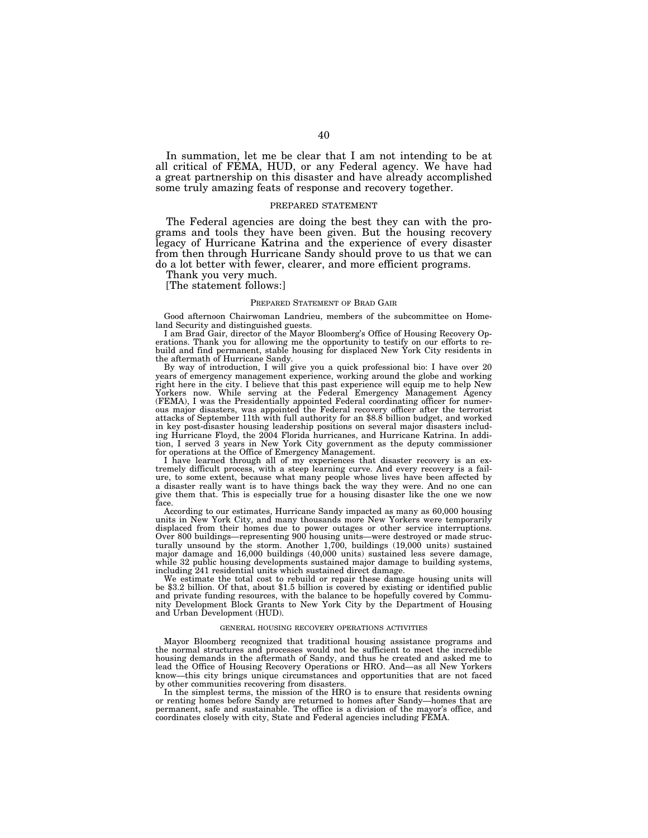In summation, let me be clear that I am not intending to be at all critical of FEMA, HUD, or any Federal agency. We have had a great partnership on this disaster and have already accomplished some truly amazing feats of response and recovery together.

#### PREPARED STATEMENT

The Federal agencies are doing the best they can with the programs and tools they have been given. But the housing recovery legacy of Hurricane Katrina and the experience of every disaster from then through Hurricane Sandy should prove to us that we can do a lot better with fewer, clearer, and more efficient programs.

Thank you very much.

[The statement follows:]

#### PREPARED STATEMENT OF BRAD GAIR

Good afternoon Chairwoman Landrieu, members of the subcommittee on Homeland Security and distinguished guests.

I am Brad Gair, director of the Mayor Bloomberg's Office of Housing Recovery Operations. Thank you for allowing me the opportunity to testify on our efforts to rebuild and find permanent, stable housing for displaced New York City residents in the aftermath of Hurricane Sandy.

By way of introduction, I will give you a quick professional bio: I have over 20 years of emergency management experience, working around the globe and working right here in the city. I believe that this past experience will equip me to help New Yorkers now. While serving at the Federal Emergency Management Agency (FEMA), I was the Presidentially appointed Federal coordinating officer for numerous major disasters, was appointed the Federal recovery officer after the terrorist attacks of September 11th with full authority for an \$8.8 billion budget, and worked in key post-disaster housing leadership positions on several major disasters including Hurricane Floyd, the 2004 Florida hurricanes, and Hurricane Katrina. In addition, I served 3 years in New York City government as the deputy commissioner for operations at the Office of Emergency Management.

I have learned through all of my experiences that disaster recovery is an extremely difficult process, with a steep learning curve. And every recovery is a failure, to some extent, because what many people whose lives have been affected by a disaster really want is to have things back the way they were. And no one can give them that. This is especially true for a housing disaster like the one we now face.

According to our estimates, Hurricane Sandy impacted as many as 60,000 housing units in New York City, and many thousands more New Yorkers were temporarily displaced from their homes due to power outages or other service interruptions. Over 800 buildings—representing 900 housing units—were destroyed or made structurally unsound by the storm. Another 1,700, buildings (19,000 units) sustained major damage and 16,000 buildings (40,000 units) sustained less severe damage, while 32 public housing developments sustained major damage to building systems, including 241 residential units which sustained direct damage.

We estimate the total cost to rebuild or repair these damage housing units will be \$3.2 billion. Of that, about \$1.5 billion is covered by existing or identified public and private funding resources, with the balance to be hopefully covered by Community Development Block Grants to New York City by the Department of Housing and Urban Development (HUD).

#### GENERAL HOUSING RECOVERY OPERATIONS ACTIVITIES

Mayor Bloomberg recognized that traditional housing assistance programs and the normal structures and processes would not be sufficient to meet the incredible housing demands in the aftermath of Sandy, and thus he created and asked me to lead the Office of Housing Recovery Operations or HRO. And—as all New Yorkers know—this city brings unique circumstances and opportunities that are not faced by other communities recovering from disasters.

In the simplest terms, the mission of the HRO is to ensure that residents owning or renting homes before Sandy are returned to homes after Sandy—homes that are permanent, safe and sustainable. The office is a division of the mayor's office, and coordinates closely with city, State and Federal agencies including FEMA.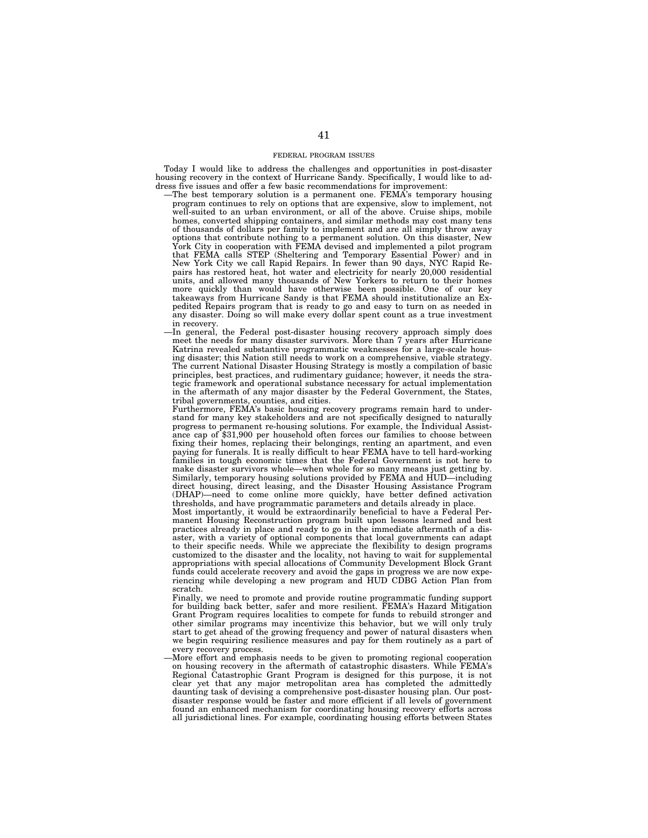#### FEDERAL PROGRAM ISSUES

Today I would like to address the challenges and opportunities in post-disaster housing recovery in the context of Hurricane Sandy. Specifically, I would like to address five issues and offer a few basic recommendations for improvement:

- —The best temporary solution is a permanent one. FEMA's temporary housing program continues to rely on options that are expensive, slow to implement, not well-suited to an urban environment, or all of the above. Cruise ships, mobile homes, converted shipping containers, and similar methods may cost many tens of thousands of dollars per family to implement and are all simply throw away options that contribute nothing to a permanent solution. On this disaster, New York City in cooperation with FEMA devised and implemented a pilot program that FEMA calls STEP (Sheltering and Temporary Essential Power) and in New York City we call Rapid Repairs. In fewer than 90 days, NYC Rapid Repairs has restored heat, hot water and electricity for nearly 20,000 residential units, and allowed many thousands of New Yorkers to return to their homes more quickly than would have otherwise been possible. One of our key takeaways from Hurricane Sandy is that FEMA should institutionalize an Expedited Repairs program that is ready to go and easy to turn on as needed in any disaster. Doing so will make every dollar spent count as a true investment in recovery.
- —In general, the Federal post-disaster housing recovery approach simply does meet the needs for many disaster survivors. More than 7 years after Hurricane Katrina revealed substantive programmatic weaknesses for a large-scale housing disaster; this Nation still needs to work on a comprehensive, viable strategy. The current National Disaster Housing Strategy is mostly a compilation of basic principles, best practices, and rudimentary guidance; however, it needs the strategic framework and operational substance necessary for actual implementation in the aftermath of any major disaster by the Federal Government, the States, tribal governments, counties, and cities.

Furthermore, FEMA's basic housing recovery programs remain hard to understand for many key stakeholders and are not specifically designed to naturally progress to permanent re-housing solutions. For example, the Individual Assistance cap of \$31,900 per household often forces our families to choose between fixing their homes, replacing their belongings, renting an apartment, and even paying for funerals. It is really difficult to hear FEMA have to tell hard-working families in tough economic times that the Federal Government is not here to make disaster survivors whole—when whole for so many means just getting by. Similarly, temporary housing solutions provided by FEMA and HUD—including direct housing, direct leasing, and the Disaster Housing Assistance Program (DHAP)—need to come online more quickly, have better defined activation thresholds, and have programmatic parameters and details already in place.

Most importantly, it would be extraordinarily beneficial to have a Federal Permanent Housing Reconstruction program built upon lessons learned and best practices already in place and ready to go in the immediate aftermath of a disaster, with a variety of optional components that local governments can adapt to their specific needs. While we appreciate the flexibility to design programs customized to the disaster and the locality, not having to wait for supplemental appropriations with special allocations of Community Development Block Grant funds could accelerate recovery and avoid the gaps in progress we are now experiencing while developing a new program and HUD CDBG Action Plan from scratch.

Finally, we need to promote and provide routine programmatic funding support for building back better, safer and more resilient. FEMA's Hazard Mitigation Grant Program requires localities to compete for funds to rebuild stronger and other similar programs may incentivize this behavior, but we will only truly start to get ahead of the growing frequency and power of natural disasters when we begin requiring resilience measures and pay for them routinely as a part of every recovery process.

—More effort and emphasis needs to be given to promoting regional cooperation on housing recovery in the aftermath of catastrophic disasters. While FEMA's Regional Catastrophic Grant Program is designed for this purpose, it is not clear yet that any major metropolitan area has completed the admittedly daunting task of devising a comprehensive post-disaster housing plan. Our postdisaster response would be faster and more efficient if all levels of government found an enhanced mechanism for coordinating housing recovery efforts across all jurisdictional lines. For example, coordinating housing efforts between States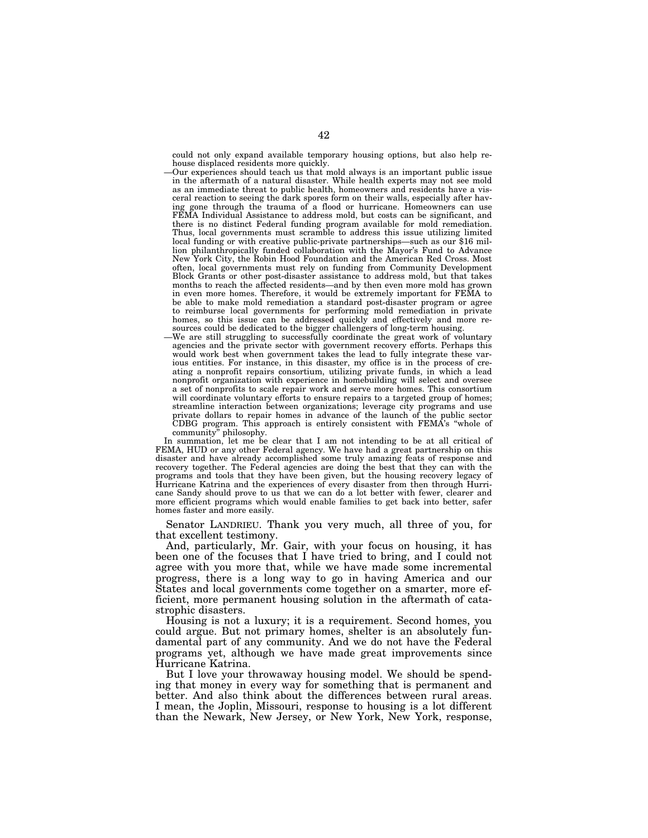could not only expand available temporary housing options, but also help rehouse displaced residents more quickly.

- —Our experiences should teach us that mold always is an important public issue in the aftermath of a natural disaster. While health experts may not see mold as an immediate threat to public health, homeowners and residents have a visceral reaction to seeing the dark spores form on their walls, especially after having gone through the trauma of a flood or hurricane. Homeowners can use FEMA Individual Assistance to address mold, but costs can be significant, and there is no distinct Federal funding program available for mold remediation. Thus, local governments must scramble to address this issue utilizing limited local funding or with creative public-private partnerships—such as our \$16 million philanthropically funded collaboration with the Mayor's Fund to Advance New York City, the Robin Hood Foundation and the American Red Cross. Most often, local governments must rely on funding from Community Development Block Grants or other post-disaster assistance to address mold, but that takes months to reach the affected residents—and by then even more mold has grown in even more homes. Therefore, it would be extremely important for FEMA to be able to make mold remediation a standard post-disaster program or agree to reimburse local governments for performing mold remediation in private homes, so this issue can be addressed quickly and effectively and more resources could be dedicated to the bigger challengers of long-term housing.
- —We are still struggling to successfully coordinate the great work of voluntary agencies and the private sector with government recovery efforts. Perhaps this would work best when government takes the lead to fully integrate these various entities. For instance, in this disaster, my office is in the process of creating a nonprofit repairs consortium, utilizing private funds, in which a lead nonprofit organization with experience in homebuilding will select and oversee a set of nonprofits to scale repair work and serve more homes. This consortium will coordinate voluntary efforts to ensure repairs to a targeted group of homes; streamline interaction between organizations; leverage city programs and use private dollars to repair homes in advance of the launch of the public sector CDBG program. This approach is entirely consistent with FEMA's ''whole of community'' philosophy.

In summation, let me be clear that I am not intending to be at all critical of FEMA, HUD or any other Federal agency. We have had a great partnership on this disaster and have already accomplished some truly amazing feats of response and recovery together. The Federal agencies are doing the best that they can with the programs and tools that they have been given, but the housing recovery legacy of Hurricane Katrina and the experiences of every disaster from then through Hurricane Sandy should prove to us that we can do a lot better with fewer, clearer and more efficient programs which would enable families to get back into better, safer homes faster and more easily.

Senator LANDRIEU. Thank you very much, all three of you, for that excellent testimony.

And, particularly, Mr. Gair, with your focus on housing, it has been one of the focuses that I have tried to bring, and I could not agree with you more that, while we have made some incremental progress, there is a long way to go in having America and our States and local governments come together on a smarter, more efficient, more permanent housing solution in the aftermath of catastrophic disasters.

Housing is not a luxury; it is a requirement. Second homes, you could argue. But not primary homes, shelter is an absolutely fundamental part of any community. And we do not have the Federal programs yet, although we have made great improvements since Hurricane Katrina.

But I love your throwaway housing model. We should be spending that money in every way for something that is permanent and better. And also think about the differences between rural areas. I mean, the Joplin, Missouri, response to housing is a lot different than the Newark, New Jersey, or New York, New York, response,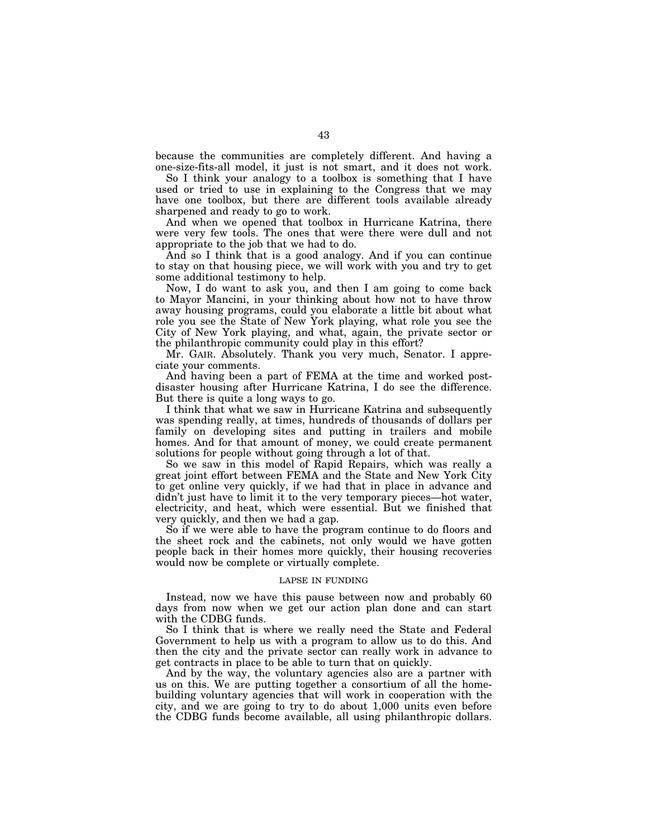because the communities are completely different. And having a one-size-fits-all model, it just is not smart, and it does not work.

So I think your analogy to a toolbox is something that I have used or tried to use in explaining to the Congress that we may have one toolbox, but there are different tools available already sharpened and ready to go to work.

And when we opened that toolbox in Hurricane Katrina, there were very few tools. The ones that were there were dull and not appropriate to the job that we had to do.

And so I think that is a good analogy. And if you can continue to stay on that housing piece, we will work with you and try to get some additional testimony to help.

Now, I do want to ask you, and then I am going to come back to Mayor Mancini, in your thinking about how not to have throw away housing programs, could you elaborate a little bit about what role you see the State of New York playing, what role you see the City of New York playing, and what, again, the private sector or the philanthropic community could play in this effort?

Mr. GAIR. Absolutely. Thank you very much, Senator. I appreciate your comments.

And having been a part of FEMA at the time and worked postdisaster housing after Hurricane Katrina, I do see the difference. But there is quite a long ways to go.

I think that what we saw in Hurricane Katrina and subsequently was spending really, at times, hundreds of thousands of dollars per family on developing sites and putting in trailers and mobile homes. And for that amount of money, we could create permanent solutions for people without going through a lot of that.

So we saw in this model of Rapid Repairs, which was really a great joint effort between FEMA and the State and New York City to get online very quickly, if we had that in place in advance and didn't just have to limit it to the very temporary pieces—hot water, electricity, and heat, which were essential. But we finished that very quickly, and then we had a gap.

So if we were able to have the program continue to do floors and the sheet rock and the cabinets, not only would we have gotten people back in their homes more quickly, their housing recoveries would now be complete or virtually complete.

# LAPSE IN FUNDING

Instead, now we have this pause between now and probably 60 days from now when we get our action plan done and can start with the CDBG funds.

So I think that is where we really need the State and Federal Government to help us with a program to allow us to do this. And then the city and the private sector can really work in advance to get contracts in place to be able to turn that on quickly.

And by the way, the voluntary agencies also are a partner with us on this. We are putting together a consortium of all the homebuilding voluntary agencies that will work in cooperation with the city, and we are going to try to do about 1,000 units even before the CDBG funds become available, all using philanthropic dollars.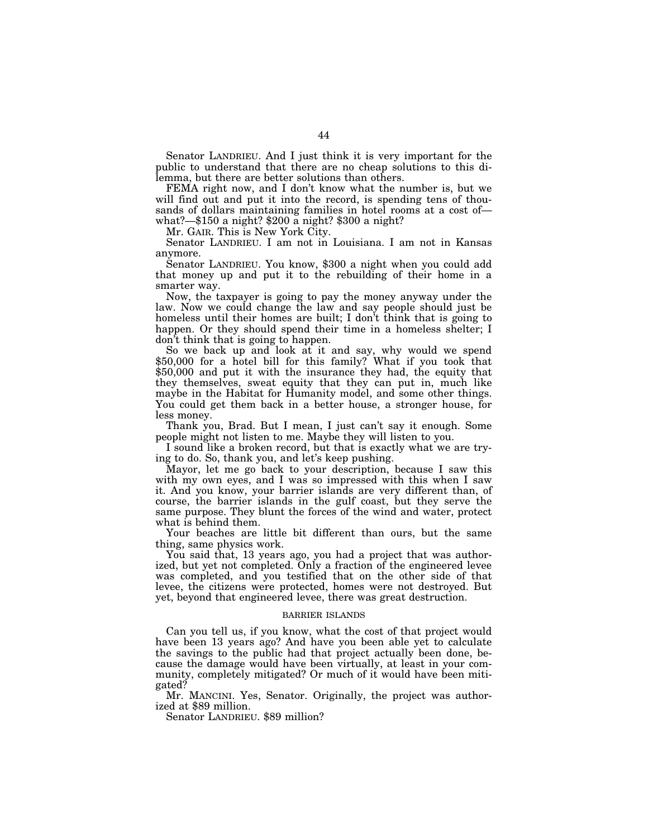Senator LANDRIEU. And I just think it is very important for the public to understand that there are no cheap solutions to this dilemma, but there are better solutions than others.

FEMA right now, and I don't know what the number is, but we will find out and put it into the record, is spending tens of thousands of dollars maintaining families in hotel rooms at a cost ofwhat?—\$150 a night? \$200 a night? \$300 a night?

Mr. GAIR. This is New York City.

Senator LANDRIEU. I am not in Louisiana. I am not in Kansas anymore.

Senator LANDRIEU. You know, \$300 a night when you could add that money up and put it to the rebuilding of their home in a smarter way.

Now, the taxpayer is going to pay the money anyway under the law. Now we could change the law and say people should just be homeless until their homes are built; I don't think that is going to happen. Or they should spend their time in a homeless shelter; I don't think that is going to happen.

So we back up and look at it and say, why would we spend \$50,000 for a hotel bill for this family? What if you took that \$50,000 and put it with the insurance they had, the equity that they themselves, sweat equity that they can put in, much like maybe in the Habitat for Humanity model, and some other things. You could get them back in a better house, a stronger house, for less money.

Thank you, Brad. But I mean, I just can't say it enough. Some people might not listen to me. Maybe they will listen to you.

I sound like a broken record, but that is exactly what we are trying to do. So, thank you, and let's keep pushing.

Mayor, let me go back to your description, because I saw this with my own eyes, and I was so impressed with this when I saw it. And you know, your barrier islands are very different than, of course, the barrier islands in the gulf coast, but they serve the same purpose. They blunt the forces of the wind and water, protect what is behind them.

Your beaches are little bit different than ours, but the same thing, same physics work.

You said that, 13 years ago, you had a project that was authorized, but yet not completed. Only a fraction of the engineered levee was completed, and you testified that on the other side of that levee, the citizens were protected, homes were not destroyed. But yet, beyond that engineered levee, there was great destruction.

# BARRIER ISLANDS

Can you tell us, if you know, what the cost of that project would have been 13 years ago? And have you been able yet to calculate the savings to the public had that project actually been done, because the damage would have been virtually, at least in your community, completely mitigated? Or much of it would have been mitigated?

Mr. MANCINI. Yes, Senator. Originally, the project was authorized at \$89 million.

Senator LANDRIEU. \$89 million?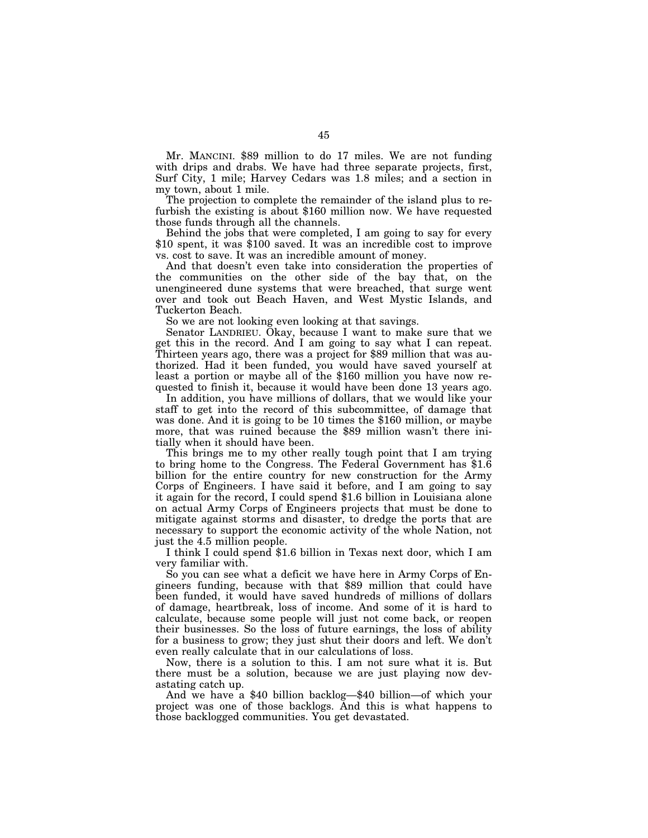Mr. MANCINI. \$89 million to do 17 miles. We are not funding with drips and drabs. We have had three separate projects, first, Surf City, 1 mile; Harvey Cedars was 1.8 miles; and a section in my town, about 1 mile.

The projection to complete the remainder of the island plus to refurbish the existing is about \$160 million now. We have requested those funds through all the channels.

Behind the jobs that were completed, I am going to say for every \$10 spent, it was \$100 saved. It was an incredible cost to improve vs. cost to save. It was an incredible amount of money.

And that doesn't even take into consideration the properties of the communities on the other side of the bay that, on the unengineered dune systems that were breached, that surge went over and took out Beach Haven, and West Mystic Islands, and Tuckerton Beach.

So we are not looking even looking at that savings.

Senator LANDRIEU. Okay, because I want to make sure that we get this in the record. And I am going to say what I can repeat. Thirteen years ago, there was a project for \$89 million that was authorized. Had it been funded, you would have saved yourself at least a portion or maybe all of the \$160 million you have now requested to finish it, because it would have been done 13 years ago.

In addition, you have millions of dollars, that we would like your staff to get into the record of this subcommittee, of damage that was done. And it is going to be 10 times the \$160 million, or maybe more, that was ruined because the \$89 million wasn't there initially when it should have been.

This brings me to my other really tough point that I am trying to bring home to the Congress. The Federal Government has \$1.6 billion for the entire country for new construction for the Army Corps of Engineers. I have said it before, and I am going to say it again for the record, I could spend \$1.6 billion in Louisiana alone on actual Army Corps of Engineers projects that must be done to mitigate against storms and disaster, to dredge the ports that are necessary to support the economic activity of the whole Nation, not just the 4.5 million people.

I think I could spend \$1.6 billion in Texas next door, which I am very familiar with.

So you can see what a deficit we have here in Army Corps of Engineers funding, because with that \$89 million that could have been funded, it would have saved hundreds of millions of dollars of damage, heartbreak, loss of income. And some of it is hard to calculate, because some people will just not come back, or reopen their businesses. So the loss of future earnings, the loss of ability for a business to grow; they just shut their doors and left. We don't even really calculate that in our calculations of loss.

Now, there is a solution to this. I am not sure what it is. But there must be a solution, because we are just playing now devastating catch up.

And we have a \$40 billion backlog—\$40 billion—of which your project was one of those backlogs. And this is what happens to those backlogged communities. You get devastated.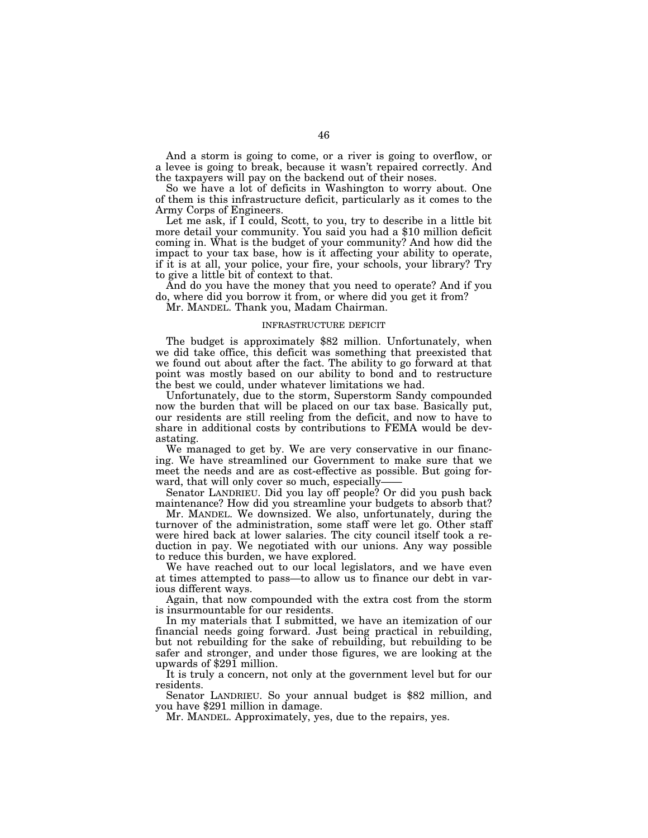And a storm is going to come, or a river is going to overflow, or a levee is going to break, because it wasn't repaired correctly. And the taxpayers will pay on the backend out of their noses.

So we have a lot of deficits in Washington to worry about. One of them is this infrastructure deficit, particularly as it comes to the Army Corps of Engineers.

Let me ask, if I could, Scott, to you, try to describe in a little bit more detail your community. You said you had a \$10 million deficit coming in. What is the budget of your community? And how did the impact to your tax base, how is it affecting your ability to operate, if it is at all, your police, your fire, your schools, your library? Try to give a little bit of context to that.

And do you have the money that you need to operate? And if you do, where did you borrow it from, or where did you get it from?

Mr. MANDEL. Thank you, Madam Chairman.

# INFRASTRUCTURE DEFICIT

The budget is approximately \$82 million. Unfortunately, when we did take office, this deficit was something that preexisted that we found out about after the fact. The ability to go forward at that point was mostly based on our ability to bond and to restructure the best we could, under whatever limitations we had.

Unfortunately, due to the storm, Superstorm Sandy compounded now the burden that will be placed on our tax base. Basically put, our residents are still reeling from the deficit, and now to have to share in additional costs by contributions to FEMA would be devastating.

We managed to get by. We are very conservative in our financing. We have streamlined our Government to make sure that we meet the needs and are as cost-effective as possible. But going forward, that will only cover so much, especially—

Senator LANDRIEU. Did you lay off people? Or did you push back maintenance? How did you streamline your budgets to absorb that?

Mr. MANDEL. We downsized. We also, unfortunately, during the turnover of the administration, some staff were let go. Other staff were hired back at lower salaries. The city council itself took a reduction in pay. We negotiated with our unions. Any way possible to reduce this burden, we have explored.

We have reached out to our local legislators, and we have even at times attempted to pass—to allow us to finance our debt in various different ways.

Again, that now compounded with the extra cost from the storm is insurmountable for our residents.

In my materials that I submitted, we have an itemization of our financial needs going forward. Just being practical in rebuilding, but not rebuilding for the sake of rebuilding, but rebuilding to be safer and stronger, and under those figures, we are looking at the upwards of \$291 million.

It is truly a concern, not only at the government level but for our residents.

Senator LANDRIEU. So your annual budget is \$82 million, and you have \$291 million in damage.

Mr. MANDEL. Approximately, yes, due to the repairs, yes.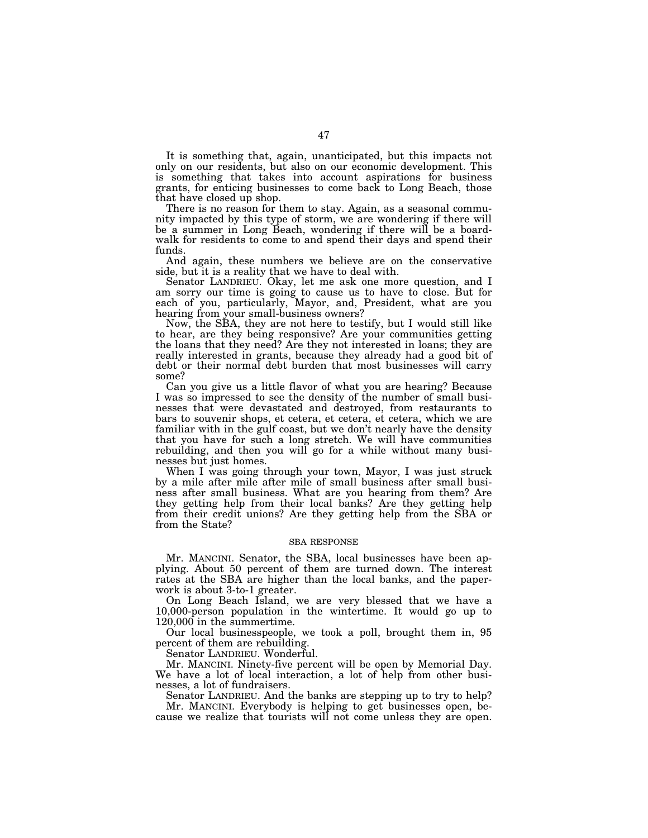It is something that, again, unanticipated, but this impacts not only on our residents, but also on our economic development. This is something that takes into account aspirations for business grants, for enticing businesses to come back to Long Beach, those that have closed up shop.

There is no reason for them to stay. Again, as a seasonal community impacted by this type of storm, we are wondering if there will be a summer in Long Beach, wondering if there will be a boardwalk for residents to come to and spend their days and spend their funds.

And again, these numbers we believe are on the conservative side, but it is a reality that we have to deal with.

Senator LANDRIEU. Okay, let me ask one more question, and I am sorry our time is going to cause us to have to close. But for each of you, particularly, Mayor, and, President, what are you hearing from your small-business owners?

Now, the SBA, they are not here to testify, but I would still like to hear, are they being responsive? Are your communities getting the loans that they need? Are they not interested in loans; they are really interested in grants, because they already had a good bit of debt or their normal debt burden that most businesses will carry some?

Can you give us a little flavor of what you are hearing? Because I was so impressed to see the density of the number of small businesses that were devastated and destroyed, from restaurants to bars to souvenir shops, et cetera, et cetera, et cetera, which we are familiar with in the gulf coast, but we don't nearly have the density that you have for such a long stretch. We will have communities rebuilding, and then you will go for a while without many businesses but just homes.

When I was going through your town, Mayor, I was just struck by a mile after mile after mile of small business after small business after small business. What are you hearing from them? Are they getting help from their local banks? Are they getting help from their credit unions? Are they getting help from the SBA or from the State?

#### SBA RESPONSE

Mr. MANCINI. Senator, the SBA, local businesses have been applying. About 50 percent of them are turned down. The interest rates at the SBA are higher than the local banks, and the paperwork is about 3-to-1 greater.

On Long Beach Island, we are very blessed that we have a 10,000-person population in the wintertime. It would go up to 120,000 in the summertime.

Our local businesspeople, we took a poll, brought them in, 95 percent of them are rebuilding.

Senator LANDRIEU. Wonderful.

Mr. MANCINI. Ninety-five percent will be open by Memorial Day. We have a lot of local interaction, a lot of help from other businesses, a lot of fundraisers.

Senator LANDRIEU. And the banks are stepping up to try to help?

Mr. MANCINI. Everybody is helping to get businesses open, because we realize that tourists will not come unless they are open.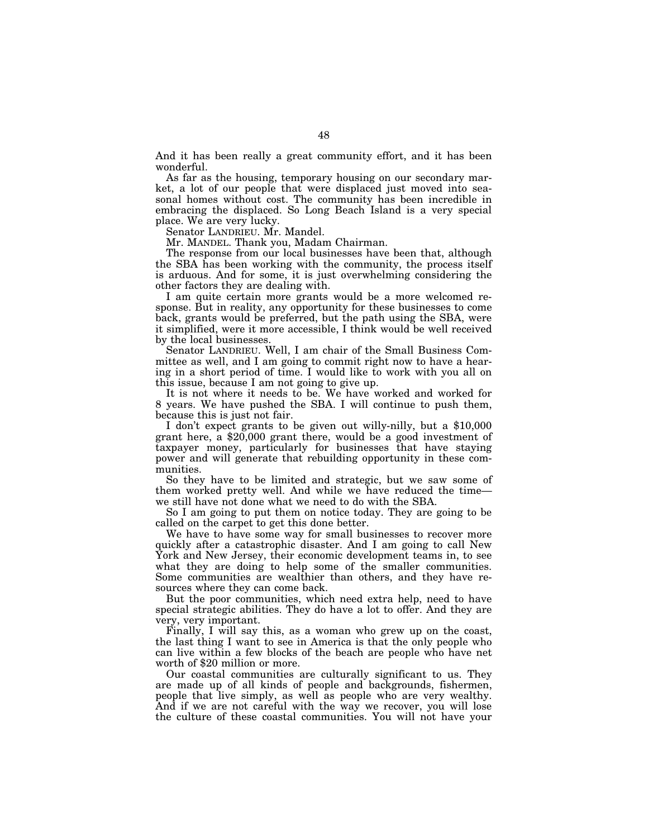And it has been really a great community effort, and it has been wonderful.

As far as the housing, temporary housing on our secondary market, a lot of our people that were displaced just moved into seasonal homes without cost. The community has been incredible in embracing the displaced. So Long Beach Island is a very special place. We are very lucky.

Senator LANDRIEU. Mr. Mandel.

Mr. MANDEL. Thank you, Madam Chairman.

The response from our local businesses have been that, although the SBA has been working with the community, the process itself is arduous. And for some, it is just overwhelming considering the other factors they are dealing with.

I am quite certain more grants would be a more welcomed response. But in reality, any opportunity for these businesses to come back, grants would be preferred, but the path using the SBA, were it simplified, were it more accessible, I think would be well received by the local businesses.

Senator LANDRIEU. Well, I am chair of the Small Business Committee as well, and I am going to commit right now to have a hearing in a short period of time. I would like to work with you all on this issue, because I am not going to give up.

It is not where it needs to be. We have worked and worked for 8 years. We have pushed the SBA. I will continue to push them, because this is just not fair.

I don't expect grants to be given out willy-nilly, but a \$10,000 grant here, a \$20,000 grant there, would be a good investment of taxpayer money, particularly for businesses that have staying power and will generate that rebuilding opportunity in these communities.

So they have to be limited and strategic, but we saw some of them worked pretty well. And while we have reduced the time we still have not done what we need to do with the SBA.

So I am going to put them on notice today. They are going to be called on the carpet to get this done better.

We have to have some way for small businesses to recover more quickly after a catastrophic disaster. And I am going to call New York and New Jersey, their economic development teams in, to see what they are doing to help some of the smaller communities. Some communities are wealthier than others, and they have resources where they can come back.

But the poor communities, which need extra help, need to have special strategic abilities. They do have a lot to offer. And they are very, very important.

Finally, I will say this, as a woman who grew up on the coast, the last thing I want to see in America is that the only people who can live within a few blocks of the beach are people who have net worth of \$20 million or more.

Our coastal communities are culturally significant to us. They are made up of all kinds of people and backgrounds, fishermen, people that live simply, as well as people who are very wealthy. And if we are not careful with the way we recover, you will lose the culture of these coastal communities. You will not have your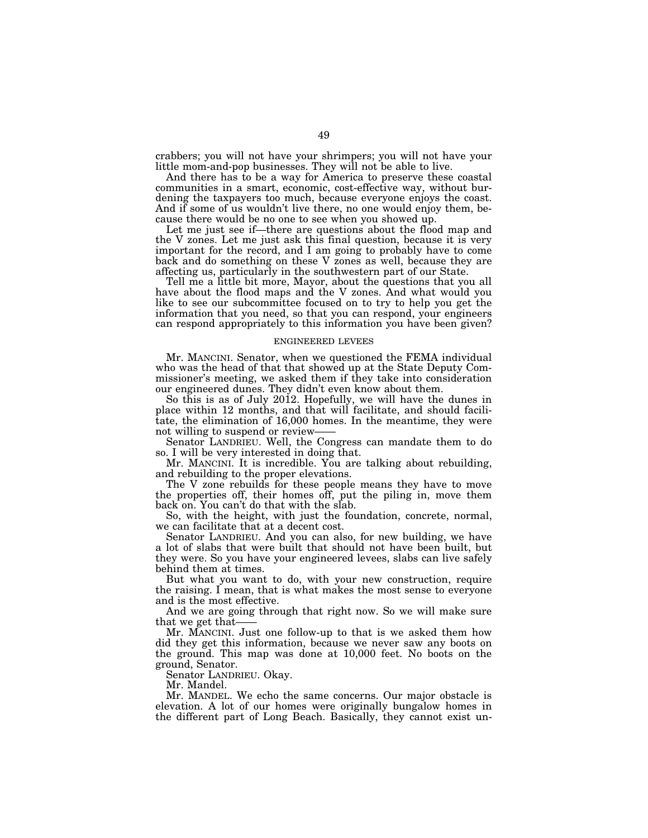crabbers; you will not have your shrimpers; you will not have your little mom-and-pop businesses. They will not be able to live.

And there has to be a way for America to preserve these coastal communities in a smart, economic, cost-effective way, without burdening the taxpayers too much, because everyone enjoys the coast. And if some of us wouldn't live there, no one would enjoy them, because there would be no one to see when you showed up.

Let me just see if—there are questions about the flood map and the V zones. Let me just ask this final question, because it is very important for the record, and I am going to probably have to come back and do something on these V zones as well, because they are affecting us, particularly in the southwestern part of our State.

Tell me a little bit more, Mayor, about the questions that you all have about the flood maps and the V zones. And what would you like to see our subcommittee focused on to try to help you get the information that you need, so that you can respond, your engineers can respond appropriately to this information you have been given?

#### ENGINEERED LEVEES

Mr. MANCINI. Senator, when we questioned the FEMA individual who was the head of that that showed up at the State Deputy Commissioner's meeting, we asked them if they take into consideration our engineered dunes. They didn't even know about them.

So this is as of July 2012. Hopefully, we will have the dunes in place within 12 months, and that will facilitate, and should facilitate, the elimination of 16,000 homes. In the meantime, they were not willing to suspend or review-

Senator LANDRIEU. Well, the Congress can mandate them to do so. I will be very interested in doing that.

Mr. MANCINI. It is incredible. You are talking about rebuilding, and rebuilding to the proper elevations.

The V zone rebuilds for these people means they have to move the properties off, their homes off, put the piling in, move them back on. You can't do that with the slab.

So, with the height, with just the foundation, concrete, normal, we can facilitate that at a decent cost.

Senator LANDRIEU. And you can also, for new building, we have a lot of slabs that were built that should not have been built, but they were. So you have your engineered levees, slabs can live safely behind them at times.

But what you want to do, with your new construction, require the raising. I mean, that is what makes the most sense to everyone and is the most effective.

And we are going through that right now. So we will make sure that we get that-

Mr. MANCINI. Just one follow-up to that is we asked them how did they get this information, because we never saw any boots on the ground. This map was done at 10,000 feet. No boots on the ground, Senator.

Senator LANDRIEU. Okay.

Mr. Mandel.

Mr. MANDEL. We echo the same concerns. Our major obstacle is elevation. A lot of our homes were originally bungalow homes in the different part of Long Beach. Basically, they cannot exist un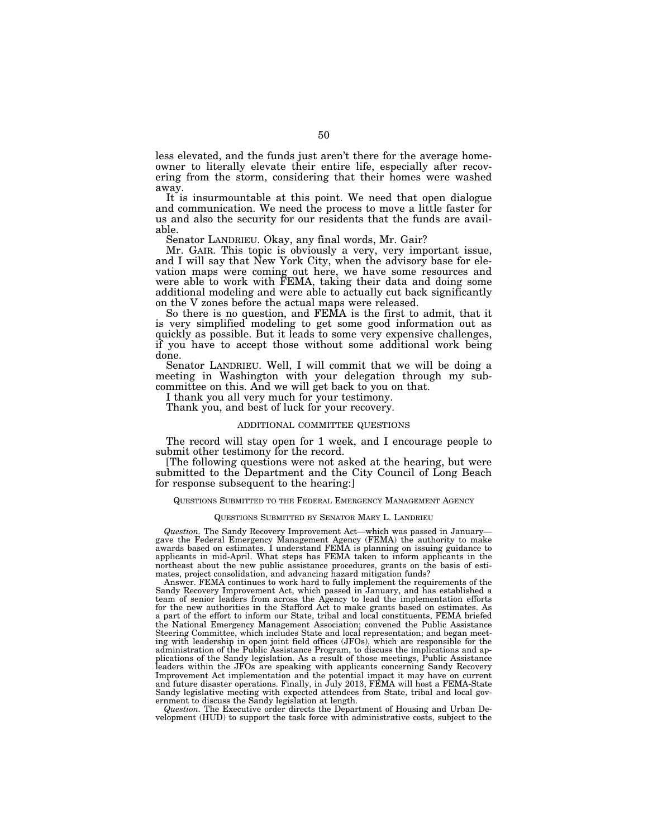less elevated, and the funds just aren't there for the average homeowner to literally elevate their entire life, especially after recovering from the storm, considering that their homes were washed away.

It is insurmountable at this point. We need that open dialogue and communication. We need the process to move a little faster for us and also the security for our residents that the funds are available.

Senator LANDRIEU. Okay, any final words, Mr. Gair?

Mr. GAIR. This topic is obviously a very, very important issue, and I will say that New York City, when the advisory base for elevation maps were coming out here, we have some resources and were able to work with FEMA, taking their data and doing some additional modeling and were able to actually cut back significantly on the V zones before the actual maps were released.

So there is no question, and FEMA is the first to admit, that it is very simplified modeling to get some good information out as quickly as possible. But it leads to some very expensive challenges, if you have to accept those without some additional work being done.

Senator LANDRIEU. Well, I will commit that we will be doing a meeting in Washington with your delegation through my subcommittee on this. And we will get back to you on that.

I thank you all very much for your testimony.

Thank you, and best of luck for your recovery.

## ADDITIONAL COMMITTEE QUESTIONS

The record will stay open for 1 week, and I encourage people to submit other testimony for the record.

[The following questions were not asked at the hearing, but were submitted to the Department and the City Council of Long Beach for response subsequent to the hearing:]

# QUESTIONS SUBMITTED TO THE FEDERAL EMERGENCY MANAGEMENT AGENCY

## QUESTIONS SUBMITTED BY SENATOR MARY L. LANDRIEU

*Question.* The Sandy Recovery Improvement Act—which was passed in January gave the Federal Emergency Management Agency (FEMA) the authority to make awards based on estimates. I understand FEMA is planning on issuing guidance to applicants in mid-April. What steps has FEMA taken to inform applicants in the northeast about the new public assistance procedures, grants on the basis of estimates, project consolidation, and advancing hazard mitigation funds?

Answer. FEMA continues to work hard to fully implement the requirements of the Sandy Recovery Improvement Act, which passed in January, and has established a team of senior leaders from across the Agency to lead the implementation efforts for the new authorities in the Stafford Act to make grants based on estimates. As a part of the effort to inform our State, tribal and local constituents, FEMA briefed the National Emergency Management Association; convened the Public Assistance Steering Committee, which includes State and local representation; and began meeting with leadership in open joint field offices (JFOs), which are responsible for the administration of the Public Assistance Program, to discuss the implications and applications of the Sandy legislation. As a result of those meetings, Public Assistance leaders within the JFOs are speaking with applicants concerning Sandy Recovery Improvement Act implementation and the potential impact it may have on current and future disaster operations. Finally, in July 2013, FEMA will host a FEMA-State Sandy legislative meeting with expected attendees from State, tribal and local government to discuss the Sandy legislation at length.

*Question.* The Executive order directs the Department of Housing and Urban Development (HUD) to support the task force with administrative costs, subject to the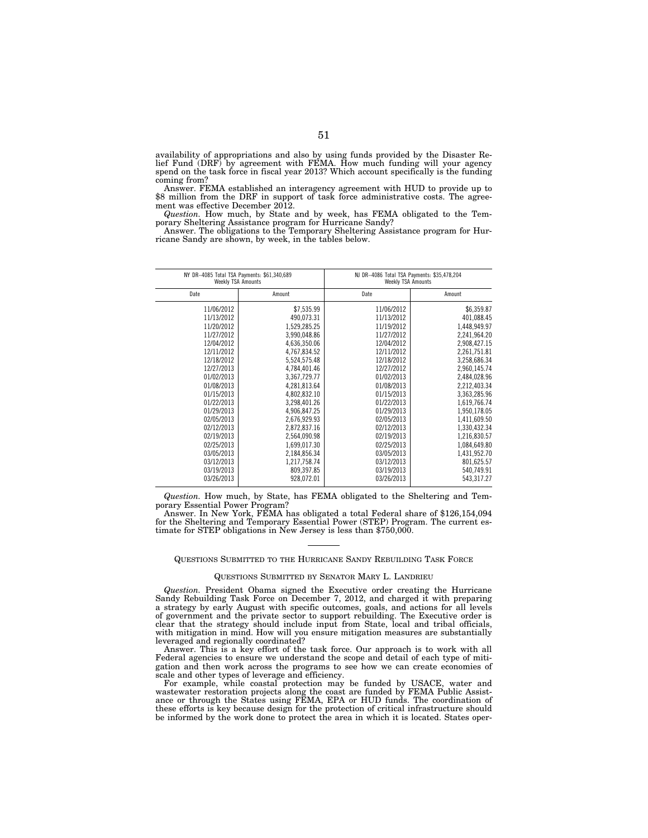availability of appropriations and also by using funds provided by the Disaster Relief Fund (DRF) by agreement with FEMA. How much funding will your agency spend on the task force in fiscal year 2013? Which account specifically is the funding coming from?

Answer. FEMA established an interagency agreement with HUD to provide up to \$8 million from the DRF in support of task force administrative costs. The agreement was effective December 2012.

*Question.* How much, by State and by week, has FEMA obligated to the Temporary Sheltering Assistance program for Hurricane Sandy?

Answer. The obligations to the Temporary Sheltering Assistance program for Hurricane Sandy are shown, by week, in the tables below.

| NY DR-4085 Total TSA Payments: \$61,340,689<br><b>Weekly TSA Amounts</b> |              | NJ DR-4086 Total TSA Payments: \$35,478,204<br><b>Weekly TSA Amounts</b> |              |
|--------------------------------------------------------------------------|--------------|--------------------------------------------------------------------------|--------------|
| Date                                                                     | Amount       | Date                                                                     | Amount       |
| 11/06/2012                                                               | \$7,535.99   | 11/06/2012                                                               | \$6,359.87   |
| 11/13/2012                                                               | 490,073.31   | 11/13/2012                                                               | 401,088.45   |
| 11/20/2012                                                               | 1,529,285.25 | 11/19/2012                                                               | 1,448,949.97 |
| 11/27/2012                                                               | 3,990,048.86 | 11/27/2012                                                               | 2,241,964.20 |
| 12/04/2012                                                               | 4,636,350.06 | 12/04/2012                                                               | 2,908,427.15 |
| 12/11/2012                                                               | 4,767,834.52 | 12/11/2012                                                               | 2,261,751.81 |
| 12/18/2012                                                               | 5,524,575.48 | 12/18/2012                                                               | 3,258,686.34 |
| 12/27/2013                                                               | 4,784,401.46 | 12/27/2012                                                               | 2,960,145.74 |
| 01/02/2013                                                               | 3,367,729.77 | 01/02/2013                                                               | 2,484,028.96 |
| 01/08/2013                                                               | 4,281,813.64 | 01/08/2013                                                               | 2,212,403.34 |
| 01/15/2013                                                               | 4,802,832.10 | 01/15/2013                                                               | 3,363,285.96 |
| 01/22/2013                                                               | 3,298,401.26 | 01/22/2013                                                               | 1,619,766.74 |
| 01/29/2013                                                               | 4,906,847.25 | 01/29/2013                                                               | 1,950,178.05 |
| 02/05/2013                                                               | 2,676,929.93 | 02/05/2013                                                               | 1,411,609.50 |
| 02/12/2013                                                               | 2,872,837.16 | 02/12/2013                                                               | 1,330,432.34 |
| 02/19/2013                                                               | 2,564,090.98 | 02/19/2013                                                               | 1,216,830.57 |
| 02/25/2013                                                               | 1,699,017.30 | 02/25/2013                                                               | 1,084,649.80 |
| 03/05/2013                                                               | 2,184,856.34 | 03/05/2013                                                               | 1,431,952.70 |
| 03/12/2013                                                               | 1,217,758.74 | 03/12/2013                                                               | 801,625.57   |
| 03/19/2013                                                               | 809,397.85   | 03/19/2013                                                               | 540,749.91   |
| 03/26/2013                                                               | 928,072.01   | 03/26/2013                                                               | 543,317.27   |
|                                                                          |              |                                                                          |              |

*Question.* How much, by State, has FEMA obligated to the Sheltering and Temporary Essential Power Program?

Answer. In New York, FEMA has obligated a total Federal share of \$126,154,094 for the Sheltering and Temporary Essential Power (STEP) Program. The current estimate for STEP obligations in New Jersey is less than \$750,000.

# QUESTIONS SUBMITTED TO THE HURRICANE SANDY REBUILDING TASK FORCE

#### QUESTIONS SUBMITTED BY SENATOR MARY L. LANDRIEU

*Question.* President Obama signed the Executive order creating the Hurricane Sandy Rebuilding Task Force on December 7, 2012, and charged it with preparing a strategy by early August with specific outcomes, goals, and actions for all levels of government and the private sector to support rebuilding. The Executive order is clear that the strategy should include input from State, local and tribal officials, with mitigation in mind. How will you ensure mitigation measures are substantially leveraged and regionally coordinated?

Answer. This is a key effort of the task force. Our approach is to work with all Federal agencies to ensure we understand the scope and detail of each type of mitigation and then work across the programs to see how we can create economies of scale and other types of leverage and efficiency.

For example, while coastal protection may be funded by USACE, water and wastewater restoration projects along the coast are funded by FEMA Public Assistance or through the States using FEMA, EPA or HUD funds. The coordination of these efforts is key because design for the protection of critical infrastructure should be informed by the work done to protect the area in which it is located. States oper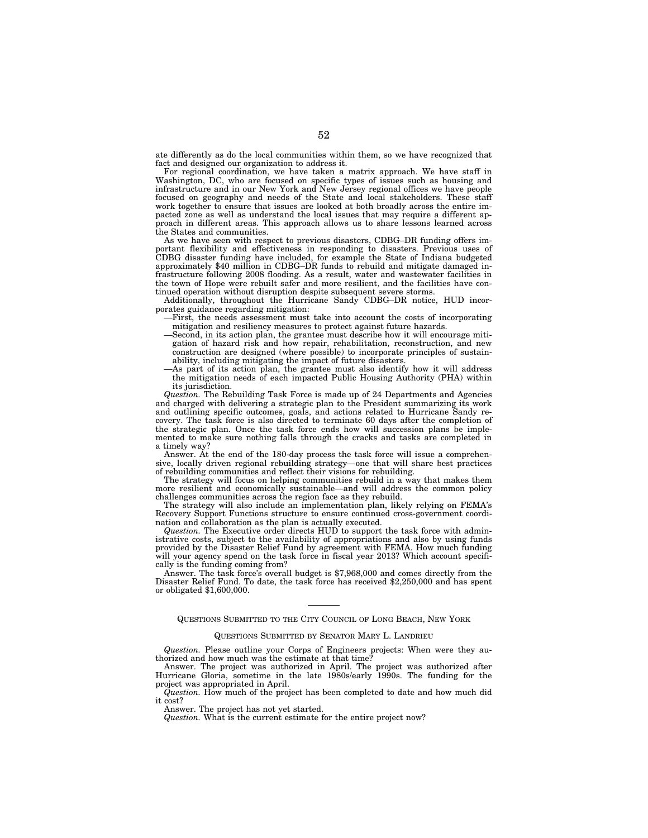ate differently as do the local communities within them, so we have recognized that fact and designed our organization to address it.

For regional coordination, we have taken a matrix approach. We have staff in Washington, DC, who are focused on specific types of issues such as housing and infrastructure and in our New York and New Jersey regional offices we have people focused on geography and needs of the State and local stakeholders. These staff work together to ensure that issues are looked at both broadly across the entire impacted zone as well as understand the local issues that may require a different approach in different areas. This approach allows us to share lessons learned across the States and communities.

As we have seen with respect to previous disasters, CDBG–DR funding offers important flexibility and effectiveness in responding to disasters. Previous uses of CDBG disaster funding have included, for example the State of Indiana budgeted approximately \$40 million in CDBG–DR funds to rebuild and mitigate damaged infrastructure following 2008 flooding. As a result, water and wastewater facilities in the town of Hope were rebuilt safer and more resilient, and the facilities have continued operation without disruption despite subsequent severe storms.

Additionally, throughout the Hurricane Sandy CDBG–DR notice, HUD incorporates guidance regarding mitigation:

- —First, the needs assessment must take into account the costs of incorporating mitigation and resiliency measures to protect against future hazards.
- —Second, in its action plan, the grantee must describe how it will encourage mitigation of hazard risk and how repair, rehabilitation, reconstruction, and new construction are designed (where possible) to incorporate principles of sustainability, including mitigating the impact of future disasters.
- —As part of its action plan, the grantee must also identify how it will address the mitigation needs of each impacted Public Housing Authority (PHA) within its jurisdiction.

*Question.* The Rebuilding Task Force is made up of 24 Departments and Agencies and charged with delivering a strategic plan to the President summarizing its work and outlining specific outcomes, goals, and actions related to Hurricane Sandy recovery. The task force is also directed to terminate 60 days after the completion of the strategic plan. Once the task force ends how will succession plans be implemented to make sure nothing falls through the cracks and tasks are completed in a timely way?

Answer. At the end of the 180-day process the task force will issue a comprehensive, locally driven regional rebuilding strategy—one that will share best practices of rebuilding communities and reflect their visions for rebuilding.

The strategy will focus on helping communities rebuild in a way that makes them more resilient and economically sustainable—and will address the common policy challenges communities across the region face as they rebuild.

The strategy will also include an implementation plan, likely relying on FEMA's Recovery Support Functions structure to ensure continued cross-government coordination and collaboration as the plan is actually executed.

*Question.* The Executive order directs HUD to support the task force with administrative costs, subject to the availability of appropriations and also by using funds provided by the Disaster Relief Fund by agreement with FEMA. How much funding will your agency spend on the task force in fiscal year 2013? Which account specifically is the funding coming from?

Answer. The task force's overall budget is \$7,968,000 and comes directly from the Disaster Relief Fund. To date, the task force has received \$2,250,000 and has spent or obligated \$1,600,000.

QUESTIONS SUBMITTED TO THE CITY COUNCIL OF LONG BEACH, NEW YORK

#### QUESTIONS SUBMITTED BY SENATOR MARY L. LANDRIEU

*Question.* Please outline your Corps of Engineers projects: When were they authorized and how much was the estimate at that time?

Answer. The project was authorized in April. The project was authorized after Hurricane Gloria, sometime in the late 1980s/early 1990s. The funding for the project was appropriated in April.

*Question.* How much of the project has been completed to date and how much did it cost?

Answer. The project has not yet started.

*Question.* What is the current estimate for the entire project now?